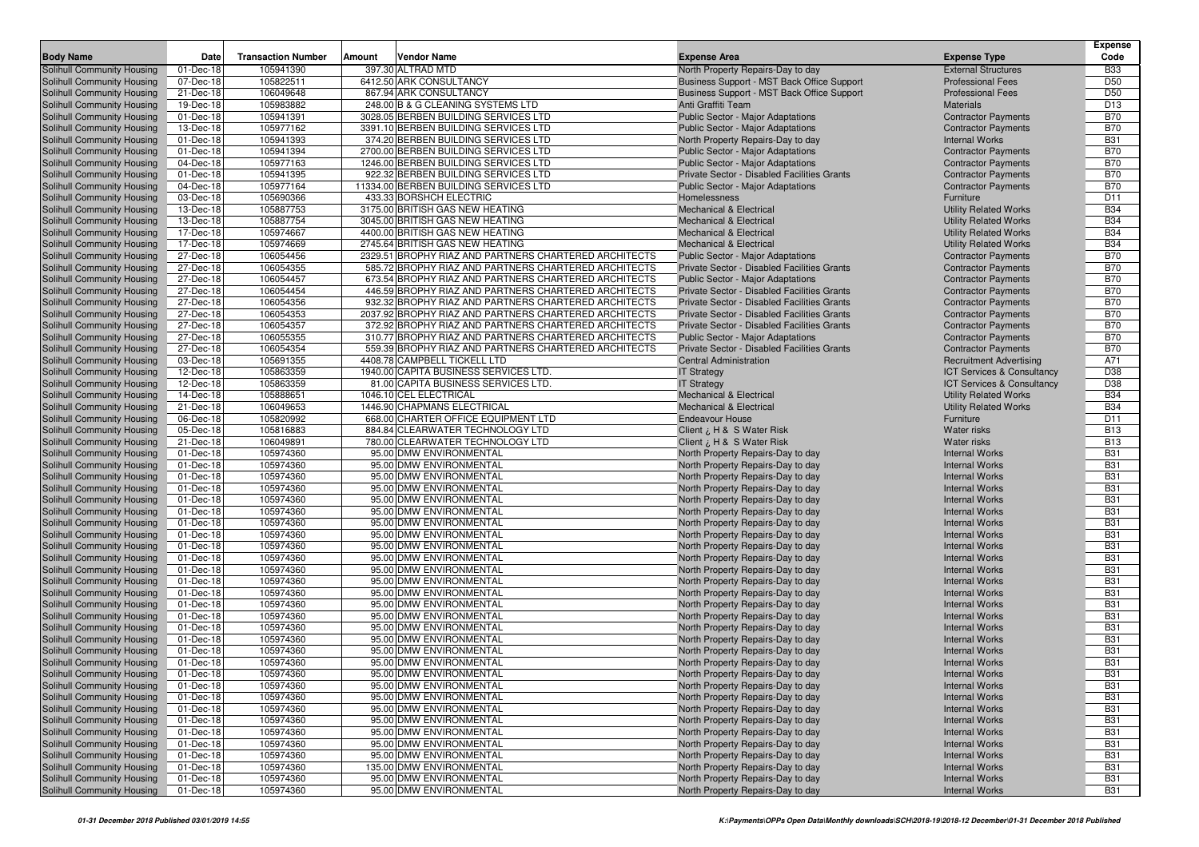| <b>Body Name</b>                                         | Date                   | <b>Transaction Number</b> | Vendor Name<br>Amount                                 | <b>Expense Area</b>                                                    | <b>Expense Type</b>                            | <b>Expense</b><br>Code   |
|----------------------------------------------------------|------------------------|---------------------------|-------------------------------------------------------|------------------------------------------------------------------------|------------------------------------------------|--------------------------|
| Solihull Community Housing                               | 01-Dec-18              | 105941390                 | 397.30 ALTRAD MTD                                     | North Property Repairs-Day to day                                      | <b>External Structures</b>                     | <b>B33</b>               |
| Solihull Community Housing                               | 07-Dec-18              | 105822511                 | 6412.50 ARK CONSULTANCY                               | Business Support - MST Back Office Support                             | <b>Professional Fees</b>                       | D <sub>50</sub>          |
| Solihull Community Housing                               | 21-Dec-18              | 106049648                 | 867.94 ARK CONSULTANCY                                | Business Support - MST Back Office Support                             | <b>Professional Fees</b>                       | D <sub>50</sub>          |
| Solihull Community Housing                               | 19-Dec-18              | 105983882                 | 248.00 B & G CLEANING SYSTEMS LTD                     | Anti Graffiti Team                                                     | <b>Materials</b>                               | D <sub>13</sub>          |
| Solihull Community Housing                               | 01-Dec-18              | 105941391                 | 3028.05 BERBEN BUILDING SERVICES LTD                  | Public Sector - Major Adaptations                                      | <b>Contractor Payments</b>                     | <b>B70</b>               |
| Solihull Community Housing                               | 13-Dec-18              | 105977162                 | 3391.10 BERBEN BUILDING SERVICES LTD                  | Public Sector - Major Adaptations                                      | <b>Contractor Payments</b>                     | <b>B70</b>               |
| Solihull Community Housing                               | 01-Dec-18              | 105941393                 | 374.20 BERBEN BUILDING SERVICES LTD                   | North Property Repairs-Day to day                                      | <b>Internal Works</b>                          | <b>B31</b>               |
| Solihull Community Housing                               | 01-Dec-18              | 105941394                 | 2700.00 BERBEN BUILDING SERVICES LTD                  | Public Sector - Major Adaptations                                      | <b>Contractor Payments</b>                     | <b>B70</b>               |
| Solihull Community Housing                               | 04-Dec-18              | 105977163                 | 1246.00 BERBEN BUILDING SERVICES LTD                  | Public Sector - Major Adaptations                                      | <b>Contractor Payments</b>                     | <b>B70</b>               |
| Solihull Community Housing                               | 01-Dec-18              | 105941395                 | 922.32 BERBEN BUILDING SERVICES LTD                   | Private Sector - Disabled Facilities Grants                            | <b>Contractor Payments</b>                     | <b>B70</b>               |
| Solihull Community Housing                               | 04-Dec-18              | 105977164                 | 11334.00 BERBEN BUILDING SERVICES LTD                 | <b>Public Sector - Major Adaptations</b>                               | <b>Contractor Payments</b>                     | <b>B70</b>               |
| Solihull Community Housing                               | 03-Dec-18              | 105690366                 | 433.33 BORSHCH ELECTRIC                               | Homelessness                                                           | Furniture                                      | D <sub>11</sub>          |
| Solihull Community Housing                               | 13-Dec-18              | 105887753                 | 3175.00 BRITISH GAS NEW HEATING                       | Mechanical & Electrical                                                | <b>Utility Related Works</b>                   | <b>B34</b>               |
| <b>Solihull Community Housing</b>                        | 13-Dec-18              | 105887754                 | 3045.00 BRITISH GAS NEW HEATING                       | <b>Mechanical &amp; Electrical</b>                                     | <b>Utility Related Works</b>                   | <b>B34</b>               |
| Solihull Community Housing                               | 17-Dec-18              | 105974667                 | 4400.00 BRITISH GAS NEW HEATING                       | <b>Mechanical &amp; Electrical</b>                                     | <b>Utility Related Works</b>                   | <b>B34</b>               |
| Solihull Community Housing                               | 17-Dec-18              | 105974669                 | 2745.64 BRITISH GAS NEW HEATING                       | <b>Mechanical &amp; Electrical</b>                                     | <b>Utility Related Works</b>                   | <b>B34</b>               |
| Solihull Community Housing                               | 27-Dec-18              | 106054456                 | 2329.51 BROPHY RIAZ AND PARTNERS CHARTERED ARCHITECTS | Public Sector - Major Adaptations                                      | <b>Contractor Payments</b>                     | <b>B70</b>               |
| Solihull Community Housing                               | 27-Dec-18              | 106054355                 | 585.72 BROPHY RIAZ AND PARTNERS CHARTERED ARCHITECTS  | Private Sector - Disabled Facilities Grants                            | <b>Contractor Payments</b>                     | <b>B70</b>               |
| Solihull Community Housing                               | 27-Dec-18              | 106054457                 | 673.54 BROPHY RIAZ AND PARTNERS CHARTERED ARCHITECTS  | Public Sector - Major Adaptations                                      | <b>Contractor Payments</b>                     | <b>B70</b>               |
| Solihull Community Housing                               | 27-Dec-18              | 106054454                 | 446.59 BROPHY RIAZ AND PARTNERS CHARTERED ARCHITECTS  | Private Sector - Disabled Facilities Grants                            | <b>Contractor Payments</b>                     | <b>B70</b>               |
| Solihull Community Housing                               | 27-Dec-18              | 106054356                 | 932.32 BROPHY RIAZ AND PARTNERS CHARTERED ARCHITECTS  | Private Sector - Disabled Facilities Grants                            | <b>Contractor Payments</b>                     | <b>B70</b>               |
| Solihull Community Housing                               | 27-Dec-18              | 106054353                 | 2037.92 BROPHY RIAZ AND PARTNERS CHARTERED ARCHITECTS | Private Sector - Disabled Facilities Grants                            | <b>Contractor Payments</b>                     | <b>B70</b>               |
| Solihull Community Housing                               | 27-Dec-18              | 106054357                 | 372.92 BROPHY RIAZ AND PARTNERS CHARTERED ARCHITECTS  | Private Sector - Disabled Facilities Grants                            | <b>Contractor Payments</b>                     | <b>B70</b>               |
| Solihull Community Housing                               | 27-Dec-18              | 106055355                 | 310.77 BROPHY RIAZ AND PARTNERS CHARTERED ARCHITECTS  | Public Sector - Major Adaptations                                      | <b>Contractor Payments</b>                     | <b>B70</b>               |
| Solihull Community Housing                               | 27-Dec-18              | 106054354                 | 559.39 BROPHY RIAZ AND PARTNERS CHARTERED ARCHITECTS  | Private Sector - Disabled Facilities Grants                            | <b>Contractor Payments</b>                     | <b>B70</b>               |
| Solihull Community Housing                               | 03-Dec-18              | 105691355                 | 4408.78 CAMPBELL TICKELL LTD                          | <b>Central Administration</b>                                          | <b>Recruitment Advertising</b>                 | A71                      |
| Solihull Community Housing                               | 12-Dec-18              | 105863359                 | 1940.00 CAPITA BUSINESS SERVICES LTD.                 | <b>IT Strategy</b>                                                     | <b>ICT Services &amp; Consultancy</b>          | D38                      |
| Solihull Community Housing                               | 12-Dec-18              | 105863359                 | 81.00 CAPITA BUSINESS SERVICES LTD.                   | <b>IT Strategy</b>                                                     | <b>ICT Services &amp; Consultancy</b>          | D38                      |
| Solihull Community Housing                               | 14-Dec-18              | 105888651                 | 1046.10 CEL ELECTRICAL                                | <b>Mechanical &amp; Electrical</b>                                     | <b>Utility Related Works</b>                   | <b>B34</b>               |
| Solihull Community Housing                               | 21-Dec-18              | 106049653                 | 1446.90 CHAPMANS ELECTRICAL                           | <b>Mechanical &amp; Electrical</b>                                     | <b>Utility Related Works</b>                   | <b>B34</b>               |
| Solihull Community Housing                               | 06-Dec-18              | 105820992                 | 668.00 CHARTER OFFICE EQUIPMENT LTD                   | <b>Endeavour House</b>                                                 | Furniture                                      | D <sub>11</sub>          |
| Solihull Community Housing                               | 05-Dec-18              | 105816883                 | 884.84 CLEARWATER TECHNOLOGY LTD                      | Client ¿ H & S Water Risk                                              | Water risks                                    | <b>B13</b>               |
| Solihull Community Housing                               | 21-Dec-18              | 106049891                 | 780.00 CLEARWATER TECHNOLOGY LTD                      | Client ¿ H & S Water Risk                                              | Water risks                                    | <b>B13</b>               |
| Solihull Community Housing                               | 01-Dec-18              | 105974360<br>105974360    | 95.00 DMW ENVIRONMENTAL<br>95.00 DMW ENVIRONMENTAL    | North Property Repairs-Day to day                                      | <b>Internal Works</b>                          | <b>B31</b><br><b>B31</b> |
| <b>Solihull Community Housing</b>                        | 01-Dec-18<br>01-Dec-18 | 105974360                 | 95.00 DMW ENVIRONMENTAL                               | North Property Repairs-Day to day                                      | <b>Internal Works</b><br><b>Internal Works</b> | <b>B31</b>               |
| Solihull Community Housing<br>Solihull Community Housing | 01-Dec-18              | 105974360                 | 95.00 DMW ENVIRONMENTAL                               | North Property Repairs-Day to day<br>North Property Repairs-Day to day | <b>Internal Works</b>                          | <b>B31</b>               |
| Solihull Community Housing                               | 01-Dec-18              | 105974360                 | 95.00 DMW ENVIRONMENTAL                               | North Property Repairs-Day to day                                      | <b>Internal Works</b>                          | <b>B31</b>               |
| Solihull Community Housing                               | 01-Dec-18              | 105974360                 | 95.00 DMW ENVIRONMENTAL                               | North Property Repairs-Day to day                                      | <b>Internal Works</b>                          | <b>B31</b>               |
| Solihull Community Housing                               | 01-Dec-18              | 105974360                 | 95.00 DMW ENVIRONMENTAL                               | North Property Repairs-Day to day                                      | <b>Internal Works</b>                          | <b>B31</b>               |
| Solihull Community Housing                               | 01-Dec-18              | 105974360                 | 95.00 DMW ENVIRONMENTAL                               | North Property Repairs-Day to day                                      | <b>Internal Works</b>                          | <b>B31</b>               |
| Solihull Community Housing                               | 01-Dec-18              | 105974360                 | 95.00 DMW ENVIRONMENTAL                               | North Property Repairs-Day to day                                      | <b>Internal Works</b>                          | <b>B31</b>               |
| Solihull Community Housing                               | 01-Dec-18              | 105974360                 | 95.00 DMW ENVIRONMENTAL                               | North Property Repairs-Day to day                                      | <b>Internal Works</b>                          | <b>B31</b>               |
| Solihull Community Housing                               | 01-Dec-18              | 105974360                 | 95.00 DMW ENVIRONMENTAL                               | North Property Repairs-Day to day                                      | <b>Internal Works</b>                          | <b>B31</b>               |
| Solihull Community Housing                               | 01-Dec-18              | 105974360                 | 95.00 DMW ENVIRONMENTAL                               | North Property Repairs-Day to day                                      | <b>Internal Works</b>                          | <b>B31</b>               |
| Solihull Community Housing                               | 01-Dec-18              | 105974360                 | 95.00 DMW ENVIRONMENTAL                               | North Property Repairs-Day to day                                      | <b>Internal Works</b>                          | <b>B31</b>               |
| Solihull Community Housing                               | 01-Dec-18              | 105974360                 | 95.00 DMW ENVIRONMENTAL                               | North Property Repairs-Day to day                                      | <b>Internal Works</b>                          | <b>B31</b>               |
| Solihull Community Housing                               | 01-Dec-18              | 105974360                 | 95.00 DMW ENVIRONMENTAL                               | North Property Repairs-Day to day                                      | <b>Internal Works</b>                          | <b>B31</b>               |
| Solihull Community Housing                               | 01-Dec-18              | 105974360                 | 95.00 DMW ENVIRONMENTAL                               | North Property Repairs-Day to day                                      | <b>Internal Works</b>                          | <b>B31</b>               |
| Solihull Community Housing                               | 01-Dec-18              | 105974360                 | 95.00 DMW ENVIRONMENTAL                               | North Property Repairs-Day to day                                      | <b>Internal Works</b>                          | <b>B31</b>               |
| Solihull Community Housing                               | 01-Dec-18              | 105974360                 | 95.00 DMW ENVIRONMENTAL                               | North Property Repairs-Day to day                                      | <b>Internal Works</b>                          | <b>B31</b>               |
| Solihull Community Housing                               | 01-Dec-18              | 105974360                 | 95.00 DMW ENVIRONMENTAL                               | North Property Repairs-Day to day                                      | <b>Internal Works</b>                          | <b>B31</b>               |
| Solihull Community Housing                               | 01-Dec-18              | 105974360                 | 95.00 DMW ENVIRONMENTAL                               | North Property Repairs-Day to day                                      | <b>Internal Works</b>                          | <b>B31</b>               |
| Solihull Community Housing                               | 01-Dec-18              | 105974360                 | 95.00 DMW ENVIRONMENTAL                               | North Property Repairs-Day to day                                      | <b>Internal Works</b>                          | <b>B31</b>               |
| Solihull Community Housing                               | 01-Dec-18              | 105974360                 | 95.00 DMW ENVIRONMENTAL                               | North Property Repairs-Day to day                                      | <b>Internal Works</b>                          | <b>B31</b>               |
| Solihull Community Housing                               | 01-Dec-18              | 105974360                 | 95.00 DMW ENVIRONMENTAL                               | North Property Repairs-Day to day                                      | <b>Internal Works</b>                          | <b>B31</b>               |
| Solihull Community Housing                               | 01-Dec-18              | 105974360                 | 95.00 DMW ENVIRONMENTAL                               | North Property Repairs-Day to day                                      | <b>Internal Works</b>                          | <b>B31</b>               |
| Solihull Community Housing                               | 01-Dec-18              | 105974360                 | 95.00 DMW ENVIRONMENTAL                               | North Property Repairs-Day to day                                      | <b>Internal Works</b>                          | <b>B31</b>               |
| Solihull Community Housing                               | 01-Dec-18              | 105974360                 | 95.00 DMW ENVIRONMENTAL                               | North Property Repairs-Day to day                                      | <b>Internal Works</b>                          | <b>B31</b>               |
| Solihull Community Housing                               | 01-Dec-18              | 105974360                 | 95.00 DMW ENVIRONMENTAL                               | North Property Repairs-Day to day                                      | <b>Internal Works</b>                          | <b>B31</b>               |
| Solihull Community Housing                               | 01-Dec-18              | 105974360                 | 135.00 DMW ENVIRONMENTAL                              | North Property Repairs-Day to day                                      | <b>Internal Works</b>                          | <b>B31</b>               |
| Solihull Community Housing                               | 01-Dec-18              | 105974360                 | 95.00 DMW ENVIRONMENTAL                               | North Property Repairs-Day to day                                      | <b>Internal Works</b>                          | <b>B31</b>               |
| Solihull Community Housing                               | 01-Dec-18              | 105974360                 | 95.00 DMW ENVIRONMENTAL                               | North Property Repairs-Day to day                                      | <b>Internal Works</b>                          | <b>B31</b>               |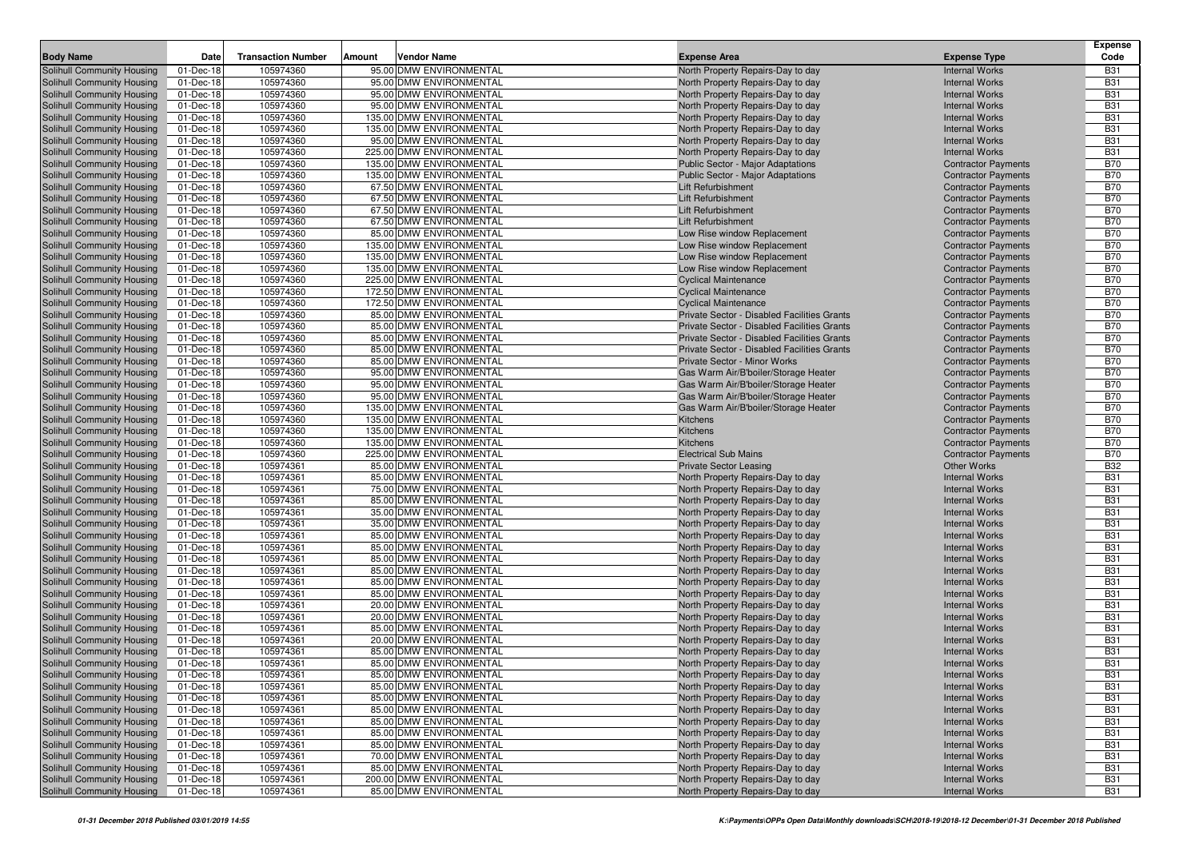| <b>Body Name</b>                                         | Date                   | <b>Transaction Number</b> | Vendor Name<br>Amount                              | <b>Expense Area</b>                                                                        | <b>Expense Type</b>                                      | <b>Expense</b><br>Code   |
|----------------------------------------------------------|------------------------|---------------------------|----------------------------------------------------|--------------------------------------------------------------------------------------------|----------------------------------------------------------|--------------------------|
| Solihull Community Housing                               | 01-Dec-18              | 105974360                 | 95.00 DMW ENVIRONMENTAL                            | North Property Repairs-Day to day                                                          | <b>Internal Works</b>                                    | <b>B31</b>               |
| Solihull Community Housing                               | 01-Dec-18              | 105974360                 | 95.00 DMW ENVIRONMENTAL                            | North Property Repairs-Day to day                                                          | <b>Internal Works</b>                                    | <b>B31</b>               |
| Solihull Community Housing                               | 01-Dec-18              | 105974360                 | 95.00 DMW ENVIRONMENTAL                            | North Property Repairs-Day to day                                                          | <b>Internal Works</b>                                    | <b>B31</b>               |
| Solihull Community Housing                               | 01-Dec-18              | 105974360                 | 95.00 DMW ENVIRONMENTAL                            | North Property Repairs-Day to day                                                          | <b>Internal Works</b>                                    | <b>B31</b>               |
| Solihull Community Housing                               | 01-Dec-18              | 105974360                 | 135.00 DMW ENVIRONMENTAL                           | North Property Repairs-Day to day                                                          | <b>Internal Works</b>                                    | <b>B31</b>               |
| Solihull Community Housing                               | 01-Dec-18              | 105974360                 | 135.00 DMW ENVIRONMENTAL                           | North Property Repairs-Day to day                                                          | <b>Internal Works</b>                                    | <b>B31</b>               |
| Solihull Community Housing                               | 01-Dec-18              | 105974360                 | 95.00 DMW ENVIRONMENTAL                            | North Property Repairs-Day to day                                                          | <b>Internal Works</b>                                    | <b>B31</b>               |
| Solihull Community Housing                               | 01-Dec-18              | 105974360                 | 225.00 DMW ENVIRONMENTAL                           | North Property Repairs-Day to day                                                          | <b>Internal Works</b>                                    | <b>B31</b>               |
| Solihull Community Housing                               | 01-Dec-18              | 105974360                 | 135.00 DMW ENVIRONMENTAL                           | Public Sector - Major Adaptations                                                          | <b>Contractor Payments</b>                               | <b>B70</b>               |
| Solihull Community Housing                               | 01-Dec-18              | 105974360                 | 135.00 DMW ENVIRONMENTAL                           | <b>Public Sector - Major Adaptations</b>                                                   | <b>Contractor Payments</b>                               | <b>B70</b>               |
| Solihull Community Housing                               | 01-Dec-18              | 105974360                 | 67.50 DMW ENVIRONMENTAL                            | Lift Refurbishment                                                                         | <b>Contractor Payments</b>                               | <b>B70</b>               |
| Solihull Community Housing                               | 01-Dec-18              | 105974360                 | 67.50 DMW ENVIRONMENTAL                            | <b>Lift Refurbishment</b>                                                                  | <b>Contractor Payments</b>                               | <b>B70</b>               |
| Solihull Community Housing                               | 01-Dec-18              | 105974360                 | 67.50 DMW ENVIRONMENTAL                            | Lift Refurbishment                                                                         | <b>Contractor Payments</b>                               | <b>B70</b>               |
| Solihull Community Housing                               | 01-Dec-18              | 105974360                 | 67.50 DMW ENVIRONMENTAL                            | Lift Refurbishment                                                                         | <b>Contractor Payments</b>                               | <b>B70</b>               |
| Solihull Community Housing                               | 01-Dec-18              | 105974360                 | 85.00 DMW ENVIRONMENTAL                            | Low Rise window Replacement                                                                | <b>Contractor Payments</b>                               | <b>B70</b>               |
| Solihull Community Housing                               | 01-Dec-18              | 105974360                 | 135.00 DMW ENVIRONMENTAL                           | Low Rise window Replacement                                                                | <b>Contractor Payments</b>                               | <b>B70</b>               |
| Solihull Community Housing                               | 01-Dec-18              | 105974360                 | 135.00 DMW ENVIRONMENTAL                           | Low Rise window Replacement                                                                | <b>Contractor Payments</b>                               | <b>B70</b>               |
| Solihull Community Housing                               | 01-Dec-18              | 105974360                 | 135.00 DMW ENVIRONMENTAL                           | Low Rise window Replacement                                                                | <b>Contractor Payments</b>                               | <b>B70</b>               |
| Solihull Community Housing                               | 01-Dec-18              | 105974360                 | 225.00 DMW ENVIRONMENTAL                           | <b>Cyclical Maintenance</b>                                                                | <b>Contractor Payments</b>                               | <b>B70</b>               |
| Solihull Community Housing                               | 01-Dec-18              | 105974360                 | 172.50 DMW ENVIRONMENTAL                           | <b>Cyclical Maintenance</b>                                                                | <b>Contractor Payments</b>                               | <b>B70</b>               |
| Solihull Community Housing                               | 01-Dec-18              | 105974360                 | 172.50 DMW ENVIRONMENTAL                           | <b>Cyclical Maintenance</b>                                                                | <b>Contractor Payments</b>                               | <b>B70</b>               |
| Solihull Community Housing                               | 01-Dec-18              | 105974360                 | 85.00 DMW ENVIRONMENTAL                            | Private Sector - Disabled Facilities Grants                                                | <b>Contractor Payments</b>                               | <b>B70</b>               |
| Solihull Community Housing                               | 01-Dec-18              | 105974360                 | 85.00 DMW ENVIRONMENTAL                            | Private Sector - Disabled Facilities Grants                                                | <b>Contractor Payments</b>                               | <b>B70</b>               |
| Solihull Community Housing                               | 01-Dec-18              | 105974360                 | 85.00 DMW ENVIRONMENTAL                            | Private Sector - Disabled Facilities Grants<br>Private Sector - Disabled Facilities Grants | <b>Contractor Payments</b>                               | <b>B70</b>               |
| Solihull Community Housing<br>Solihull Community Housing | 01-Dec-18<br>01-Dec-18 | 105974360<br>105974360    | 85.00 DMW ENVIRONMENTAL<br>85.00 DMW ENVIRONMENTAL | Private Sector - Minor Works                                                               | <b>Contractor Payments</b><br><b>Contractor Payments</b> | <b>B70</b><br><b>B70</b> |
| Solihull Community Housing                               | 01-Dec-18              | 105974360                 | 95.00 DMW ENVIRONMENTAL                            | Gas Warm Air/B'boiler/Storage Heater                                                       | <b>Contractor Payments</b>                               | <b>B70</b>               |
| Solihull Community Housing                               | 01-Dec-18              | 105974360                 | 95.00 DMW ENVIRONMENTAL                            | Gas Warm Air/B'boiler/Storage Heater                                                       | <b>Contractor Payments</b>                               | <b>B70</b>               |
| Solihull Community Housing                               | 01-Dec-18              | 105974360                 | 95.00 DMW ENVIRONMENTAL                            | Gas Warm Air/B'boiler/Storage Heater                                                       | <b>Contractor Payments</b>                               | <b>B70</b>               |
| Solihull Community Housing                               | 01-Dec-18              | 105974360                 | 135.00 DMW ENVIRONMENTAL                           | Gas Warm Air/B'boiler/Storage Heater                                                       | <b>Contractor Payments</b>                               | <b>B70</b>               |
| Solihull Community Housing                               | 01-Dec-18              | 105974360                 | 135.00 DMW ENVIRONMENTAL                           | Kitchens                                                                                   | <b>Contractor Payments</b>                               | <b>B70</b>               |
| Solihull Community Housing                               | 01-Dec-18              | 105974360                 | 135.00 DMW ENVIRONMENTAL                           | Kitchens                                                                                   | <b>Contractor Payments</b>                               | <b>B70</b>               |
| Solihull Community Housing                               | 01-Dec-18              | 105974360                 | 135.00 DMW ENVIRONMENTAL                           | Kitchens                                                                                   | <b>Contractor Payments</b>                               | <b>B70</b>               |
| Solihull Community Housing                               | 01-Dec-18              | 105974360                 | 225.00 DMW ENVIRONMENTAL                           | <b>Electrical Sub Mains</b>                                                                | <b>Contractor Payments</b>                               | <b>B70</b>               |
| Solihull Community Housing                               | 01-Dec-18              | 105974361                 | 85.00 DMW ENVIRONMENTAL                            | <b>Private Sector Leasing</b>                                                              | Other Works                                              | <b>B32</b>               |
| Solihull Community Housing                               | 01-Dec-18              | 105974361                 | 85.00 DMW ENVIRONMENTAL                            | North Property Repairs-Day to day                                                          | <b>Internal Works</b>                                    | <b>B31</b>               |
| Solihull Community Housing                               | 01-Dec-18              | 105974361                 | 75.00 DMW ENVIRONMENTAL                            | North Property Repairs-Day to day                                                          | <b>Internal Works</b>                                    | <b>B31</b>               |
| Solihull Community Housing                               | 01-Dec-18              | 105974361                 | 85.00 DMW ENVIRONMENTAL                            | North Property Repairs-Day to day                                                          | <b>Internal Works</b>                                    | <b>B31</b>               |
| Solihull Community Housing                               | 01-Dec-18              | 105974361                 | 35.00 DMW ENVIRONMENTAL                            | North Property Repairs-Day to day                                                          | <b>Internal Works</b>                                    | <b>B31</b>               |
| Solihull Community Housing                               | 01-Dec-18              | 105974361                 | 35.00 DMW ENVIRONMENTAL                            | North Property Repairs-Day to day                                                          | <b>Internal Works</b>                                    | <b>B31</b>               |
| Solihull Community Housing                               | 01-Dec-18              | 105974361                 | 85.00 DMW ENVIRONMENTAL                            | North Property Repairs-Day to day                                                          | <b>Internal Works</b>                                    | <b>B31</b>               |
| Solihull Community Housing                               | 01-Dec-18              | 105974361                 | 85.00 DMW ENVIRONMENTAL                            | North Property Repairs-Day to day                                                          | <b>Internal Works</b>                                    | <b>B31</b>               |
| Solihull Community Housing                               | 01-Dec-18              | 105974361                 | 85.00 DMW ENVIRONMENTAL                            | North Property Repairs-Day to day                                                          | <b>Internal Works</b>                                    | <b>B31</b>               |
| Solihull Community Housing                               | 01-Dec-18              | 105974361                 | 85.00 DMW ENVIRONMENTAL                            | North Property Repairs-Day to day                                                          | <b>Internal Works</b>                                    | <b>B31</b>               |
| Solihull Community Housing                               | 01-Dec-18              | 105974361                 | 85.00 DMW ENVIRONMENTAL                            | North Property Repairs-Day to day                                                          | <b>Internal Works</b>                                    | <b>B31</b>               |
| Solihull Community Housing                               | 01-Dec-18              | 105974361                 | 85.00 DMW ENVIRONMENTAL                            | North Property Repairs-Day to day                                                          | <b>Internal Works</b>                                    | <b>B31</b>               |
| Solihull Community Housing                               | 01-Dec-18              | 105974361                 | 20.00 DMW ENVIRONMENTAL                            | North Property Repairs-Day to day                                                          | <b>Internal Works</b>                                    | <b>B31</b>               |
| Solihull Community Housing                               | 01-Dec-18              | 105974361                 | 20.00 DMW ENVIRONMENTAL                            | North Property Repairs-Day to day                                                          | <b>Internal Works</b>                                    | <b>B31</b>               |
| Solihull Community Housing                               | 01-Dec-18              | 105974361                 | 85.00 DMW ENVIRONMENTAL                            | North Property Repairs-Day to day                                                          | <b>Internal Works</b>                                    | <b>B31</b>               |
| Solihull Community Housing                               | 01-Dec-18              | 105974361                 | 20.00 DMW ENVIRONMENTAL                            | North Property Repairs-Day to day                                                          | <b>Internal Works</b>                                    | <b>B31</b>               |
| Solihull Community Housing                               | 01-Dec-18              | 105974361                 | 85.00 DMW ENVIRONMENTAL                            | North Property Repairs-Day to day                                                          | <b>Internal Works</b>                                    | <b>B31</b>               |
| Solihull Community Housing                               | 01-Dec-18              | 105974361                 | 85.00 DMW ENVIRONMENTAL                            | North Property Repairs-Day to day                                                          | <b>Internal Works</b>                                    | <b>B31</b>               |
| Solihull Community Housing                               | 01-Dec-18              | 105974361                 | 85.00 DMW ENVIRONMENTAL                            | North Property Repairs-Day to day                                                          | <b>Internal Works</b>                                    | <b>B31</b>               |
| Solihull Community Housing                               | 01-Dec-18              | 105974361                 | 85.00 DMW ENVIRONMENTAL                            | North Property Repairs-Day to day                                                          | <b>Internal Works</b>                                    | <b>B31</b>               |
| Solihull Community Housing                               | 01-Dec-18              | 105974361                 | 85.00 DMW ENVIRONMENTAL                            | North Property Repairs-Day to day                                                          | <b>Internal Works</b>                                    | <b>B31</b>               |
| Solihull Community Housing                               | 01-Dec-18              | 105974361                 | 85.00 DMW ENVIRONMENTAL                            | North Property Repairs-Day to day                                                          | <b>Internal Works</b>                                    | <b>B31</b>               |
| Solihull Community Housing                               | 01-Dec-18              | 105974361                 | 85.00 DMW ENVIRONMENTAL                            | North Property Repairs-Day to day                                                          | <b>Internal Works</b>                                    | <b>B31</b>               |
| Solihull Community Housing                               | 01-Dec-18              | 105974361                 | 85.00 DMW ENVIRONMENTAL                            | North Property Repairs-Day to day                                                          | <b>Internal Works</b>                                    | <b>B31</b>               |
| Solihull Community Housing<br>Solihull Community Housing | 01-Dec-18              | 105974361<br>105974361    | 85.00 DMW ENVIRONMENTAL<br>70.00 DMW ENVIRONMENTAL | North Property Repairs-Day to day                                                          | <b>Internal Works</b><br><b>Internal Works</b>           | <b>B31</b><br><b>B31</b> |
| Solihull Community Housing                               | 01-Dec-18<br>01-Dec-18 | 105974361                 | 85.00 DMW ENVIRONMENTAL                            | North Property Repairs-Day to day                                                          | <b>Internal Works</b>                                    | <b>B31</b>               |
| Solihull Community Housing                               | 01-Dec-18              | 105974361                 | 200.00 DMW ENVIRONMENTAL                           | North Property Repairs-Day to day<br>North Property Repairs-Day to day                     | <b>Internal Works</b>                                    | <b>B31</b>               |
| Solihull Community Housing                               | 01-Dec-18              | 105974361                 | 85.00 DMW ENVIRONMENTAL                            | North Property Repairs-Day to day                                                          | <b>Internal Works</b>                                    | <b>B31</b>               |
|                                                          |                        |                           |                                                    |                                                                                            |                                                          |                          |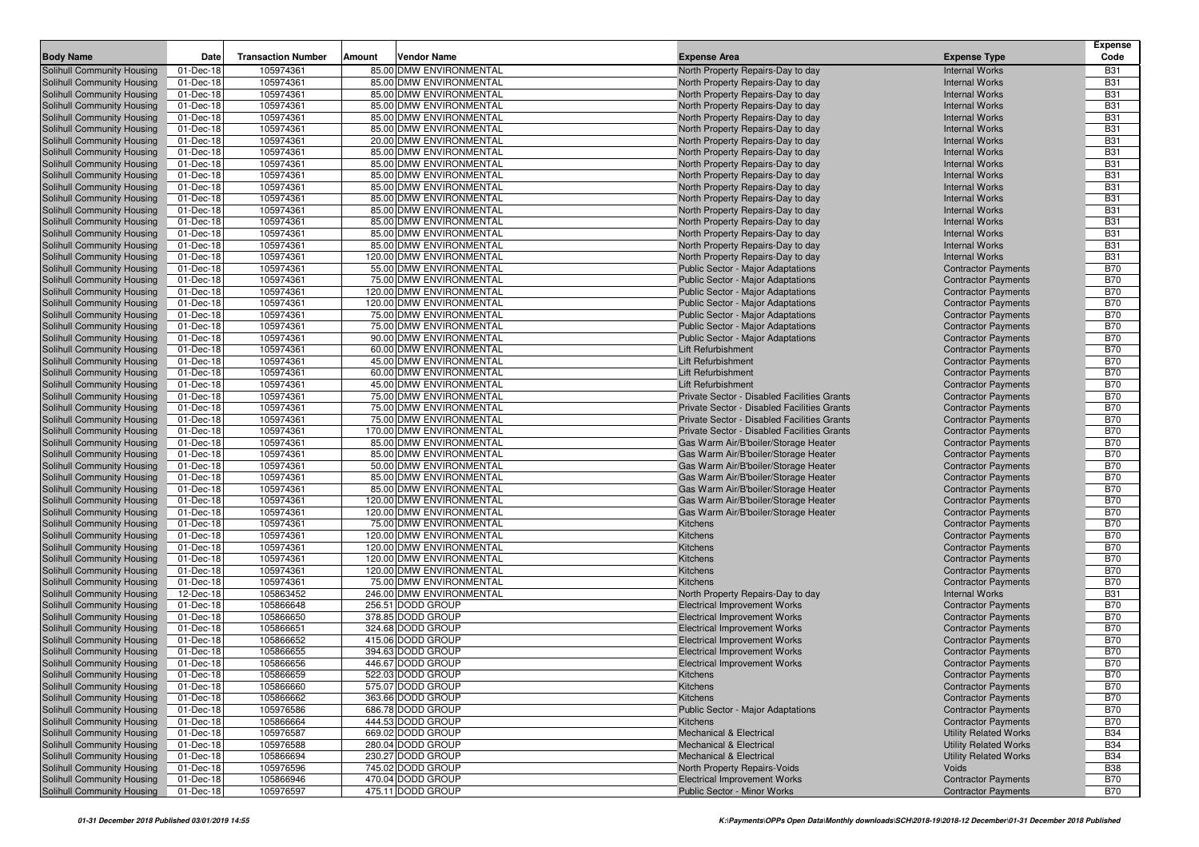|                                                          |                        |                           |                                                      |                                                                        |                                                          | <b>Expense</b>           |
|----------------------------------------------------------|------------------------|---------------------------|------------------------------------------------------|------------------------------------------------------------------------|----------------------------------------------------------|--------------------------|
| <b>Body Name</b>                                         | Date                   | <b>Transaction Number</b> | Vendor Name<br>Amount                                | <b>Expense Area</b>                                                    | <b>Expense Type</b>                                      | Code                     |
| Solihull Community Housing                               | 01-Dec-18              | 105974361                 | 85.00 DMW ENVIRONMENTAL                              | North Property Repairs-Day to day                                      | <b>Internal Works</b>                                    | <b>B31</b>               |
| Solihull Community Housing                               | 01-Dec-18              | 105974361                 | 85.00 DMW ENVIRONMENTAL                              | North Property Repairs-Day to day                                      | <b>Internal Works</b>                                    | <b>B31</b>               |
| Solihull Community Housing<br>Solihull Community Housing | 01-Dec-18<br>01-Dec-18 | 105974361<br>105974361    | 85.00 DMW ENVIRONMENTAL<br>85.00 DMW ENVIRONMENTAL   | North Property Repairs-Day to day<br>North Property Repairs-Day to day | <b>Internal Works</b><br><b>Internal Works</b>           | <b>B31</b><br><b>B31</b> |
| Solihull Community Housing                               | 01-Dec-18              | 105974361                 | 85.00 DMW ENVIRONMENTAL                              | North Property Repairs-Day to day                                      | <b>Internal Works</b>                                    | <b>B31</b>               |
| Solihull Community Housing                               | 01-Dec-18              | 105974361                 | 85.00 DMW ENVIRONMENTAL                              | North Property Repairs-Day to day                                      | <b>Internal Works</b>                                    | <b>B31</b>               |
| Solihull Community Housing                               | 01-Dec-18              | 105974361                 | 20.00 DMW ENVIRONMENTAL                              | North Property Repairs-Day to day                                      | <b>Internal Works</b>                                    | <b>B31</b>               |
| Solihull Community Housing                               | 01-Dec-18              | 105974361                 | 85.00 DMW ENVIRONMENTAL                              | North Property Repairs-Day to day                                      | <b>Internal Works</b>                                    | <b>B31</b>               |
| Solihull Community Housing                               | 01-Dec-18              | 105974361                 | 85.00 DMW ENVIRONMENTAL                              | North Property Repairs-Day to day                                      | <b>Internal Works</b>                                    | <b>B31</b>               |
| Solihull Community Housing                               | 01-Dec-18              | 105974361                 | 85.00 DMW ENVIRONMENTAL                              | North Property Repairs-Day to day                                      | <b>Internal Works</b>                                    | <b>B31</b>               |
| Solihull Community Housing                               | 01-Dec-18              | 105974361                 | 85.00 DMW ENVIRONMENTAL                              | North Property Repairs-Day to day                                      | <b>Internal Works</b>                                    | <b>B31</b>               |
| Solihull Community Housing                               | 01-Dec-18              | 105974361                 | 85.00 DMW ENVIRONMENTAL                              | North Property Repairs-Day to day                                      | <b>Internal Works</b>                                    | <b>B31</b>               |
| Solihull Community Housing                               | 01-Dec-18              | 105974361                 | 85.00 DMW ENVIRONMENTAL                              | North Property Repairs-Day to day                                      | <b>Internal Works</b>                                    | <b>B31</b>               |
| Solihull Community Housing                               | 01-Dec-18              | 105974361                 | 85.00 DMW ENVIRONMENTAL                              | North Property Repairs-Day to day                                      | <b>Internal Works</b>                                    | <b>B31</b>               |
| Solihull Community Housing                               | 01-Dec-18              | 105974361                 | 85.00 DMW ENVIRONMENTAL                              | North Property Repairs-Day to day                                      | <b>Internal Works</b>                                    | <b>B31</b>               |
| Solihull Community Housing                               | 01-Dec-18              | 105974361                 | 85.00 DMW ENVIRONMENTAL                              | North Property Repairs-Day to day                                      | <b>Internal Works</b>                                    | <b>B31</b>               |
| Solihull Community Housing                               | 01-Dec-18              | 105974361                 | 120.00 DMW ENVIRONMENTAL                             | North Property Repairs-Day to day                                      | <b>Internal Works</b>                                    | <b>B31</b>               |
| Solihull Community Housing                               | 01-Dec-18              | 105974361                 | 55.00 DMW ENVIRONMENTAL                              | Public Sector - Major Adaptations                                      | <b>Contractor Payments</b>                               | <b>B70</b>               |
| Solihull Community Housing                               | 01-Dec-18              | 105974361                 | 75.00 DMW ENVIRONMENTAL                              | Public Sector - Major Adaptations                                      | <b>Contractor Payments</b>                               | <b>B70</b>               |
| Solihull Community Housing                               | 01-Dec-18              | 105974361                 | 120.00 DMW ENVIRONMENTAL                             | Public Sector - Major Adaptations                                      | <b>Contractor Payments</b>                               | <b>B70</b>               |
| Solihull Community Housing                               | 01-Dec-18              | 105974361                 | 120.00 DMW ENVIRONMENTAL                             | Public Sector - Major Adaptations                                      | <b>Contractor Payments</b>                               | <b>B70</b>               |
| Solihull Community Housing                               | 01-Dec-18              | 105974361                 | 75.00 DMW ENVIRONMENTAL                              | <b>Public Sector - Major Adaptations</b>                               | <b>Contractor Payments</b>                               | <b>B70</b>               |
| Solihull Community Housing                               | 01-Dec-18              | 105974361                 | 75.00 DMW ENVIRONMENTAL                              | Public Sector - Major Adaptations                                      | <b>Contractor Payments</b>                               | <b>B70</b>               |
| Solihull Community Housing                               | 01-Dec-18              | 105974361                 | 90.00 DMW ENVIRONMENTAL                              | Public Sector - Major Adaptations                                      | <b>Contractor Payments</b>                               | <b>B70</b>               |
| Solihull Community Housing                               | 01-Dec-18<br>01-Dec-18 | 105974361<br>105974361    | 60.00 DMW ENVIRONMENTAL<br>45.00 DMW ENVIRONMENTAL   | Lift Refurbishment<br>Lift Refurbishment                               | <b>Contractor Payments</b>                               | <b>B70</b><br><b>B70</b> |
| Solihull Community Housing<br>Solihull Community Housing | 01-Dec-18              | 105974361                 | 60.00 DMW ENVIRONMENTAL                              | Lift Refurbishment                                                     | <b>Contractor Payments</b><br><b>Contractor Payments</b> | <b>B70</b>               |
| Solihull Community Housing                               | 01-Dec-18              | 105974361                 | 45.00 DMW ENVIRONMENTAL                              | Lift Refurbishment                                                     | <b>Contractor Payments</b>                               | <b>B70</b>               |
| Solihull Community Housing                               | 01-Dec-18              | 105974361                 | 75.00 DMW ENVIRONMENTAL                              | Private Sector - Disabled Facilities Grants                            | <b>Contractor Payments</b>                               | <b>B70</b>               |
| Solihull Community Housing                               | 01-Dec-18              | 105974361                 | 75.00 DMW ENVIRONMENTAL                              | Private Sector - Disabled Facilities Grants                            | <b>Contractor Payments</b>                               | <b>B70</b>               |
| Solihull Community Housing                               | 01-Dec-18              | 105974361                 | 75.00 DMW ENVIRONMENTAL                              | Private Sector - Disabled Facilities Grants                            | <b>Contractor Payments</b>                               | <b>B70</b>               |
| Solihull Community Housing                               | 01-Dec-18              | 105974361                 | 170.00 DMW ENVIRONMENTAL                             | Private Sector - Disabled Facilities Grants                            | <b>Contractor Payments</b>                               | <b>B70</b>               |
| Solihull Community Housing                               | 01-Dec-18              | 105974361                 | 85.00 DMW ENVIRONMENTAL                              | Gas Warm Air/B'boiler/Storage Heater                                   | <b>Contractor Payments</b>                               | <b>B70</b>               |
| Solihull Community Housing                               | 01-Dec-18              | 105974361                 | 85.00 DMW ENVIRONMENTAL                              | Gas Warm Air/B'boiler/Storage Heater                                   | <b>Contractor Payments</b>                               | <b>B70</b>               |
| Solihull Community Housing                               | 01-Dec-18              | 105974361                 | 50.00 DMW ENVIRONMENTAL                              | Gas Warm Air/B'boiler/Storage Heater                                   | <b>Contractor Payments</b>                               | <b>B70</b>               |
| Solihull Community Housing                               | 01-Dec-18              | 105974361                 | 85.00 DMW ENVIRONMENTAL                              | Gas Warm Air/B'boiler/Storage Heater                                   | <b>Contractor Payments</b>                               | <b>B70</b>               |
| Solihull Community Housing                               | 01-Dec-18              | 105974361                 | 85.00 DMW ENVIRONMENTAL                              | Gas Warm Air/B'boiler/Storage Heater                                   | <b>Contractor Payments</b>                               | <b>B70</b>               |
| Solihull Community Housing                               | 01-Dec-18              | 105974361                 | 120.00 DMW ENVIRONMENTAL                             | Gas Warm Air/B'boiler/Storage Heater                                   | <b>Contractor Payments</b>                               | <b>B70</b>               |
| Solihull Community Housing                               | 01-Dec-18              | 105974361                 | 120.00 DMW ENVIRONMENTAL                             | Gas Warm Air/B'boiler/Storage Heater                                   | <b>Contractor Payments</b>                               | <b>B70</b>               |
| Solihull Community Housing                               | 01-Dec-18              | 105974361                 | 75.00 DMW ENVIRONMENTAL                              | Kitchens                                                               | <b>Contractor Payments</b>                               | <b>B70</b>               |
| Solihull Community Housing                               | 01-Dec-18              | 105974361                 | 120.00 DMW ENVIRONMENTAL                             | Kitchens                                                               | <b>Contractor Payments</b>                               | <b>B70</b>               |
| Solihull Community Housing                               | 01-Dec-18              | 105974361                 | 120.00 DMW ENVIRONMENTAL                             | Kitchens                                                               | <b>Contractor Payments</b>                               | <b>B70</b>               |
| Solihull Community Housing                               | 01-Dec-18<br>01-Dec-18 | 105974361<br>105974361    | 120.00 DMW ENVIRONMENTAL<br>120.00 DMW ENVIRONMENTAL | Kitchens<br>Kitchens                                                   | <b>Contractor Payments</b>                               | <b>B70</b><br><b>B70</b> |
| Solihull Community Housing<br>Solihull Community Housing | 01-Dec-18              | 105974361                 | 75.00 DMW ENVIRONMENTAL                              | Kitchens                                                               | <b>Contractor Payments</b><br><b>Contractor Payments</b> | <b>B70</b>               |
| Solihull Community Housing                               | 12-Dec-18              | 105863452                 | 246.00 DMW ENVIRONMENTAL                             | North Property Repairs-Day to day                                      | <b>Internal Works</b>                                    | <b>B31</b>               |
| Solihull Community Housing                               | 01-Dec-18              | 105866648                 | 256.51 DODD GROUP                                    | <b>Electrical Improvement Works</b>                                    | <b>Contractor Payments</b>                               | <b>B70</b>               |
| Solihull Community Housing                               | 01-Dec-18              | 105866650                 | 378.85 DODD GROUP                                    | <b>Electrical Improvement Works</b>                                    | <b>Contractor Payments</b>                               | <b>B70</b>               |
| Solihull Community Housing                               | 01-Dec-18              | 105866651                 | 324.68 DODD GROUP                                    | <b>Electrical Improvement Works</b>                                    | <b>Contractor Payments</b>                               | <b>B70</b>               |
| <b>Solihull Community Housing</b>                        | 01-Dec-18              | 105866652                 | 415.06 DODD GROUP                                    | <b>Electrical Improvement Works</b>                                    | <b>Contractor Payments</b>                               | <b>B70</b>               |
| Solihull Community Housing                               | 01-Dec-18              | 105866655                 | 394.63 DODD GROUP                                    | <b>Electrical Improvement Works</b>                                    | <b>Contractor Payments</b>                               | <b>B70</b>               |
| Solihull Community Housing                               | 01-Dec-18              | 105866656                 | 446.67 DODD GROUP                                    | <b>Electrical Improvement Works</b>                                    | <b>Contractor Payments</b>                               | <b>B70</b>               |
| Solihull Community Housing                               | 01-Dec-18              | 105866659                 | 522.03 DODD GROUP                                    | Kitchens                                                               | <b>Contractor Payments</b>                               | <b>B70</b>               |
| Solihull Community Housing                               | 01-Dec-18              | 105866660                 | 575.07 DODD GROUP                                    | Kitchens                                                               | <b>Contractor Payments</b>                               | <b>B70</b>               |
| Solihull Community Housing                               | 01-Dec-18              | 105866662                 | 363.66 DODD GROUP                                    | <b>Kitchens</b>                                                        | <b>Contractor Payments</b>                               | <b>B70</b>               |
| Solihull Community Housing                               | 01-Dec-18              | 105976586                 | 686.78 DODD GROUP                                    | Public Sector - Major Adaptations                                      | <b>Contractor Payments</b>                               | <b>B70</b>               |
| Solihull Community Housing                               | 01-Dec-18              | 105866664                 | 444.53 DODD GROUP                                    | <b>Kitchens</b>                                                        | <b>Contractor Payments</b>                               | <b>B70</b>               |
| Solihull Community Housing                               | 01-Dec-18              | 105976587                 | 669.02 DODD GROUP                                    | Mechanical & Electrical                                                | <b>Utility Related Works</b>                             | <b>B34</b>               |
| Solihull Community Housing                               | 01-Dec-18              | 105976588                 | 280.04 DODD GROUP                                    | <b>Mechanical &amp; Electrical</b>                                     | <b>Utility Related Works</b>                             | <b>B34</b>               |
| Solihull Community Housing                               | 01-Dec-18              | 105866694                 | 230.27 DODD GROUP                                    | Mechanical & Electrical                                                | <b>Utility Related Works</b>                             | <b>B34</b>               |
| Solihull Community Housing                               | 01-Dec-18              | 105976596                 | 745.02 DODD GROUP                                    | North Property Repairs-Voids                                           | Voids                                                    | <b>B38</b>               |
| Solihull Community Housing                               | 01-Dec-18              | 105866946                 | 470.04 DODD GROUP                                    | <b>Electrical Improvement Works</b>                                    | <b>Contractor Payments</b>                               | <b>B70</b>               |
| Solihull Community Housing                               | 01-Dec-18              | 105976597                 | 475.11 DODD GROUP                                    | Public Sector - Minor Works                                            | <b>Contractor Payments</b>                               | <b>B70</b>               |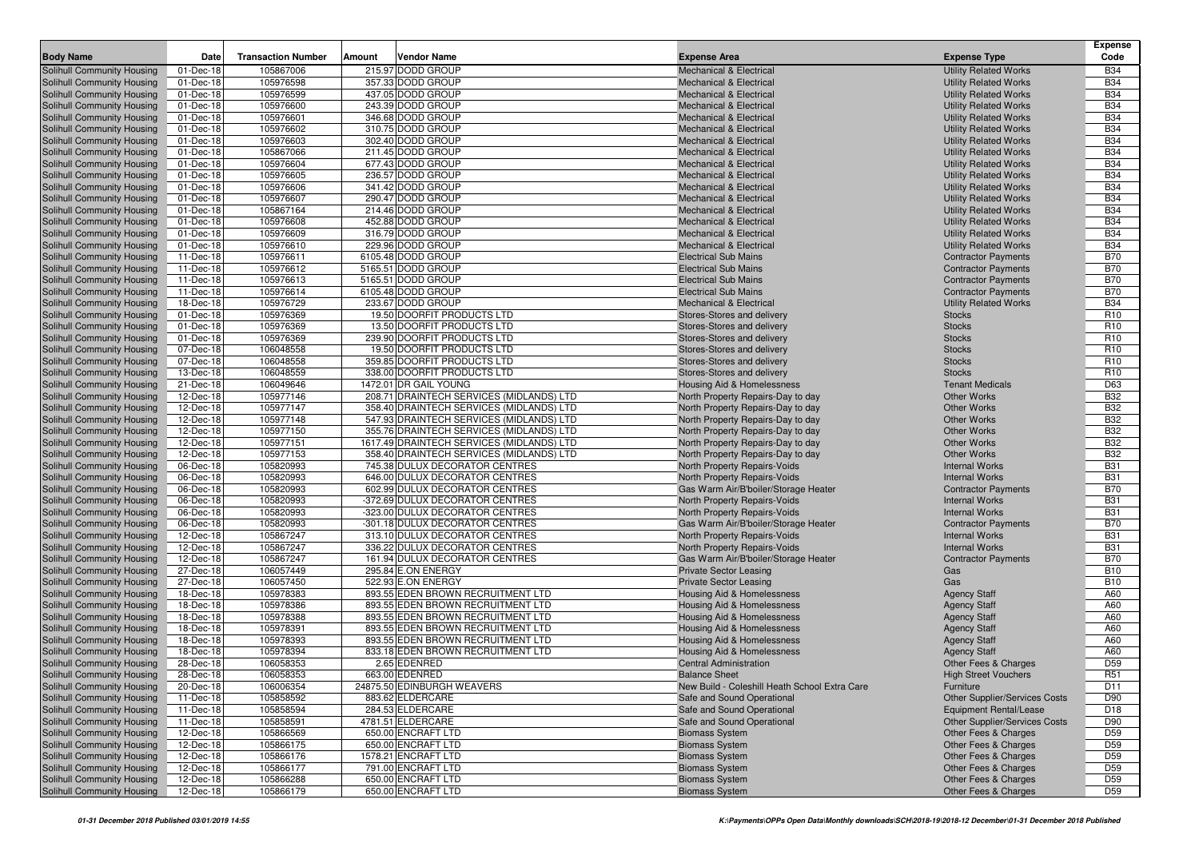|                                                          |                         |                           |                                                                        |                                                                                |                                            | <b>Expense</b>                     |
|----------------------------------------------------------|-------------------------|---------------------------|------------------------------------------------------------------------|--------------------------------------------------------------------------------|--------------------------------------------|------------------------------------|
| <b>Body Name</b>                                         | Date                    | <b>Transaction Number</b> | <b>Vendor Name</b><br>Amount                                           | <b>Expense Area</b>                                                            | <b>Expense Type</b>                        | Code                               |
| Solihull Community Housing                               | 01-Dec-18               | 105867006                 | 215.97 DODD GROUP                                                      | <b>Mechanical &amp; Electrical</b>                                             | <b>Utility Related Works</b>               | <b>B34</b>                         |
| Solihull Community Housing                               | 01-Dec-18               | 105976598                 | 357.33 DODD GROUP                                                      | <b>Mechanical &amp; Electrical</b>                                             | <b>Utility Related Works</b>               | <b>B34</b>                         |
| Solihull Community Housing                               | 01-Dec-18               | 105976599                 | 437.05 DODD GROUP                                                      | <b>Mechanical &amp; Electrical</b>                                             | <b>Utility Related Works</b>               | <b>B34</b>                         |
| Solihull Community Housing                               | 01-Dec-18               | 105976600                 | 243.39 DODD GROUP                                                      | <b>Mechanical &amp; Electrical</b>                                             | <b>Utility Related Works</b>               | <b>B34</b>                         |
| Solihull Community Housing                               | 01-Dec-18               | 105976601                 | 346.68 DODD GROUP                                                      | <b>Mechanical &amp; Electrical</b>                                             | <b>Utility Related Works</b>               | <b>B34</b>                         |
| Solihull Community Housing                               | $\overline{0}$ 1-Dec-18 | 105976602                 | 310.75 DODD GROUP                                                      | <b>Mechanical &amp; Electrical</b>                                             | <b>Utility Related Works</b>               | <b>B34</b>                         |
| Solihull Community Housing                               | 01-Dec-18               | 105976603                 | 302.40 DODD GROUP                                                      | <b>Mechanical &amp; Electrical</b>                                             | <b>Utility Related Works</b>               | <b>B34</b>                         |
| Solihull Community Housing                               | 01-Dec-18               | 105867066                 | 211.45 DODD GROUP                                                      | <b>Mechanical &amp; Electrical</b>                                             | <b>Utility Related Works</b>               | <b>B34</b>                         |
| Solihull Community Housing                               | 01-Dec-18               | 105976604                 | 677.43 DODD GROUP                                                      | <b>Mechanical &amp; Electrical</b>                                             | <b>Utility Related Works</b>               | <b>B34</b>                         |
| Solihull Community Housing                               | 01-Dec-18               | 105976605                 | 236.57 DODD GROUP                                                      | <b>Mechanical &amp; Electrical</b>                                             | <b>Utility Related Works</b>               | <b>B34</b>                         |
| Solihull Community Housing                               | 01-Dec-18               | 105976606                 | 341.42 DODD GROUP                                                      | <b>Mechanical &amp; Electrical</b>                                             | <b>Utility Related Works</b>               | <b>B34</b>                         |
| Solihull Community Housing                               | 01-Dec-18               | 105976607                 | 290.47 DODD GROUP                                                      | <b>Mechanical &amp; Electrical</b>                                             | <b>Utility Related Works</b>               | <b>B34</b>                         |
| Solihull Community Housing                               | 01-Dec-18               | 105867164                 | 214.46 DODD GROUP                                                      | <b>Mechanical &amp; Electrical</b>                                             | <b>Utility Related Works</b>               | <b>B34</b>                         |
| Solihull Community Housing                               | 01-Dec-18               | 105976608                 | 452.88 DODD GROUP                                                      | <b>Mechanical &amp; Electrical</b>                                             | <b>Utility Related Works</b>               | <b>B34</b>                         |
| Solihull Community Housing                               | 01-Dec-18               | 105976609                 | 316.79 DODD GROUP                                                      | <b>Mechanical &amp; Electrical</b>                                             | <b>Utility Related Works</b>               | <b>B34</b>                         |
| Solihull Community Housing                               | 01-Dec-18               | 105976610                 | 229.96 DODD GROUP                                                      | <b>Mechanical &amp; Electrical</b>                                             | <b>Utility Related Works</b>               | <b>B34</b>                         |
| Solihull Community Housing                               | 11-Dec-18               | 105976611                 | 6105.48 DODD GROUP                                                     | <b>Electrical Sub Mains</b>                                                    | <b>Contractor Payments</b>                 | <b>B70</b>                         |
| Solihull Community Housing                               | 11-Dec-18               | 105976612                 | 5165.51 DODD GROUP                                                     | <b>Electrical Sub Mains</b>                                                    | <b>Contractor Payments</b>                 | <b>B70</b>                         |
| Solihull Community Housing                               | 11-Dec-18               | 105976613                 | 5165.51 DODD GROUP                                                     | <b>Electrical Sub Mains</b>                                                    | <b>Contractor Payments</b>                 | <b>B70</b>                         |
| Solihull Community Housing                               | 11-Dec-18               | 105976614                 | 6105.48 DODD GROUP                                                     | <b>Electrical Sub Mains</b>                                                    | <b>Contractor Payments</b>                 | <b>B70</b>                         |
| Solihull Community Housing                               | 18-Dec-18               | 105976729                 | 233.67 DODD GROUP                                                      | <b>Mechanical &amp; Electrical</b>                                             | <b>Utility Related Works</b>               | <b>B34</b>                         |
| Solihull Community Housing                               | 01-Dec-18               | 105976369                 | 19.50 DOORFIT PRODUCTS LTD                                             | Stores-Stores and delivery                                                     | <b>Stocks</b>                              | R <sub>10</sub>                    |
| Solihull Community Housing                               | 01-Dec-18               | 105976369                 | 13.50 DOORFIT PRODUCTS LTD                                             | Stores-Stores and delivery                                                     | <b>Stocks</b>                              | R <sub>10</sub>                    |
| Solihull Community Housing                               | 01-Dec-18               | 105976369                 | 239.90 DOORFIT PRODUCTS LTD                                            | Stores-Stores and delivery                                                     | <b>Stocks</b>                              | R <sub>10</sub>                    |
| Solihull Community Housing<br>Solihull Community Housing | 07-Dec-18               | 106048558                 | 19.50 DOORFIT PRODUCTS LTD<br>359.85 DOORFIT PRODUCTS LTD              | Stores-Stores and delivery                                                     | <b>Stocks</b>                              | R <sub>10</sub>                    |
| Solihull Community Housing                               | 07-Dec-18<br>13-Dec-18  | 106048558<br>106048559    | 338.00 DOORFIT PRODUCTS LTD                                            | Stores-Stores and delivery                                                     | <b>Stocks</b><br><b>Stocks</b>             | R <sub>10</sub><br>R <sub>10</sub> |
| Solihull Community Housing                               | 21-Dec-18               | 106049646                 | 1472.01 DR GAIL YOUNG                                                  | Stores-Stores and delivery<br><b>Housing Aid &amp; Homelessness</b>            | <b>Tenant Medicals</b>                     | D63                                |
| Solihull Community Housing                               | 12-Dec-18               | 105977146                 | 208.71 DRAINTECH SERVICES (MIDLANDS) LTD                               | North Property Repairs-Day to day                                              | <b>Other Works</b>                         | <b>B32</b>                         |
| Solihull Community Housing                               | 12-Dec-18               | 105977147                 | 358.40 DRAINTECH SERVICES (MIDLANDS) LTD                               | North Property Repairs-Day to day                                              | <b>Other Works</b>                         | <b>B32</b>                         |
| Solihull Community Housing                               | 12-Dec-18               | 105977148                 | 547.93 DRAINTECH SERVICES (MIDLANDS) LTD                               | North Property Repairs-Day to day                                              | <b>Other Works</b>                         | <b>B32</b>                         |
| Solihull Community Housing                               | 12-Dec-18               | 105977150                 | 355.76 DRAINTECH SERVICES (MIDLANDS) LTD                               | North Property Repairs-Day to day                                              | <b>Other Works</b>                         | <b>B32</b>                         |
| Solihull Community Housing                               | 12-Dec-18               | 105977151                 | 1617.49 DRAINTECH SERVICES (MIDLANDS) LTD                              | North Property Repairs-Day to day                                              | <b>Other Works</b>                         | <b>B32</b>                         |
| Solihull Community Housing                               | 12-Dec-18               | 105977153                 | 358.40 DRAINTECH SERVICES (MIDLANDS) LTD                               | North Property Repairs-Day to day                                              | <b>Other Works</b>                         | <b>B32</b>                         |
| Solihull Community Housing                               | 06-Dec-18               | 105820993                 | 745.38 DULUX DECORATOR CENTRES                                         | North Property Repairs-Voids                                                   | <b>Internal Works</b>                      | <b>B31</b>                         |
| Solihull Community Housing                               | 06-Dec-18               | 105820993                 | 646.00 DULUX DECORATOR CENTRES                                         | North Property Repairs-Voids                                                   | <b>Internal Works</b>                      | <b>B31</b>                         |
| Solihull Community Housing                               | 06-Dec-18               | 105820993                 | 602.99 DULUX DECORATOR CENTRES                                         | Gas Warm Air/B'boiler/Storage Heater                                           | <b>Contractor Payments</b>                 | <b>B70</b>                         |
| Solihull Community Housing                               | 06-Dec-18               | 105820993                 | -372.69 DULUX DECORATOR CENTRES                                        | North Property Repairs-Voids                                                   | <b>Internal Works</b>                      | <b>B31</b>                         |
| Solihull Community Housing                               | 06-Dec-18               | 105820993                 | -323.00 DULUX DECORATOR CENTRES                                        | North Property Repairs-Voids                                                   | <b>Internal Works</b>                      | <b>B31</b>                         |
| Solihull Community Housing                               | 06-Dec-18               | 105820993                 | -301.18 DULUX DECORATOR CENTRES                                        | Gas Warm Air/B'boiler/Storage Heater                                           | <b>Contractor Payments</b>                 | <b>B70</b>                         |
| Solihull Community Housing                               | 12-Dec-18               | 105867247                 | 313.10 DULUX DECORATOR CENTRES                                         | North Property Repairs-Voids                                                   | <b>Internal Works</b>                      | <b>B31</b>                         |
| <b>Solihull Community Housing</b>                        | 12-Dec-18               | 105867247                 | 336.22 DULUX DECORATOR CENTRES                                         | North Property Repairs-Voids                                                   | <b>Internal Works</b>                      | <b>B31</b>                         |
| Solihull Community Housing                               | 12-Dec-18               | 105867247                 | 161.94 DULUX DECORATOR CENTRES                                         | Gas Warm Air/B'boiler/Storage Heater                                           | <b>Contractor Payments</b>                 | <b>B70</b>                         |
| Solihull Community Housing                               | 27-Dec-18               | 106057449                 | 295.84 E.ON ENERGY                                                     | <b>Private Sector Leasing</b>                                                  | Gas                                        | <b>B10</b>                         |
| Solihull Community Housing                               | 27-Dec-18               | 106057450                 | 522.93 E.ON ENERGY                                                     | <b>Private Sector Leasing</b>                                                  | Gas                                        | <b>B10</b>                         |
| Solihull Community Housing                               | 18-Dec-18               | 105978383                 | 893.55 EDEN BROWN RECRUITMENT LTD                                      | Housing Aid & Homelessness                                                     | <b>Agency Staff</b>                        | A60                                |
| Solihull Community Housing                               | 18-Dec-18               | 105978386                 | 893.55 EDEN BROWN RECRUITMENT LTD                                      | Housing Aid & Homelessness                                                     | <b>Agency Staff</b>                        | A60                                |
| Solihull Community Housing<br>Solihull Community Housing | 18-Dec-18               | 105978388                 | 893.55 EDEN BROWN RECRUITMENT LTD<br>893.55 EDEN BROWN RECRUITMENT LTD | Housing Aid & Homelessness                                                     | <b>Agency Staff</b>                        | A60                                |
|                                                          | 18-Dec-18               | 105978391                 |                                                                        | <b>Housing Aid &amp; Homelessness</b>                                          | <b>Agency Staff</b>                        | A60                                |
| Solihull Community Housing<br>Solihull Community Housing | 18-Dec-18<br>18-Dec-18  | 105978393<br>105978394    | 893.55 EDEN BROWN RECRUITMENT LTD<br>833.18 EDEN BROWN RECRUITMENT LTD | <b>Housing Aid &amp; Homelessness</b><br><b>Housing Aid &amp; Homelessness</b> | <b>Agency Staff</b><br><b>Agency Staff</b> | A60<br>A60                         |
| Solihull Community Housing                               | 28-Dec-18               | 106058353                 | 2.65 EDENRED                                                           | <b>Central Administration</b>                                                  | Other Fees & Charges                       | D <sub>59</sub>                    |
| Solihull Community Housing                               | 28-Dec-18               | 106058353                 | 663.00 EDENRED                                                         | <b>Balance Sheet</b>                                                           |                                            | R <sub>51</sub>                    |
| Solihull Community Housing                               | 20-Dec-18               | 106006354                 | 24875.50 EDINBURGH WEAVERS                                             | New Build - Coleshill Heath School Extra Care                                  | <b>High Street Vouchers</b><br>Furniture   | D11                                |
| Solihull Community Housing                               | 11-Dec-18               | 105858592                 | 883.62 ELDERCARE                                                       | Safe and Sound Operational                                                     | Other Supplier/Services Costs              | D90                                |
| Solihull Community Housing                               | 11-Dec-18               | 105858594                 | 284.53 ELDERCARE                                                       | Safe and Sound Operational                                                     | <b>Equipment Rental/Lease</b>              | D <sub>18</sub>                    |
| Solihull Community Housing                               | 11-Dec-18               | 105858591                 | 4781.51 ELDERCARE                                                      | Safe and Sound Operational                                                     | Other Supplier/Services Costs              | D90                                |
| Solihull Community Housing                               | 12-Dec-18               | 105866569                 | 650.00 ENCRAFT LTD                                                     | <b>Biomass System</b>                                                          | Other Fees & Charges                       | D <sub>59</sub>                    |
| Solihull Community Housing                               | 12-Dec-18               | 105866175                 | 650.00 ENCRAFT LTD                                                     | <b>Biomass System</b>                                                          | Other Fees & Charges                       | D <sub>59</sub>                    |
| Solihull Community Housing                               | 12-Dec-18               | 105866176                 | 1578.21 ENCRAFT LTD                                                    | <b>Biomass System</b>                                                          | Other Fees & Charges                       | D <sub>59</sub>                    |
| Solihull Community Housing                               | 12-Dec-18               | 105866177                 | 791.00 ENCRAFT LTD                                                     | <b>Biomass System</b>                                                          | Other Fees & Charges                       | D <sub>59</sub>                    |
| Solihull Community Housing                               | 12-Dec-18               | 105866288                 | 650.00 ENCRAFT LTD                                                     | <b>Biomass System</b>                                                          | Other Fees & Charges                       | D <sub>59</sub>                    |
| Solihull Community Housing                               | 12-Dec-18               | 105866179                 | 650.00 ENCRAFT LTD                                                     | <b>Biomass System</b>                                                          | Other Fees & Charges                       | D <sub>59</sub>                    |
|                                                          |                         |                           |                                                                        |                                                                                |                                            |                                    |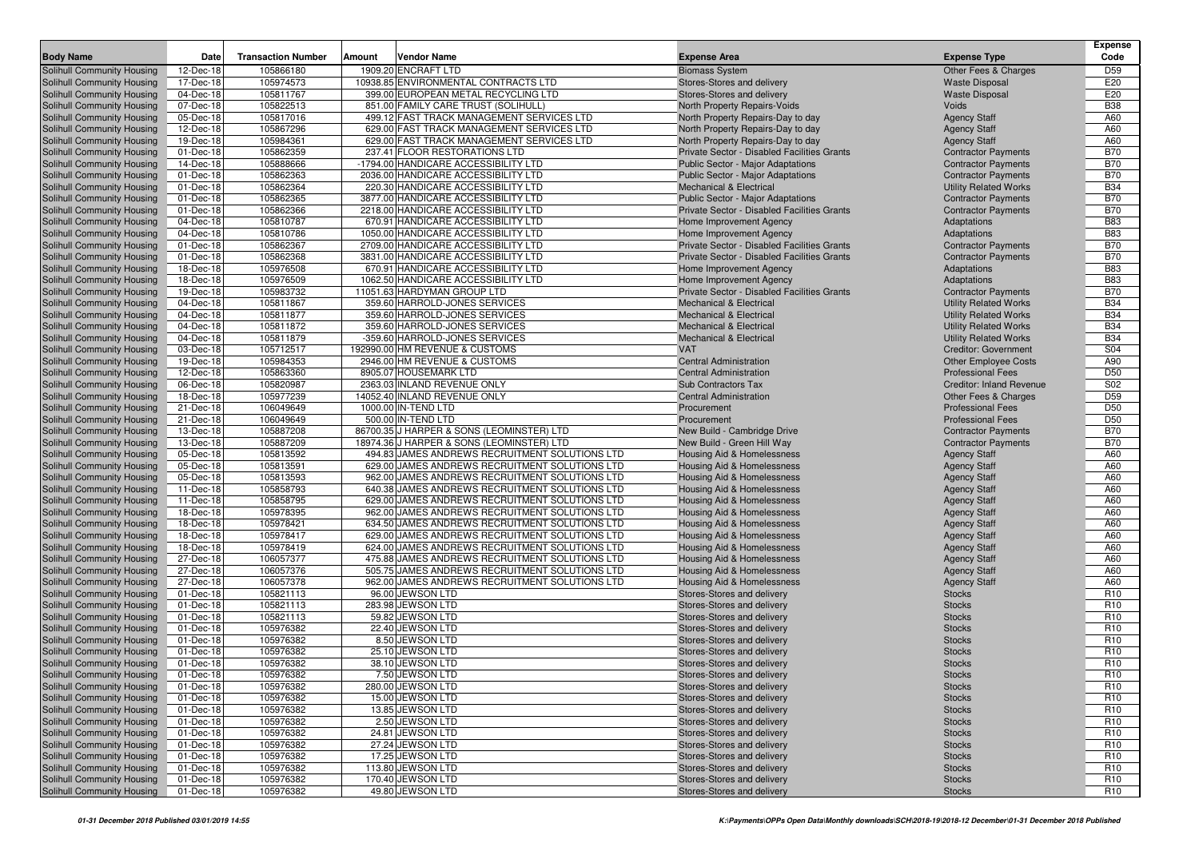| <b>Body Name</b>                  | Date      | <b>Transaction Number</b> | Amount | Vendor Name                                    | <b>Expense Area</b>                         | <b>Expense Type</b>             | <b>Expense</b><br>Code |
|-----------------------------------|-----------|---------------------------|--------|------------------------------------------------|---------------------------------------------|---------------------------------|------------------------|
| Solihull Community Housing        | 12-Dec-18 | 105866180                 |        | 1909.20 ENCRAFT LTD                            | <b>Biomass System</b>                       | Other Fees & Charges            | D <sub>59</sub>        |
| Solihull Community Housing        | 17-Dec-18 | 105974573                 |        | 10938.85 ENVIRONMENTAL CONTRACTS LTD           | Stores-Stores and delivery                  | <b>Waste Disposal</b>           | E20                    |
| Solihull Community Housing        | 04-Dec-18 | 105811767                 |        | 399.00 EUROPEAN METAL RECYCLING LTD            | Stores-Stores and delivery                  | <b>Waste Disposal</b>           | E20                    |
| <b>Solihull Community Housing</b> | 07-Dec-18 | 105822513                 |        | 851.00 FAMILY CARE TRUST (SOLIHULL)            | North Property Repairs-Voids                | Voids                           | <b>B38</b>             |
| Solihull Community Housing        | 05-Dec-18 | 105817016                 |        | 499.12 FAST TRACK MANAGEMENT SERVICES LTD      | North Property Repairs-Day to day           | <b>Agency Staff</b>             | A60                    |
| Solihull Community Housing        | 12-Dec-18 | 105867296                 |        | 629.00 FAST TRACK MANAGEMENT SERVICES LTD      | North Property Repairs-Day to day           | <b>Agency Staff</b>             | A60                    |
| Solihull Community Housing        | 19-Dec-18 | 105984361                 |        | 629.00 FAST TRACK MANAGEMENT SERVICES LTD      | North Property Repairs-Day to day           | <b>Agency Staff</b>             | A60                    |
| Solihull Community Housing        | 01-Dec-18 | 105862359                 |        | 237.41 FLOOR RESTORATIONS LTD                  | Private Sector - Disabled Facilities Grants | <b>Contractor Payments</b>      | <b>B70</b>             |
| Solihull Community Housing        | 14-Dec-18 | 105888666                 |        | -1794.00 HANDICARE ACCESSIBILITY LTD           | <b>Public Sector - Major Adaptations</b>    | <b>Contractor Payments</b>      | <b>B70</b>             |
| Solihull Community Housing        | 01-Dec-18 | 105862363                 |        | 2036.00 HANDICARE ACCESSIBILITY LTD            | Public Sector - Major Adaptations           | <b>Contractor Payments</b>      | <b>B70</b>             |
| Solihull Community Housing        | 01-Dec-18 | 105862364                 |        | 220.30 HANDICARE ACCESSIBILITY LTD             | <b>Mechanical &amp; Electrical</b>          | <b>Utility Related Works</b>    | <b>B34</b>             |
| Solihull Community Housing        | 01-Dec-18 | 105862365                 |        | 3877.00 HANDICARE ACCESSIBILITY LTD            | <b>Public Sector - Major Adaptations</b>    | <b>Contractor Payments</b>      | <b>B70</b>             |
| Solihull Community Housing        | 01-Dec-18 | 105862366                 |        | 2218.00 HANDICARE ACCESSIBILITY LTD            | Private Sector - Disabled Facilities Grants | <b>Contractor Payments</b>      | <b>B70</b>             |
| Solihull Community Housing        | 04-Dec-18 | 105810787                 |        | 670.91 HANDICARE ACCESSIBILITY LTD             | Home Improvement Agency                     | Adaptations                     | <b>B83</b>             |
| Solihull Community Housing        | 04-Dec-18 | 105810786                 |        | 1050.00 HANDICARE ACCESSIBILITY LTD            | Home Improvement Agency                     | Adaptations                     | <b>B83</b>             |
| Solihull Community Housing        | 01-Dec-18 | 105862367                 |        | 2709.00 HANDICARE ACCESSIBILITY LTD            | Private Sector - Disabled Facilities Grants | <b>Contractor Payments</b>      | <b>B70</b>             |
| Solihull Community Housing        | 01-Dec-18 | 105862368                 |        | 3831.00 HANDICARE ACCESSIBILITY LTD            | Private Sector - Disabled Facilities Grants | <b>Contractor Payments</b>      | <b>B70</b>             |
| Solihull Community Housing        | 18-Dec-18 | 105976508                 |        | 670.91 HANDICARE ACCESSIBILITY LTD             | Home Improvement Agency                     | Adaptations                     | <b>B83</b>             |
| Solihull Community Housing        | 18-Dec-18 | 105976509                 |        | 1062.50 HANDICARE ACCESSIBILITY LTD            | Home Improvement Agency                     | Adaptations                     | <b>B83</b>             |
| Solihull Community Housing        | 19-Dec-18 | 105983732                 |        | 11051.63 HARDYMAN GROUP LTD                    | Private Sector - Disabled Facilities Grants | <b>Contractor Payments</b>      | <b>B70</b>             |
| Solihull Community Housing        | 04-Dec-18 | 105811867                 |        | 359.60 HARROLD-JONES SERVICES                  | <b>Mechanical &amp; Electrical</b>          | <b>Utility Related Works</b>    | <b>B34</b>             |
| Solihull Community Housing        | 04-Dec-18 | 105811877                 |        | 359.60 HARROLD-JONES SERVICES                  | <b>Mechanical &amp; Electrical</b>          | <b>Utility Related Works</b>    | <b>B34</b>             |
| Solihull Community Housing        | 04-Dec-18 | 105811872                 |        | 359.60 HARROLD-JONES SERVICES                  | <b>Mechanical &amp; Electrical</b>          | <b>Utility Related Works</b>    | <b>B34</b>             |
| Solihull Community Housing        | 04-Dec-18 | 105811879                 |        | -359.60 HARROLD-JONES SERVICES                 | Mechanical & Electrical                     | <b>Utility Related Works</b>    | <b>B34</b>             |
| <b>Solihull Community Housing</b> | 03-Dec-18 | 105712517                 |        | 192990.00 HM REVENUE & CUSTOMS                 | <b>VAT</b>                                  | <b>Creditor: Government</b>     | S04                    |
| Solihull Community Housing        | 19-Dec-18 | 105984353                 |        | 2946.00 HM REVENUE & CUSTOMS                   | <b>Central Administration</b>               | <b>Other Employee Costs</b>     | A90                    |
| Solihull Community Housing        | 12-Dec-18 | 105863360                 |        | 8905.07 HOUSEMARK LTD                          | <b>Central Administration</b>               | <b>Professional Fees</b>        | D <sub>50</sub>        |
| Solihull Community Housing        | 06-Dec-18 | 105820987                 |        | 2363.03 INLAND REVENUE ONLY                    | <b>Sub Contractors Tax</b>                  | <b>Creditor: Inland Revenue</b> | S02                    |
| <b>Solihull Community Housing</b> | 18-Dec-18 | 105977239                 |        | 14052.40 INLAND REVENUE ONLY                   | <b>Central Administration</b>               | Other Fees & Charges            | D <sub>59</sub>        |
| Solihull Community Housing        | 21-Dec-18 | 106049649                 |        | 1000.00 IN-TEND LTD                            | Procurement                                 | <b>Professional Fees</b>        | D <sub>50</sub>        |
| Solihull Community Housing        | 21-Dec-18 | 106049649                 |        | 500.00 IN-TEND LTD                             | Procurement                                 | <b>Professional Fees</b>        | D <sub>50</sub>        |
| Solihull Community Housing        | 13-Dec-18 | 105887208                 |        | 86700.35 J HARPER & SONS (LEOMINSTER) LTD      | New Build - Cambridge Drive                 | <b>Contractor Payments</b>      | <b>B70</b>             |
| Solihull Community Housing        | 13-Dec-18 | 105887209                 |        | 18974.36 J HARPER & SONS (LEOMINSTER) LTD      | New Build - Green Hill Way                  | <b>Contractor Payments</b>      | <b>B70</b>             |
| Solihull Community Housing        | 05-Dec-18 | 105813592                 |        | 494.83 JAMES ANDREWS RECRUITMENT SOLUTIONS LTD | Housing Aid & Homelessness                  | <b>Agency Staff</b>             | A60                    |
| Solihull Community Housing        | 05-Dec-18 | 105813591                 |        | 629.00 JAMES ANDREWS RECRUITMENT SOLUTIONS LTD | Housing Aid & Homelessness                  | <b>Agency Staff</b>             | A60                    |
| Solihull Community Housing        | 05-Dec-18 | 105813593                 |        | 962.00 JAMES ANDREWS RECRUITMENT SOLUTIONS LTD | Housing Aid & Homelessness                  | <b>Agency Staff</b>             | A60                    |
| Solihull Community Housing        | 11-Dec-18 | 105858793                 |        | 640.38 JAMES ANDREWS RECRUITMENT SOLUTIONS LTD | Housing Aid & Homelessness                  | <b>Agency Staff</b>             | A60                    |
| <b>Solihull Community Housing</b> | 11-Dec-18 | 105858795                 |        | 629.00 JAMES ANDREWS RECRUITMENT SOLUTIONS LTD | Housing Aid & Homelessness                  | <b>Agency Staff</b>             | A60                    |
| Solihull Community Housing        | 18-Dec-18 | 105978395                 |        | 962.00 JAMES ANDREWS RECRUITMENT SOLUTIONS LTD | Housing Aid & Homelessness                  | <b>Agency Staff</b>             | A60                    |
| Solihull Community Housing        | 18-Dec-18 | 105978421                 |        | 634.50 JAMES ANDREWS RECRUITMENT SOLUTIONS LTD | Housing Aid & Homelessness                  | <b>Agency Staff</b>             | A60                    |
| Solihull Community Housing        | 18-Dec-18 | 105978417                 |        | 629.00 JAMES ANDREWS RECRUITMENT SOLUTIONS LTD | Housing Aid & Homelessness                  | <b>Agency Staff</b>             | A60                    |
| Solihull Community Housing        | 18-Dec-18 | 105978419                 |        | 624.00 JAMES ANDREWS RECRUITMENT SOLUTIONS LTD | Housing Aid & Homelessness                  | <b>Agency Staff</b>             | A60                    |
| Solihull Community Housing        | 27-Dec-18 | 106057377                 |        | 475.88 JAMES ANDREWS RECRUITMENT SOLUTIONS LTD | Housing Aid & Homelessness                  | <b>Agency Staff</b>             | A60                    |
| Solihull Community Housing        | 27-Dec-18 | 106057376                 |        | 505.75 JAMES ANDREWS RECRUITMENT SOLUTIONS LTD | Housing Aid & Homelessness                  | <b>Agency Staff</b>             | A60                    |
| Solihull Community Housing        | 27-Dec-18 | 106057378                 |        | 962.00 JAMES ANDREWS RECRUITMENT SOLUTIONS LTD | Housing Aid & Homelessness                  | <b>Agency Staff</b>             | A60                    |
| Solihull Community Housing        | 01-Dec-18 | 105821113                 |        | 96.00 JEWSON LTD                               | Stores-Stores and delivery                  | <b>Stocks</b>                   | R <sub>10</sub>        |
| Solihull Community Housing        | 01-Dec-18 | 105821113                 |        | 283.98 JEWSON LTD                              | Stores-Stores and delivery                  | <b>Stocks</b>                   | R <sub>10</sub>        |
| Solihull Community Housing        | 01-Dec-18 | 105821113                 |        | 59.82 JEWSON LTD                               | Stores-Stores and delivery                  | <b>Stocks</b>                   | R <sub>10</sub>        |
| Solihull Community Housing        | 01-Dec-18 | 105976382                 |        | 22.40 JEWSON LTD                               | Stores-Stores and delivery                  | <b>Stocks</b>                   | R <sub>10</sub>        |
| <b>Solihull Community Housing</b> | 01-Dec-18 | 105976382                 |        | 8.50 JEWSON LTD                                | Stores-Stores and delivery                  | <b>Stocks</b>                   | R <sub>10</sub>        |
| Solihull Community Housing        | 01-Dec-18 | 105976382                 |        | 25.10 JEWSON LTD                               | Stores-Stores and delivery                  | <b>Stocks</b>                   | R <sub>10</sub>        |
| Solihull Community Housing        | 01-Dec-18 | 105976382                 |        | 38.10 JEWSON LTD                               | Stores-Stores and delivery                  | <b>Stocks</b>                   | R <sub>10</sub>        |
| Solihull Community Housing        | 01-Dec-18 | 105976382                 |        | 7.50 JEWSON LTD                                | Stores-Stores and delivery                  | <b>Stocks</b>                   | R <sub>10</sub>        |
| Solihull Community Housing        | 01-Dec-18 | 105976382                 |        | 280.00 JEWSON LTD                              | Stores-Stores and delivery                  | <b>Stocks</b>                   | R <sub>10</sub>        |
| Solihull Community Housing        | 01-Dec-18 | 105976382                 |        | 15.00 JEWSON LTD                               | Stores-Stores and delivery                  | <b>Stocks</b>                   | R <sub>10</sub>        |
| Solihull Community Housing        | 01-Dec-18 | 105976382                 |        | 13.85 JEWSON LTD                               | Stores-Stores and delivery                  | <b>Stocks</b>                   | R <sub>10</sub>        |
| Solihull Community Housing        | 01-Dec-18 | 105976382                 |        | 2.50 JEWSON LTD                                | Stores-Stores and delivery                  | <b>Stocks</b>                   | R <sub>10</sub>        |
| Solihull Community Housing        | 01-Dec-18 | 105976382                 |        | 24.81 JEWSON LTD                               | Stores-Stores and delivery                  | <b>Stocks</b>                   | R <sub>10</sub>        |
| Solihull Community Housing        | 01-Dec-18 | 105976382                 |        | 27.24 JEWSON LTD                               | Stores-Stores and delivery                  | <b>Stocks</b>                   | R <sub>10</sub>        |
| Solihull Community Housing        | 01-Dec-18 | 105976382                 |        | 17.25 JEWSON LTD                               | Stores-Stores and delivery                  | <b>Stocks</b>                   | R <sub>10</sub>        |
| Solihull Community Housing        | 01-Dec-18 | 105976382                 |        | 113.80 JEWSON LTD                              | Stores-Stores and delivery                  | <b>Stocks</b>                   | R <sub>10</sub>        |
| Solihull Community Housing        | 01-Dec-18 | 105976382                 |        | 170.40 JEWSON LTD                              | Stores-Stores and delivery                  | <b>Stocks</b>                   | R <sub>10</sub>        |
| Solihull Community Housing        | 01-Dec-18 | 105976382                 |        | 49.80 JEWSON LTD                               | Stores-Stores and delivery                  | <b>Stocks</b>                   | R <sub>10</sub>        |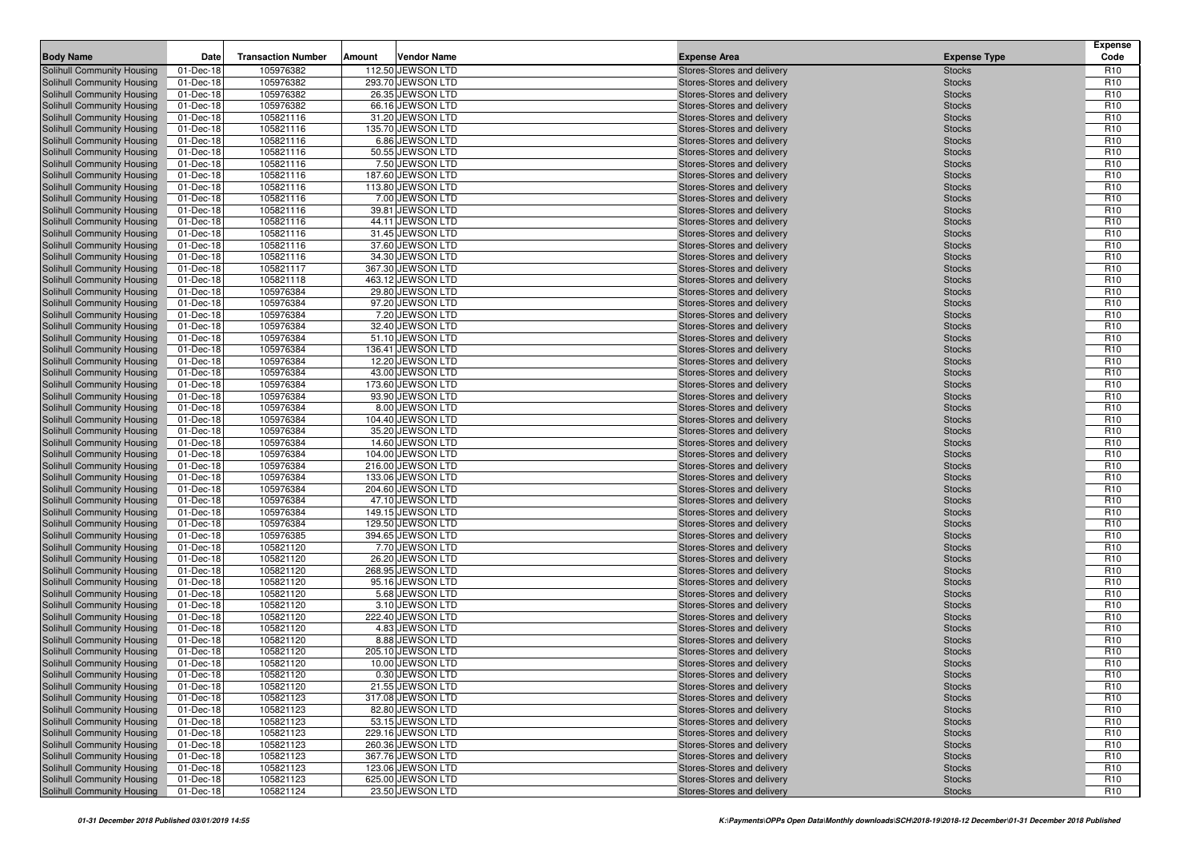| <b>Body Name</b>                                         | Date                   | <b>Transaction Number</b> | Amount | <b>Vendor Name</b>                     | <b>Expense Area</b>                                      | <b>Expense Type</b>            | <b>Expense</b><br>Code             |
|----------------------------------------------------------|------------------------|---------------------------|--------|----------------------------------------|----------------------------------------------------------|--------------------------------|------------------------------------|
| Solihull Community Housing                               | 01-Dec-18              | 105976382                 |        | 112.50 JEWSON LTD                      | Stores-Stores and delivery                               | <b>Stocks</b>                  | R <sub>10</sub>                    |
| Solihull Community Housing                               | 01-Dec-18              | 105976382                 |        | 293.70 JEWSON LTD                      | Stores-Stores and delivery                               | <b>Stocks</b>                  | R <sub>10</sub>                    |
| Solihull Community Housing                               | 01-Dec-18              | 105976382                 |        | 26.35 JEWSON LTD                       | Stores-Stores and delivery                               | <b>Stocks</b>                  | R <sub>10</sub>                    |
| Solihull Community Housing                               | 01-Dec-18              | 105976382                 |        | 66.16 JEWSON LTD                       | Stores-Stores and delivery                               | <b>Stocks</b>                  | R <sub>10</sub>                    |
| Solihull Community Housing                               | 01-Dec-18              | 105821116                 |        | 31.20 JEWSON LTD                       | Stores-Stores and delivery                               | <b>Stocks</b>                  | R <sub>10</sub>                    |
| Solihull Community Housing                               | 01-Dec-18              | 105821116                 |        | 135.70 JEWSON LTD                      | Stores-Stores and delivery                               | <b>Stocks</b>                  | R <sub>10</sub>                    |
| Solihull Community Housing                               | 01-Dec-18              | 105821116                 |        | 6.86 JEWSON LTD                        | Stores-Stores and delivery                               | <b>Stocks</b>                  | R <sub>10</sub>                    |
| Solihull Community Housing                               | 01-Dec-18              | 105821116                 |        | 50.55 JEWSON LTD                       | Stores-Stores and delivery                               | <b>Stocks</b>                  | R <sub>10</sub>                    |
| Solihull Community Housing                               | 01-Dec-18              | 105821116                 |        | 7.50 JEWSON LTD                        | Stores-Stores and delivery                               | <b>Stocks</b>                  | R <sub>10</sub>                    |
| Solihull Community Housing                               | 01-Dec-18              | 105821116                 |        | 187.60 JEWSON LTD                      | Stores-Stores and delivery                               | <b>Stocks</b>                  | R <sub>10</sub>                    |
| Solihull Community Housing                               | 01-Dec-18              | 105821116                 |        | 113.80 JEWSON LTD                      | Stores-Stores and delivery                               | <b>Stocks</b>                  | R <sub>10</sub>                    |
| Solihull Community Housing                               | 01-Dec-18              | 105821116                 |        | 7.00 JEWSON LTD                        | Stores-Stores and delivery                               | <b>Stocks</b>                  | R <sub>10</sub>                    |
| Solihull Community Housing                               | 01-Dec-18              | 105821116                 |        | 39.81 JEWSON LTD                       | Stores-Stores and delivery                               | <b>Stocks</b>                  | R <sub>10</sub>                    |
| Solihull Community Housing                               | 01-Dec-18              | 105821116                 |        | 44.11 JEWSON LTD                       | Stores-Stores and delivery                               | <b>Stocks</b>                  | R <sub>10</sub>                    |
| Solihull Community Housing                               | 01-Dec-18              | 105821116                 |        | 31.45 JEWSON LTD                       | Stores-Stores and delivery                               | <b>Stocks</b>                  | R <sub>10</sub>                    |
| Solihull Community Housing                               | 01-Dec-18              | 105821116                 |        | 37.60 JEWSON LTD                       | Stores-Stores and delivery                               | <b>Stocks</b>                  | R <sub>10</sub>                    |
| Solihull Community Housing                               | 01-Dec-18              | 105821116                 |        | 34.30 JEWSON LTD                       | Stores-Stores and delivery                               | <b>Stocks</b>                  | R <sub>10</sub>                    |
| Solihull Community Housing                               | 01-Dec-18              | 105821117                 |        | 367.30 JEWSON LTD                      | Stores-Stores and delivery                               | <b>Stocks</b>                  | R <sub>10</sub>                    |
| Solihull Community Housing                               | 01-Dec-18              | 105821118                 |        | 463.12 JEWSON LTD                      | Stores-Stores and delivery                               | <b>Stocks</b>                  | R <sub>10</sub>                    |
| Solihull Community Housing                               | 01-Dec-18              | 105976384                 |        | 29.80 JEWSON LTD                       | Stores-Stores and delivery                               | <b>Stocks</b>                  | R <sub>10</sub>                    |
| Solihull Community Housing                               | 01-Dec-18              | 105976384                 |        | 97.20 JEWSON LTD                       | Stores-Stores and delivery                               | <b>Stocks</b>                  | R <sub>10</sub>                    |
| Solihull Community Housing                               | 01-Dec-18              | 105976384                 |        | 7.20 JEWSON LTD                        | Stores-Stores and delivery                               | <b>Stocks</b>                  | R <sub>10</sub>                    |
| Solihull Community Housing                               | 01-Dec-18              | 105976384                 |        | 32.40 JEWSON LTD                       | Stores-Stores and delivery                               | <b>Stocks</b>                  | R <sub>10</sub>                    |
| Solihull Community Housing                               | 01-Dec-18              | 105976384                 |        | 51.10 JEWSON LTD                       | Stores-Stores and delivery                               | <b>Stocks</b>                  | R <sub>10</sub>                    |
| Solihull Community Housing                               | 01-Dec-18              | 105976384                 |        | 136.41 JEWSON LTD                      | Stores-Stores and delivery                               | <b>Stocks</b>                  | R <sub>10</sub>                    |
| Solihull Community Housing                               | 01-Dec-18              | 105976384                 |        | 12.20 JEWSON LTD                       | Stores-Stores and delivery                               | <b>Stocks</b>                  | R <sub>10</sub>                    |
| Solihull Community Housing                               | 01-Dec-18              | 105976384                 |        | 43.00 JEWSON LTD                       | Stores-Stores and delivery                               | <b>Stocks</b>                  | R <sub>10</sub>                    |
| Solihull Community Housing                               | 01-Dec-18              | 105976384                 |        | 173.60 JEWSON LTD                      | Stores-Stores and delivery                               | <b>Stocks</b>                  | R <sub>10</sub>                    |
| Solihull Community Housing                               | 01-Dec-18              | 105976384                 |        | 93.90 JEWSON LTD                       | Stores-Stores and delivery                               | <b>Stocks</b>                  | R <sub>10</sub>                    |
| Solihull Community Housing                               | 01-Dec-18              | 105976384                 |        | 8.00 JEWSON LTD                        | Stores-Stores and delivery                               | <b>Stocks</b>                  | R <sub>10</sub>                    |
| Solihull Community Housing                               | 01-Dec-18              | 105976384                 |        | 104.40 JEWSON LTD                      | Stores-Stores and delivery                               | <b>Stocks</b>                  | R <sub>10</sub>                    |
| Solihull Community Housing                               | 01-Dec-18              | 105976384                 |        | 35.20 JEWSON LTD                       | Stores-Stores and delivery                               | <b>Stocks</b>                  | R <sub>10</sub>                    |
| Solihull Community Housing                               | 01-Dec-18              | 105976384<br>105976384    |        | 14.60 JEWSON LTD                       | Stores-Stores and delivery                               | <b>Stocks</b>                  | R <sub>10</sub><br>R <sub>10</sub> |
| Solihull Community Housing<br>Solihull Community Housing | 01-Dec-18<br>01-Dec-18 | 105976384                 |        | 104.00 JEWSON LTD<br>216.00 JEWSON LTD | Stores-Stores and delivery<br>Stores-Stores and delivery | <b>Stocks</b><br><b>Stocks</b> | R <sub>10</sub>                    |
| Solihull Community Housing                               | 01-Dec-18              | 105976384                 |        | 133.06 JEWSON LTD                      | Stores-Stores and delivery                               | <b>Stocks</b>                  | R <sub>10</sub>                    |
| Solihull Community Housing                               | 01-Dec-18              | 105976384                 |        | 204.60 JEWSON LTD                      | Stores-Stores and delivery                               | <b>Stocks</b>                  | R <sub>10</sub>                    |
| Solihull Community Housing                               | 01-Dec-18              | 105976384                 |        | 47.10 JEWSON LTD                       | Stores-Stores and delivery                               | <b>Stocks</b>                  | R <sub>10</sub>                    |
| Solihull Community Housing                               | 01-Dec-18              | 105976384                 |        | 149.15 JEWSON LTD                      | Stores-Stores and delivery                               | <b>Stocks</b>                  | R <sub>10</sub>                    |
| Solihull Community Housing                               | 01-Dec-18              | 105976384                 |        | 129.50 JEWSON LTD                      | Stores-Stores and delivery                               | <b>Stocks</b>                  | R <sub>10</sub>                    |
| Solihull Community Housing                               | 01-Dec-18              | 105976385                 |        | 394.65 JEWSON LTD                      | Stores-Stores and delivery                               | <b>Stocks</b>                  | R <sub>10</sub>                    |
| Solihull Community Housing                               | 01-Dec-18              | 105821120                 |        | 7.70 JEWSON LTD                        | Stores-Stores and delivery                               | <b>Stocks</b>                  | R <sub>10</sub>                    |
| Solihull Community Housing                               | 01-Dec-18              | 105821120                 |        | 26.20 JEWSON LTD                       | Stores-Stores and delivery                               | <b>Stocks</b>                  | R <sub>10</sub>                    |
| Solihull Community Housing                               | 01-Dec-18              | 105821120                 |        | 268.95 JEWSON LTD                      | Stores-Stores and delivery                               | <b>Stocks</b>                  | R <sub>10</sub>                    |
| Solihull Community Housing                               | 01-Dec-18              | 105821120                 |        | 95.16 JEWSON LTD                       | Stores-Stores and delivery                               | <b>Stocks</b>                  | R <sub>10</sub>                    |
| Solihull Community Housing                               | 01-Dec-18              | 105821120                 |        | 5.68 JEWSON LTD                        | Stores-Stores and delivery                               | <b>Stocks</b>                  | R <sub>10</sub>                    |
| Solihull Community Housing                               | 01-Dec-18              | 105821120                 |        | 3.10 JEWSON LTD                        | Stores-Stores and delivery                               | <b>Stocks</b>                  | R <sub>10</sub>                    |
| Solihull Community Housing                               | 01-Dec-18              | 105821120                 |        | 222.40 JEWSON LTD                      | Stores-Stores and delivery                               | <b>Stocks</b>                  | R <sub>10</sub>                    |
| Solihull Community Housing                               | 01-Dec-18              | 105821120                 |        | 4.83 JEWSON LTD                        | Stores-Stores and delivery                               | <b>Stocks</b>                  | R <sub>10</sub>                    |
| Solihull Community Housing                               | 01-Dec-18              | 105821120                 |        | 8.88 JEWSON LTD                        | Stores-Stores and delivery                               | <b>Stocks</b>                  | R <sub>10</sub>                    |
| Solihull Community Housing                               | 01-Dec-18              | 105821120                 |        | 205.10 JEWSON LTD                      | Stores-Stores and delivery                               | <b>Stocks</b>                  | R <sub>10</sub>                    |
| <b>Solihull Community Housing</b>                        | 01-Dec-18              | 105821120                 |        | 10.00 JEWSON LTD                       | Stores-Stores and delivery                               | <b>Stocks</b>                  | R <sub>10</sub>                    |
| Solihull Community Housing                               | 01-Dec-18              | 105821120                 |        | 0.30 JEWSON LTD                        | Stores-Stores and delivery                               | <b>Stocks</b>                  | R <sub>10</sub>                    |
| Solihull Community Housing                               | 01-Dec-18              | 105821120                 |        | 21.55 JEWSON LTD                       | Stores-Stores and delivery                               | <b>Stocks</b>                  | R <sub>10</sub>                    |
| Solihull Community Housing                               | 01-Dec-18              | 105821123                 |        | 317.08 JEWSON LTD                      | Stores-Stores and delivery                               | <b>Stocks</b>                  | R <sub>10</sub>                    |
| Solihull Community Housing                               | 01-Dec-18              | 105821123                 |        | 82.80 JEWSON LTD                       | Stores-Stores and delivery                               | <b>Stocks</b>                  | R <sub>10</sub>                    |
| Solihull Community Housing                               | 01-Dec-18              | 105821123                 |        | 53.15 JEWSON LTD                       | Stores-Stores and delivery                               | <b>Stocks</b>                  | R <sub>10</sub>                    |
| Solihull Community Housing                               | 01-Dec-18              | 105821123                 |        | 229.16 JEWSON LTD                      | Stores-Stores and delivery                               | <b>Stocks</b>                  | R <sub>10</sub>                    |
| Solihull Community Housing                               | 01-Dec-18              | 105821123                 |        | 260.36 JEWSON LTD                      | Stores-Stores and delivery                               | <b>Stocks</b>                  | R <sub>10</sub>                    |
| Solihull Community Housing                               | 01-Dec-18              | 105821123                 |        | 367.76 JEWSON LTD                      | Stores-Stores and delivery                               | <b>Stocks</b>                  | R <sub>10</sub>                    |
| Solihull Community Housing                               | 01-Dec-18              | 105821123                 |        | 123.06 JEWSON LTD                      | Stores-Stores and delivery                               | <b>Stocks</b>                  | R <sub>10</sub>                    |
| Solihull Community Housing                               | 01-Dec-18              | 105821123                 |        | 625.00 JEWSON LTD                      | Stores-Stores and delivery                               | <b>Stocks</b>                  | R <sub>10</sub>                    |
| Solihull Community Housing                               | 01-Dec-18              | 105821124                 |        | 23.50 JEWSON LTD                       | Stores-Stores and delivery                               | <b>Stocks</b>                  | R <sub>10</sub>                    |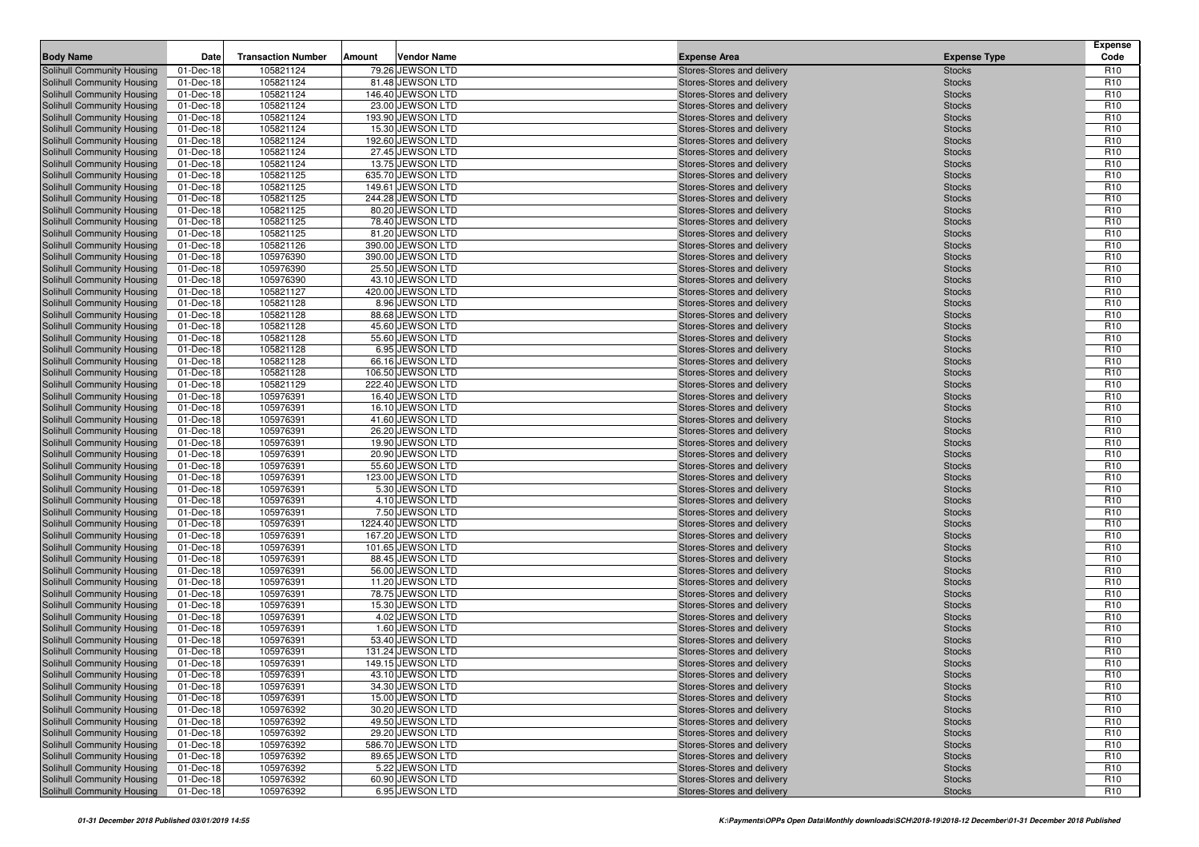| <b>Body Name</b>                                         | Date                   | <b>Transaction Number</b> | Amount | <b>Vendor Name</b>                   | <b>Expense Area</b>                                      | <b>Expense Type</b>            | <b>Expense</b><br>Code             |
|----------------------------------------------------------|------------------------|---------------------------|--------|--------------------------------------|----------------------------------------------------------|--------------------------------|------------------------------------|
| Solihull Community Housing                               | 01-Dec-18              | 105821124                 |        | 79.26 JEWSON LTD                     | Stores-Stores and delivery                               | <b>Stocks</b>                  | R <sub>10</sub>                    |
| Solihull Community Housing                               | 01-Dec-18              | 105821124                 |        | 81.48 JEWSON LTD                     | Stores-Stores and delivery                               | <b>Stocks</b>                  | R <sub>10</sub>                    |
| Solihull Community Housing                               | 01-Dec-18              | 105821124                 |        | 146.40 JEWSON LTD                    | Stores-Stores and delivery                               | <b>Stocks</b>                  | R <sub>10</sub>                    |
| Solihull Community Housing                               | 01-Dec-18              | 105821124                 |        | 23.00 JEWSON LTD                     | Stores-Stores and delivery                               | <b>Stocks</b>                  | R <sub>10</sub>                    |
| Solihull Community Housing                               | 01-Dec-18              | 105821124                 |        | 193.90 JEWSON LTD                    | Stores-Stores and delivery                               | <b>Stocks</b>                  | R <sub>10</sub>                    |
| Solihull Community Housing                               | 01-Dec-18              | 105821124                 |        | 15.30 JEWSON LTD                     | Stores-Stores and delivery                               | <b>Stocks</b>                  | R <sub>10</sub>                    |
| Solihull Community Housing                               | 01-Dec-18              | 105821124                 |        | 192.60 JEWSON LTD                    | Stores-Stores and delivery                               | <b>Stocks</b>                  | R <sub>10</sub>                    |
| Solihull Community Housing                               | 01-Dec-18              | 105821124                 |        | 27.45 JEWSON LTD                     | Stores-Stores and delivery                               | <b>Stocks</b>                  | R <sub>10</sub>                    |
| Solihull Community Housing                               | 01-Dec-18              | 105821124                 |        | 13.75 JEWSON LTD                     | Stores-Stores and delivery                               | <b>Stocks</b>                  | R <sub>10</sub>                    |
| Solihull Community Housing                               | 01-Dec-18              | 105821125                 |        | 635.70 JEWSON LTD                    | Stores-Stores and delivery                               | <b>Stocks</b>                  | R <sub>10</sub>                    |
| Solihull Community Housing                               | 01-Dec-18              | 105821125                 |        | 149.61 JEWSON LTD                    | Stores-Stores and delivery                               | <b>Stocks</b>                  | R <sub>10</sub>                    |
| Solihull Community Housing                               | 01-Dec-18              | 105821125                 |        | 244.28 JEWSON LTD                    | Stores-Stores and delivery                               | <b>Stocks</b>                  | R <sub>10</sub>                    |
| Solihull Community Housing                               | 01-Dec-18              | 105821125                 |        | 80.20 JEWSON LTD                     | Stores-Stores and delivery                               | <b>Stocks</b>                  | R <sub>10</sub>                    |
| Solihull Community Housing                               | 01-Dec-18              | 105821125                 |        | 78.40 JEWSON LTD                     | Stores-Stores and delivery                               | <b>Stocks</b>                  | R <sub>10</sub>                    |
| Solihull Community Housing                               | 01-Dec-18              | 105821125                 |        | 81.20 JEWSON LTD                     | Stores-Stores and delivery                               | <b>Stocks</b>                  | R <sub>10</sub>                    |
| Solihull Community Housing                               | 01-Dec-18              | 105821126                 |        | 390.00 JEWSON LTD                    | Stores-Stores and delivery                               | <b>Stocks</b>                  | R <sub>10</sub>                    |
| Solihull Community Housing                               | 01-Dec-18              | 105976390                 |        | 390.00 JEWSON LTD                    | Stores-Stores and delivery                               | <b>Stocks</b>                  | R <sub>10</sub><br>R <sub>10</sub> |
| Solihull Community Housing                               | 01-Dec-18              | 105976390<br>105976390    |        | 25.50 JEWSON LTD<br>43.10 JEWSON LTD | Stores-Stores and delivery                               | <b>Stocks</b>                  | R <sub>10</sub>                    |
| Solihull Community Housing<br>Solihull Community Housing | 01-Dec-18<br>01-Dec-18 | 105821127                 |        | 420.00 JEWSON LTD                    | Stores-Stores and delivery<br>Stores-Stores and delivery | <b>Stocks</b><br><b>Stocks</b> | R <sub>10</sub>                    |
| Solihull Community Housing                               | 01-Dec-18              | 105821128                 |        | 8.96 JEWSON LTD                      | Stores-Stores and delivery                               | <b>Stocks</b>                  | R <sub>10</sub>                    |
| Solihull Community Housing                               | 01-Dec-18              | 105821128                 |        | 88.68 JEWSON LTD                     | Stores-Stores and delivery                               | <b>Stocks</b>                  | R <sub>10</sub>                    |
| Solihull Community Housing                               | 01-Dec-18              | 105821128                 |        | 45.60 JEWSON LTD                     | Stores-Stores and delivery                               | <b>Stocks</b>                  | R <sub>10</sub>                    |
| Solihull Community Housing                               | 01-Dec-18              | 105821128                 |        | 55.60 JEWSON LTD                     | Stores-Stores and delivery                               | <b>Stocks</b>                  | R <sub>10</sub>                    |
| Solihull Community Housing                               | 01-Dec-18              | 105821128                 |        | 6.95 JEWSON LTD                      | Stores-Stores and delivery                               | <b>Stocks</b>                  | R <sub>10</sub>                    |
| Solihull Community Housing                               | 01-Dec-18              | 105821128                 |        | 66.16 JEWSON LTD                     | Stores-Stores and delivery                               | <b>Stocks</b>                  | R <sub>10</sub>                    |
| Solihull Community Housing                               | 01-Dec-18              | 105821128                 |        | 106.50 JEWSON LTD                    | Stores-Stores and delivery                               | <b>Stocks</b>                  | R <sub>10</sub>                    |
| Solihull Community Housing                               | 01-Dec-18              | 105821129                 |        | 222.40 JEWSON LTD                    | Stores-Stores and delivery                               | <b>Stocks</b>                  | R <sub>10</sub>                    |
| Solihull Community Housing                               | 01-Dec-18              | 105976391                 |        | 16.40 JEWSON LTD                     | Stores-Stores and delivery                               | <b>Stocks</b>                  | R <sub>10</sub>                    |
| Solihull Community Housing                               | 01-Dec-18              | 105976391                 |        | 16.10 JEWSON LTD                     | Stores-Stores and delivery                               | <b>Stocks</b>                  | R <sub>10</sub>                    |
| Solihull Community Housing                               | 01-Dec-18              | 105976391                 |        | 41.60 JEWSON LTD                     | Stores-Stores and delivery                               | <b>Stocks</b>                  | R <sub>10</sub>                    |
| Solihull Community Housing                               | 01-Dec-18              | 105976391                 |        | 26.20 JEWSON LTD                     | Stores-Stores and delivery                               | <b>Stocks</b>                  | R <sub>10</sub>                    |
| Solihull Community Housing                               | 01-Dec-18              | 105976391                 |        | 19.90 JEWSON LTD                     | Stores-Stores and delivery                               | <b>Stocks</b>                  | R <sub>10</sub>                    |
| Solihull Community Housing                               | 01-Dec-18              | 105976391                 |        | 20.90 JEWSON LTD                     | Stores-Stores and delivery                               | <b>Stocks</b>                  | R <sub>10</sub>                    |
| Solihull Community Housing                               | 01-Dec-18              | 105976391                 |        | 55.60 JEWSON LTD                     | Stores-Stores and delivery                               | <b>Stocks</b>                  | R <sub>10</sub>                    |
| Solihull Community Housing                               | 01-Dec-18              | 105976391                 |        | 123.00 JEWSON LTD                    | Stores-Stores and delivery                               | <b>Stocks</b>                  | R <sub>10</sub>                    |
| Solihull Community Housing                               | 01-Dec-18              | 105976391                 |        | 5.30 JEWSON LTD                      | Stores-Stores and delivery                               | <b>Stocks</b>                  | R <sub>10</sub>                    |
| Solihull Community Housing                               | 01-Dec-18              | 105976391                 |        | 4.10 JEWSON LTD                      | Stores-Stores and delivery                               | <b>Stocks</b>                  | R <sub>10</sub>                    |
| Solihull Community Housing                               | 01-Dec-18              | 105976391                 |        | 7.50 JEWSON LTD                      | Stores-Stores and delivery                               | <b>Stocks</b>                  | R <sub>10</sub>                    |
| Solihull Community Housing                               | 01-Dec-18              | 105976391                 |        | 1224.40 JEWSON LTD                   | Stores-Stores and delivery                               | <b>Stocks</b>                  | R <sub>10</sub>                    |
| Solihull Community Housing                               | 01-Dec-18              | 105976391                 |        | 167.20 JEWSON LTD                    | Stores-Stores and delivery                               | <b>Stocks</b>                  | R <sub>10</sub>                    |
| Solihull Community Housing                               | 01-Dec-18              | 105976391                 |        | 101.65 JEWSON LTD                    | Stores-Stores and delivery                               | <b>Stocks</b>                  | R <sub>10</sub>                    |
| Solihull Community Housing                               | 01-Dec-18              | 105976391                 |        | 88.45 JEWSON LTD                     | Stores-Stores and delivery                               | <b>Stocks</b>                  | R <sub>10</sub>                    |
| Solihull Community Housing                               | 01-Dec-18              | 105976391<br>105976391    |        | 56.00 JEWSON LTD<br>11.20 JEWSON LTD | Stores-Stores and delivery                               | <b>Stocks</b>                  | R <sub>10</sub><br>R <sub>10</sub> |
| Solihull Community Housing<br>Solihull Community Housing | 01-Dec-18<br>01-Dec-18 | 105976391                 |        | 78.75 JEWSON LTD                     | Stores-Stores and delivery<br>Stores-Stores and delivery | <b>Stocks</b><br><b>Stocks</b> | R <sub>10</sub>                    |
| Solihull Community Housing                               | 01-Dec-18              | 105976391                 |        | 15.30 JEWSON LTD                     | Stores-Stores and delivery                               | <b>Stocks</b>                  | R <sub>10</sub>                    |
| Solihull Community Housing                               | 01-Dec-18              | 105976391                 |        | 4.02 JEWSON LTD                      | Stores-Stores and delivery                               | <b>Stocks</b>                  | R <sub>10</sub>                    |
| Solihull Community Housing                               | 01-Dec-18              | 105976391                 |        | 1.60 JEWSON LTD                      | Stores-Stores and delivery                               | <b>Stocks</b>                  | R <sub>10</sub>                    |
| Solihull Community Housing                               | 01-Dec-18              | 105976391                 |        | 53.40 JEWSON LTD                     | Stores-Stores and delivery                               | <b>Stocks</b>                  | R <sub>10</sub>                    |
| Solihull Community Housing                               | 01-Dec-18              | 105976391                 |        | 131.24 JEWSON LTD                    | Stores-Stores and delivery                               | <b>Stocks</b>                  | R <sub>10</sub>                    |
| <b>Solihull Community Housing</b>                        | 01-Dec-18              | 105976391                 |        | 149.15 JEWSON LTD                    | Stores-Stores and delivery                               | <b>Stocks</b>                  | R <sub>10</sub>                    |
| Solihull Community Housing                               | 01-Dec-18              | 105976391                 |        | 43.10 JEWSON LTD                     | Stores-Stores and delivery                               | <b>Stocks</b>                  | R <sub>10</sub>                    |
| Solihull Community Housing                               | 01-Dec-18              | 105976391                 |        | 34.30 JEWSON LTD                     | Stores-Stores and delivery                               | <b>Stocks</b>                  | R <sub>10</sub>                    |
| Solihull Community Housing                               | 01-Dec-18              | 105976391                 |        | 15.00 JEWSON LTD                     | Stores-Stores and delivery                               | <b>Stocks</b>                  | R <sub>10</sub>                    |
| Solihull Community Housing                               | 01-Dec-18              | 105976392                 |        | 30.20 JEWSON LTD                     | Stores-Stores and delivery                               | <b>Stocks</b>                  | R <sub>10</sub>                    |
| Solihull Community Housing                               | 01-Dec-18              | 105976392                 |        | 49.50 JEWSON LTD                     | Stores-Stores and delivery                               | <b>Stocks</b>                  | R <sub>10</sub>                    |
| Solihull Community Housing                               | 01-Dec-18              | 105976392                 |        | 29.20 JEWSON LTD                     | Stores-Stores and delivery                               | <b>Stocks</b>                  | R <sub>10</sub>                    |
| Solihull Community Housing                               | 01-Dec-18              | 105976392                 |        | 586.70 JEWSON LTD                    | Stores-Stores and delivery                               | <b>Stocks</b>                  | R <sub>10</sub>                    |
| Solihull Community Housing                               | 01-Dec-18              | 105976392                 |        | 89.65 JEWSON LTD                     | Stores-Stores and delivery                               | <b>Stocks</b>                  | R <sub>10</sub>                    |
| Solihull Community Housing                               | 01-Dec-18              | 105976392                 |        | 5.22 JEWSON LTD                      | Stores-Stores and delivery                               | <b>Stocks</b>                  | R <sub>10</sub>                    |
| Solihull Community Housing                               | 01-Dec-18              | 105976392                 |        | 60.90 JEWSON LTD                     | Stores-Stores and delivery                               | <b>Stocks</b>                  | R <sub>10</sub>                    |
| Solihull Community Housing                               | 01-Dec-18              | 105976392                 |        | 6.95 JEWSON LTD                      | Stores-Stores and delivery                               | <b>Stocks</b>                  | R <sub>10</sub>                    |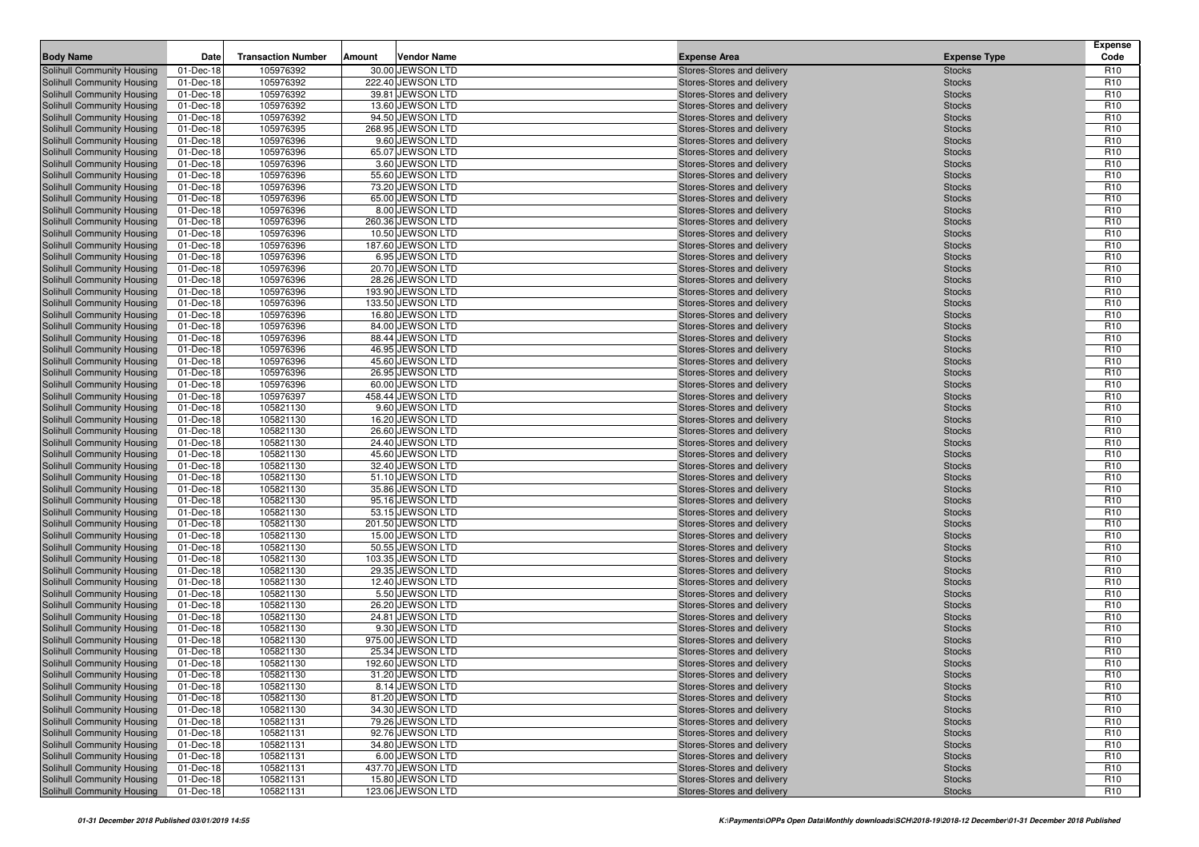| <b>Body Name</b>                                                | Date                   | <b>Transaction Number</b> | Amount | <b>Vendor Name</b>                    | <b>Expense Area</b>                                      | <b>Expense Type</b>            | <b>Expense</b><br>Code             |
|-----------------------------------------------------------------|------------------------|---------------------------|--------|---------------------------------------|----------------------------------------------------------|--------------------------------|------------------------------------|
| Solihull Community Housing                                      | 01-Dec-18              | 105976392                 |        | 30.00 JEWSON LTD                      | Stores-Stores and delivery                               | <b>Stocks</b>                  | R <sub>10</sub>                    |
| Solihull Community Housing                                      | 01-Dec-18              | 105976392                 |        | 222.40 JEWSON LTD                     | Stores-Stores and delivery                               | <b>Stocks</b>                  | R <sub>10</sub>                    |
| Solihull Community Housing                                      | 01-Dec-18              | 105976392                 |        | 39.81 JEWSON LTD                      | Stores-Stores and delivery                               | <b>Stocks</b>                  | R <sub>10</sub>                    |
| Solihull Community Housing                                      | 01-Dec-18              | 105976392                 |        | 13.60 JEWSON LTD                      | Stores-Stores and delivery                               | <b>Stocks</b>                  | R <sub>10</sub>                    |
| Solihull Community Housing                                      | 01-Dec-18              | 105976392                 |        | 94.50 JEWSON LTD                      | Stores-Stores and delivery                               | <b>Stocks</b>                  | R <sub>10</sub>                    |
| Solihull Community Housing                                      | 01-Dec-18              | 105976395                 |        | 268.95 JEWSON LTD                     | Stores-Stores and delivery                               | <b>Stocks</b>                  | R <sub>10</sub>                    |
| Solihull Community Housing                                      | 01-Dec-18              | 105976396                 |        | 9.60 JEWSON LTD                       | Stores-Stores and delivery                               | <b>Stocks</b>                  | R <sub>10</sub>                    |
| Solihull Community Housing                                      | 01-Dec-18              | 105976396                 |        | 65.07 JEWSON LTD                      | Stores-Stores and delivery                               | <b>Stocks</b>                  | R <sub>10</sub>                    |
| Solihull Community Housing                                      | 01-Dec-18              | 105976396                 |        | 3.60 JEWSON LTD                       | Stores-Stores and delivery                               | <b>Stocks</b>                  | R <sub>10</sub>                    |
| Solihull Community Housing                                      | 01-Dec-18              | 105976396                 |        | 55.60 JEWSON LTD                      | Stores-Stores and delivery                               | <b>Stocks</b>                  | R <sub>10</sub>                    |
| Solihull Community Housing                                      | 01-Dec-18              | 105976396                 |        | 73.20 JEWSON LTD                      | Stores-Stores and delivery                               | <b>Stocks</b>                  | R <sub>10</sub>                    |
| Solihull Community Housing                                      | 01-Dec-18              | 105976396                 |        | 65.00 JEWSON LTD                      | Stores-Stores and delivery                               | <b>Stocks</b>                  | R <sub>10</sub>                    |
| Solihull Community Housing                                      | 01-Dec-18              | 105976396                 |        | 8.00 JEWSON LTD                       | Stores-Stores and delivery                               | <b>Stocks</b>                  | R <sub>10</sub>                    |
| Solihull Community Housing                                      | 01-Dec-18              | 105976396                 |        | 260.36 JEWSON LTD<br>10.50 JEWSON LTD | Stores-Stores and delivery                               | <b>Stocks</b>                  | R <sub>10</sub>                    |
| Solihull Community Housing<br>Solihull Community Housing        | 01-Dec-18<br>01-Dec-18 | 105976396<br>105976396    |        | 187.60 JEWSON LTD                     | Stores-Stores and delivery<br>Stores-Stores and delivery | <b>Stocks</b><br><b>Stocks</b> | R <sub>10</sub><br>R <sub>10</sub> |
| Solihull Community Housing                                      | 01-Dec-18              | 105976396                 |        | 6.95 JEWSON LTD                       | Stores-Stores and delivery                               | <b>Stocks</b>                  | R <sub>10</sub>                    |
| Solihull Community Housing                                      | 01-Dec-18              | 105976396                 |        | 20.70 JEWSON LTD                      | Stores-Stores and delivery                               | <b>Stocks</b>                  | R <sub>10</sub>                    |
| Solihull Community Housing                                      | 01-Dec-18              | 105976396                 |        | 28.26 JEWSON LTD                      | Stores-Stores and delivery                               | <b>Stocks</b>                  | R <sub>10</sub>                    |
| Solihull Community Housing                                      | 01-Dec-18              | 105976396                 |        | 193.90 JEWSON LTD                     | Stores-Stores and delivery                               | <b>Stocks</b>                  | R <sub>10</sub>                    |
| Solihull Community Housing                                      | 01-Dec-18              | 105976396                 |        | 133.50 JEWSON LTD                     | Stores-Stores and delivery                               | <b>Stocks</b>                  | R <sub>10</sub>                    |
| Solihull Community Housing                                      | 01-Dec-18              | 105976396                 |        | 16.80 JEWSON LTD                      | Stores-Stores and delivery                               | <b>Stocks</b>                  | R <sub>10</sub>                    |
| Solihull Community Housing                                      | 01-Dec-18              | 105976396                 |        | 84.00 JEWSON LTD                      | Stores-Stores and delivery                               | <b>Stocks</b>                  | R <sub>10</sub>                    |
| Solihull Community Housing                                      | 01-Dec-18              | 105976396                 |        | 88.44 JEWSON LTD                      | Stores-Stores and delivery                               | <b>Stocks</b>                  | R <sub>10</sub>                    |
| Solihull Community Housing                                      | 01-Dec-18              | 105976396                 |        | 46.95 JEWSON LTD                      | Stores-Stores and delivery                               | <b>Stocks</b>                  | R <sub>10</sub>                    |
| Solihull Community Housing                                      | 01-Dec-18              | 105976396                 |        | 45.60 JEWSON LTD                      | Stores-Stores and delivery                               | <b>Stocks</b>                  | R <sub>10</sub>                    |
| Solihull Community Housing                                      | 01-Dec-18              | 105976396                 |        | 26.95 JEWSON LTD                      | Stores-Stores and delivery                               | <b>Stocks</b>                  | R <sub>10</sub>                    |
| Solihull Community Housing                                      | 01-Dec-18              | 105976396                 |        | 60.00 JEWSON LTD                      | Stores-Stores and delivery                               | <b>Stocks</b>                  | R <sub>10</sub>                    |
| Solihull Community Housing                                      | 01-Dec-18              | 105976397                 |        | 458.44 JEWSON LTD                     | Stores-Stores and delivery                               | <b>Stocks</b>                  | R <sub>10</sub>                    |
| Solihull Community Housing                                      | 01-Dec-18              | 105821130                 |        | 9.60 JEWSON LTD                       | Stores-Stores and delivery                               | <b>Stocks</b>                  | R <sub>10</sub>                    |
| Solihull Community Housing                                      | 01-Dec-18              | 105821130                 |        | 16.20 JEWSON LTD                      | Stores-Stores and delivery                               | <b>Stocks</b>                  | R <sub>10</sub>                    |
| Solihull Community Housing                                      | 01-Dec-18              | 105821130                 |        | 26.60 JEWSON LTD                      | Stores-Stores and delivery                               | <b>Stocks</b>                  | R <sub>10</sub>                    |
| Solihull Community Housing                                      | 01-Dec-18              | 105821130<br>105821130    |        | 24.40 JEWSON LTD<br>45.60 JEWSON LTD  | Stores-Stores and delivery                               | <b>Stocks</b>                  | R <sub>10</sub><br>R <sub>10</sub> |
| Solihull Community Housing<br>Solihull Community Housing        | 01-Dec-18<br>01-Dec-18 | 105821130                 |        | 32.40 JEWSON LTD                      | Stores-Stores and delivery<br>Stores-Stores and delivery | <b>Stocks</b><br><b>Stocks</b> | R <sub>10</sub>                    |
| Solihull Community Housing                                      | 01-Dec-18              | 105821130                 |        | 51.10 JEWSON LTD                      | Stores-Stores and delivery                               | <b>Stocks</b>                  | R <sub>10</sub>                    |
| Solihull Community Housing                                      | 01-Dec-18              | 105821130                 |        | 35.86 JEWSON LTD                      | Stores-Stores and delivery                               | <b>Stocks</b>                  | R <sub>10</sub>                    |
| Solihull Community Housing                                      | 01-Dec-18              | 105821130                 |        | 95.16 JEWSON LTD                      | Stores-Stores and delivery                               | <b>Stocks</b>                  | R <sub>10</sub>                    |
| Solihull Community Housing                                      | 01-Dec-18              | 105821130                 |        | 53.15 JEWSON LTD                      | Stores-Stores and delivery                               | <b>Stocks</b>                  | R <sub>10</sub>                    |
| Solihull Community Housing                                      | 01-Dec-18              | 105821130                 |        | 201.50 JEWSON LTD                     | Stores-Stores and delivery                               | <b>Stocks</b>                  | R <sub>10</sub>                    |
| Solihull Community Housing                                      | 01-Dec-18              | 105821130                 |        | 15.00 JEWSON LTD                      | Stores-Stores and delivery                               | <b>Stocks</b>                  | R <sub>10</sub>                    |
| Solihull Community Housing                                      | 01-Dec-18              | 105821130                 |        | 50.55 JEWSON LTD                      | Stores-Stores and delivery                               | <b>Stocks</b>                  | R <sub>10</sub>                    |
| Solihull Community Housing                                      | 01-Dec-18              | 105821130                 |        | 103.35 JEWSON LTD                     | Stores-Stores and delivery                               | <b>Stocks</b>                  | R <sub>10</sub>                    |
| Solihull Community Housing                                      | 01-Dec-18              | 105821130                 |        | 29.35 JEWSON LTD                      | Stores-Stores and delivery                               | <b>Stocks</b>                  | R <sub>10</sub>                    |
| Solihull Community Housing                                      | 01-Dec-18              | 105821130                 |        | 12.40 JEWSON LTD                      | Stores-Stores and delivery                               | <b>Stocks</b>                  | R <sub>10</sub>                    |
| Solihull Community Housing                                      | 01-Dec-18              | 105821130                 |        | 5.50 JEWSON LTD                       | Stores-Stores and delivery                               | <b>Stocks</b>                  | R <sub>10</sub>                    |
| Solihull Community Housing                                      | 01-Dec-18              | 105821130                 |        | 26.20 JEWSON LTD                      | Stores-Stores and delivery                               | <b>Stocks</b>                  | R <sub>10</sub>                    |
| Solihull Community Housing                                      | 01-Dec-18              | 105821130                 |        | 24.81 JEWSON LTD                      | Stores-Stores and delivery                               | <b>Stocks</b>                  | R <sub>10</sub>                    |
| Solihull Community Housing                                      | 01-Dec-18              | 105821130                 |        | 9.30 JEWSON LTD                       | Stores-Stores and delivery                               | <b>Stocks</b>                  | R <sub>10</sub>                    |
| Solihull Community Housing                                      | 01-Dec-18              | 105821130                 |        | 975.00 JEWSON LTD                     | Stores-Stores and delivery                               | <b>Stocks</b>                  | R <sub>10</sub>                    |
| Solihull Community Housing                                      | 01-Dec-18              | 105821130                 |        | 25.34 JEWSON LTD                      | Stores-Stores and delivery                               | <b>Stocks</b>                  | R <sub>10</sub>                    |
| <b>Solihull Community Housing</b><br>Solihull Community Housing | 01-Dec-18              | 105821130                 |        | 192.60 JEWSON LTD                     | Stores-Stores and delivery                               | <b>Stocks</b>                  | R <sub>10</sub><br>R <sub>10</sub> |
| Solihull Community Housing                                      | 01-Dec-18<br>01-Dec-18 | 105821130<br>105821130    |        | 31.20 JEWSON LTD<br>8.14 JEWSON LTD   | Stores-Stores and delivery                               | <b>Stocks</b>                  | R <sub>10</sub>                    |
| Solihull Community Housing                                      | 01-Dec-18              | 105821130                 |        | 81.20 JEWSON LTD                      | Stores-Stores and delivery<br>Stores-Stores and delivery | <b>Stocks</b><br><b>Stocks</b> | R <sub>10</sub>                    |
| Solihull Community Housing                                      | 01-Dec-18              | 105821130                 |        | 34.30 JEWSON LTD                      | Stores-Stores and delivery                               | <b>Stocks</b>                  | R <sub>10</sub>                    |
| Solihull Community Housing                                      | 01-Dec-18              | 105821131                 |        | 79.26 JEWSON LTD                      | Stores-Stores and delivery                               | <b>Stocks</b>                  | R <sub>10</sub>                    |
| Solihull Community Housing                                      | 01-Dec-18              | 105821131                 |        | 92.76 JEWSON LTD                      | Stores-Stores and delivery                               | <b>Stocks</b>                  | R <sub>10</sub>                    |
| Solihull Community Housing                                      | 01-Dec-18              | 105821131                 |        | 34.80 JEWSON LTD                      | Stores-Stores and delivery                               | <b>Stocks</b>                  | R <sub>10</sub>                    |
| Solihull Community Housing                                      | 01-Dec-18              | 105821131                 |        | 6.00 JEWSON LTD                       | Stores-Stores and delivery                               | <b>Stocks</b>                  | R <sub>10</sub>                    |
| Solihull Community Housing                                      | 01-Dec-18              | 105821131                 |        | 437.70 JEWSON LTD                     | Stores-Stores and delivery                               | <b>Stocks</b>                  | R <sub>10</sub>                    |
| Solihull Community Housing                                      | 01-Dec-18              | 105821131                 |        | 15.80 JEWSON LTD                      | Stores-Stores and delivery                               | <b>Stocks</b>                  | R <sub>10</sub>                    |
| Solihull Community Housing                                      | 01-Dec-18              | 105821131                 |        | 123.06 JEWSON LTD                     | Stores-Stores and delivery                               | <b>Stocks</b>                  | R <sub>10</sub>                    |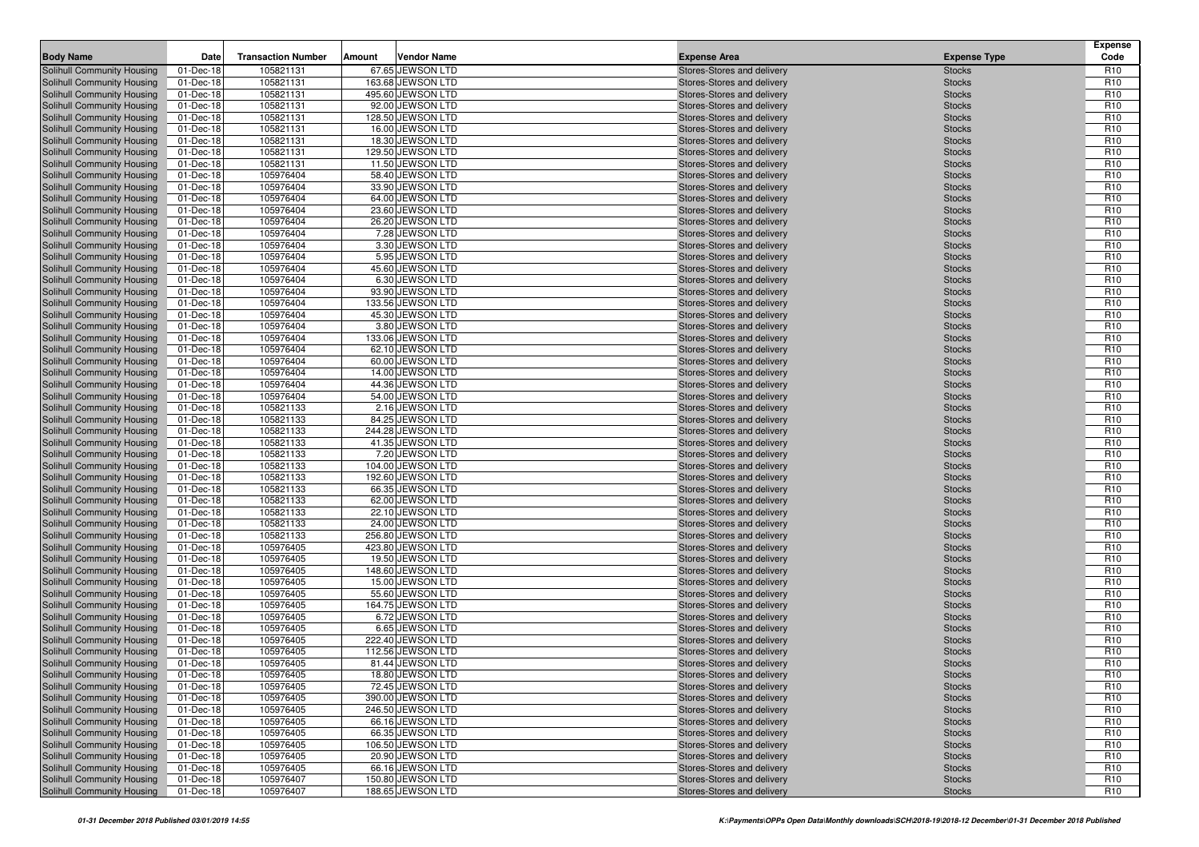| <b>Body Name</b>                                         | Date                   | <b>Transaction Number</b> | Amount | <b>Vendor Name</b>                    | <b>Expense Area</b>                                      | <b>Expense Type</b>            | <b>Expense</b><br>Code             |
|----------------------------------------------------------|------------------------|---------------------------|--------|---------------------------------------|----------------------------------------------------------|--------------------------------|------------------------------------|
| Solihull Community Housing                               | 01-Dec-18              | 105821131                 |        | 67.65 JEWSON LTD                      | Stores-Stores and delivery                               | <b>Stocks</b>                  | R <sub>10</sub>                    |
| Solihull Community Housing                               | 01-Dec-18              | 105821131                 |        | 163.68 JEWSON LTD                     | Stores-Stores and delivery                               | <b>Stocks</b>                  | R <sub>10</sub>                    |
| Solihull Community Housing                               | 01-Dec-18              | 105821131                 |        | 495.60 JEWSON LTD                     | Stores-Stores and delivery                               | <b>Stocks</b>                  | R <sub>10</sub>                    |
| Solihull Community Housing                               | 01-Dec-18              | 105821131                 |        | 92.00 JEWSON LTD                      | Stores-Stores and delivery                               | <b>Stocks</b>                  | R <sub>10</sub>                    |
| Solihull Community Housing                               | 01-Dec-18              | 105821131                 |        | 128.50 JEWSON LTD                     | Stores-Stores and delivery                               | <b>Stocks</b>                  | R <sub>10</sub>                    |
| Solihull Community Housing                               | 01-Dec-18              | 105821131                 |        | 16.00 JEWSON LTD                      | Stores-Stores and delivery                               | <b>Stocks</b>                  | R <sub>10</sub>                    |
| Solihull Community Housing                               | 01-Dec-18              | 105821131                 |        | 18.30 JEWSON LTD                      | Stores-Stores and delivery                               | <b>Stocks</b>                  | R <sub>10</sub>                    |
| Solihull Community Housing                               | 01-Dec-18              | 105821131                 |        | 129.50 JEWSON LTD                     | Stores-Stores and delivery                               | <b>Stocks</b>                  | R <sub>10</sub>                    |
| Solihull Community Housing                               | 01-Dec-18              | 105821131                 |        | 11.50 JEWSON LTD                      | Stores-Stores and delivery                               | <b>Stocks</b>                  | R <sub>10</sub>                    |
| Solihull Community Housing                               | 01-Dec-18              | 105976404                 |        | 58.40 JEWSON LTD                      | Stores-Stores and delivery                               | <b>Stocks</b>                  | R <sub>10</sub>                    |
| Solihull Community Housing                               | 01-Dec-18              | 105976404                 |        | 33.90 JEWSON LTD                      | Stores-Stores and delivery                               | <b>Stocks</b>                  | R <sub>10</sub>                    |
| Solihull Community Housing                               | 01-Dec-18              | 105976404                 |        | 64.00 JEWSON LTD                      | Stores-Stores and delivery                               | <b>Stocks</b>                  | R <sub>10</sub>                    |
| Solihull Community Housing                               | 01-Dec-18              | 105976404                 |        | 23.60 JEWSON LTD                      | Stores-Stores and delivery                               | <b>Stocks</b>                  | R <sub>10</sub>                    |
| Solihull Community Housing                               | 01-Dec-18              | 105976404                 |        | 26.20 JEWSON LTD                      | Stores-Stores and delivery                               | <b>Stocks</b>                  | R <sub>10</sub>                    |
| Solihull Community Housing                               | 01-Dec-18              | 105976404                 |        | 7.28 JEWSON LTD                       | Stores-Stores and delivery                               | <b>Stocks</b>                  | R <sub>10</sub>                    |
| Solihull Community Housing<br>Solihull Community Housing | 01-Dec-18<br>01-Dec-18 | 105976404<br>105976404    |        | 3.30 JEWSON LTD<br>5.95 JEWSON LTD    | Stores-Stores and delivery<br>Stores-Stores and delivery | <b>Stocks</b><br><b>Stocks</b> | R <sub>10</sub><br>R <sub>10</sub> |
| Solihull Community Housing                               | 01-Dec-18              | 105976404                 |        | 45.60 JEWSON LTD                      | Stores-Stores and delivery                               | <b>Stocks</b>                  | R <sub>10</sub>                    |
| Solihull Community Housing                               | 01-Dec-18              | 105976404                 |        | 6.30 JEWSON LTD                       | Stores-Stores and delivery                               | <b>Stocks</b>                  | R <sub>10</sub>                    |
| Solihull Community Housing                               | 01-Dec-18              | 105976404                 |        | 93.90 JEWSON LTD                      | Stores-Stores and delivery                               | <b>Stocks</b>                  | R <sub>10</sub>                    |
| Solihull Community Housing                               | 01-Dec-18              | 105976404                 |        | 133.56 JEWSON LTD                     | Stores-Stores and delivery                               | <b>Stocks</b>                  | R <sub>10</sub>                    |
| Solihull Community Housing                               | 01-Dec-18              | 105976404                 |        | 45.30 JEWSON LTD                      | Stores-Stores and delivery                               | <b>Stocks</b>                  | R <sub>10</sub>                    |
| Solihull Community Housing                               | 01-Dec-18              | 105976404                 |        | 3.80 JEWSON LTD                       | Stores-Stores and delivery                               | <b>Stocks</b>                  | R <sub>10</sub>                    |
| Solihull Community Housing                               | 01-Dec-18              | 105976404                 |        | 133.06 JEWSON LTD                     | Stores-Stores and delivery                               | <b>Stocks</b>                  | R <sub>10</sub>                    |
| Solihull Community Housing                               | 01-Dec-18              | 105976404                 |        | 62.10 JEWSON LTD                      | Stores-Stores and delivery                               | <b>Stocks</b>                  | R <sub>10</sub>                    |
| Solihull Community Housing                               | 01-Dec-18              | 105976404                 |        | 60.00 JEWSON LTD                      | Stores-Stores and delivery                               | <b>Stocks</b>                  | R <sub>10</sub>                    |
| Solihull Community Housing                               | 01-Dec-18              | 105976404                 |        | 14.00 JEWSON LTD                      | Stores-Stores and delivery                               | <b>Stocks</b>                  | R <sub>10</sub>                    |
| Solihull Community Housing                               | 01-Dec-18              | 105976404                 |        | 44.36 JEWSON LTD                      | Stores-Stores and delivery                               | <b>Stocks</b>                  | R <sub>10</sub>                    |
| Solihull Community Housing                               | 01-Dec-18              | 105976404                 |        | 54.00 JEWSON LTD                      | Stores-Stores and delivery                               | <b>Stocks</b>                  | R <sub>10</sub>                    |
| Solihull Community Housing                               | 01-Dec-18              | 105821133                 |        | 2.16 JEWSON LTD                       | Stores-Stores and delivery                               | <b>Stocks</b>                  | R <sub>10</sub>                    |
| Solihull Community Housing                               | 01-Dec-18              | 105821133                 |        | 84.25 JEWSON LTD                      | Stores-Stores and delivery                               | <b>Stocks</b>                  | R <sub>10</sub>                    |
| Solihull Community Housing                               | 01-Dec-18              | 105821133                 |        | 244.28 JEWSON LTD                     | Stores-Stores and delivery                               | <b>Stocks</b>                  | R <sub>10</sub>                    |
| Solihull Community Housing                               | 01-Dec-18              | 105821133                 |        | 41.35 JEWSON LTD                      | Stores-Stores and delivery                               | <b>Stocks</b>                  | R <sub>10</sub>                    |
| Solihull Community Housing                               | 01-Dec-18              | 105821133                 |        | 7.20 JEWSON LTD                       | Stores-Stores and delivery                               | <b>Stocks</b>                  | R <sub>10</sub>                    |
| Solihull Community Housing                               | 01-Dec-18              | 105821133                 |        | 104.00 JEWSON LTD                     | Stores-Stores and delivery                               | <b>Stocks</b>                  | R <sub>10</sub>                    |
| Solihull Community Housing                               | 01-Dec-18              | 105821133                 |        | 192.60 JEWSON LTD                     | Stores-Stores and delivery                               | <b>Stocks</b>                  | R <sub>10</sub>                    |
| Solihull Community Housing                               | 01-Dec-18              | 105821133                 |        | 66.35 JEWSON LTD                      | Stores-Stores and delivery                               | <b>Stocks</b>                  | R <sub>10</sub>                    |
| Solihull Community Housing                               | 01-Dec-18              | 105821133                 |        | 62.00 JEWSON LTD                      | Stores-Stores and delivery                               | <b>Stocks</b>                  | R <sub>10</sub>                    |
| Solihull Community Housing                               | 01-Dec-18              | 105821133                 |        | 22.10 JEWSON LTD                      | Stores-Stores and delivery                               | <b>Stocks</b>                  | R <sub>10</sub>                    |
| Solihull Community Housing                               | 01-Dec-18              | 105821133<br>105821133    |        | 24.00 JEWSON LTD<br>256.80 JEWSON LTD | Stores-Stores and delivery                               | <b>Stocks</b>                  | R <sub>10</sub><br>R <sub>10</sub> |
| Solihull Community Housing<br>Solihull Community Housing | 01-Dec-18<br>01-Dec-18 | 105976405                 |        | 423.80 JEWSON LTD                     | Stores-Stores and delivery<br>Stores-Stores and delivery | <b>Stocks</b><br><b>Stocks</b> | R <sub>10</sub>                    |
| Solihull Community Housing                               | 01-Dec-18              | 105976405                 |        | 19.50 JEWSON LTD                      | Stores-Stores and delivery                               | <b>Stocks</b>                  | R <sub>10</sub>                    |
| Solihull Community Housing                               | 01-Dec-18              | 105976405                 |        | 148.60 JEWSON LTD                     | Stores-Stores and delivery                               | <b>Stocks</b>                  | R <sub>10</sub>                    |
| Solihull Community Housing                               | 01-Dec-18              | 105976405                 |        | 15.00 JEWSON LTD                      | Stores-Stores and delivery                               | <b>Stocks</b>                  | R <sub>10</sub>                    |
| Solihull Community Housing                               | 01-Dec-18              | 105976405                 |        | 55.60 JEWSON LTD                      | Stores-Stores and delivery                               | <b>Stocks</b>                  | R <sub>10</sub>                    |
| Solihull Community Housing                               | 01-Dec-18              | 105976405                 |        | 164.75 JEWSON LTD                     | Stores-Stores and delivery                               | <b>Stocks</b>                  | R <sub>10</sub>                    |
| Solihull Community Housing                               | 01-Dec-18              | 105976405                 |        | 6.72 JEWSON LTD                       | Stores-Stores and delivery                               | <b>Stocks</b>                  | R <sub>10</sub>                    |
| Solihull Community Housing                               | 01-Dec-18              | 105976405                 |        | 6.65 JEWSON LTD                       | Stores-Stores and delivery                               | <b>Stocks</b>                  | R <sub>10</sub>                    |
| Solihull Community Housing                               | 01-Dec-18              | 105976405                 |        | 222.40 JEWSON LTD                     | Stores-Stores and delivery                               | <b>Stocks</b>                  | R <sub>10</sub>                    |
| Solihull Community Housing                               | 01-Dec-18              | 105976405                 |        | 112.56 JEWSON LTD                     | Stores-Stores and delivery                               | <b>Stocks</b>                  | R <sub>10</sub>                    |
| <b>Solihull Community Housing</b>                        | 01-Dec-18              | 105976405                 |        | 81.44 JEWSON LTD                      | Stores-Stores and delivery                               | <b>Stocks</b>                  | R <sub>10</sub>                    |
| Solihull Community Housing                               | 01-Dec-18              | 105976405                 |        | 18.80 JEWSON LTD                      | Stores-Stores and delivery                               | <b>Stocks</b>                  | R <sub>10</sub>                    |
| Solihull Community Housing                               | 01-Dec-18              | 105976405                 |        | 72.45 JEWSON LTD                      | Stores-Stores and delivery                               | <b>Stocks</b>                  | R <sub>10</sub>                    |
| Solihull Community Housing                               | 01-Dec-18              | 105976405                 |        | 390.00 JEWSON LTD                     | Stores-Stores and delivery                               | <b>Stocks</b>                  | R <sub>10</sub>                    |
| Solihull Community Housing                               | 01-Dec-18              | 105976405                 |        | 246.50 JEWSON LTD                     | Stores-Stores and delivery                               | <b>Stocks</b>                  | R <sub>10</sub>                    |
| Solihull Community Housing                               | 01-Dec-18              | 105976405                 |        | 66.16 JEWSON LTD                      | Stores-Stores and delivery                               | <b>Stocks</b>                  | R <sub>10</sub>                    |
| Solihull Community Housing                               | 01-Dec-18              | 105976405                 |        | 66.35 JEWSON LTD                      | Stores-Stores and delivery                               | <b>Stocks</b>                  | R <sub>10</sub>                    |
| Solihull Community Housing                               | 01-Dec-18              | 105976405                 |        | 106.50 JEWSON LTD                     | Stores-Stores and delivery                               | <b>Stocks</b>                  | R <sub>10</sub>                    |
| Solihull Community Housing                               | 01-Dec-18              | 105976405                 |        | 20.90 JEWSON LTD                      | Stores-Stores and delivery                               | <b>Stocks</b>                  | R <sub>10</sub>                    |
| Solihull Community Housing                               | 01-Dec-18              | 105976405                 |        | 66.16 JEWSON LTD                      | Stores-Stores and delivery                               | <b>Stocks</b>                  | R <sub>10</sub>                    |
| Solihull Community Housing                               | 01-Dec-18              | 105976407                 |        | 150.80 JEWSON LTD                     | Stores-Stores and delivery                               | <b>Stocks</b>                  | R <sub>10</sub>                    |
| Solihull Community Housing                               | 01-Dec-18              | 105976407                 |        | 188.65 JEWSON LTD                     | Stores-Stores and delivery                               | <b>Stocks</b>                  | R <sub>10</sub>                    |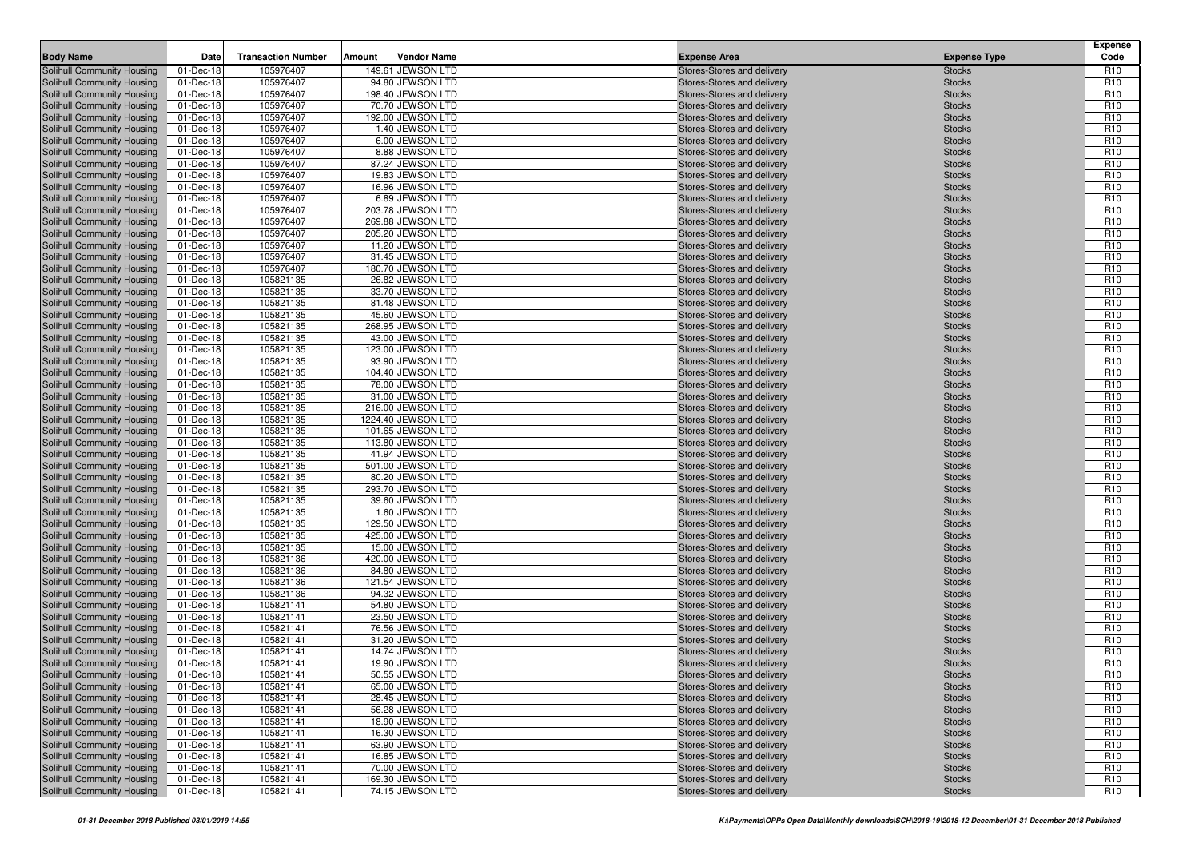| <b>Body Name</b>                                         | Date                   | <b>Transaction Number</b> | Amount | <b>Vendor Name</b>                    | <b>Expense Area</b>                                      | <b>Expense Type</b>            | <b>Expense</b><br>Code             |
|----------------------------------------------------------|------------------------|---------------------------|--------|---------------------------------------|----------------------------------------------------------|--------------------------------|------------------------------------|
| Solihull Community Housing                               | 01-Dec-18              | 105976407                 |        | 149.61 JEWSON LTD                     | Stores-Stores and delivery                               | <b>Stocks</b>                  | R <sub>10</sub>                    |
| Solihull Community Housing                               | 01-Dec-18              | 105976407                 |        | 94.80 JEWSON LTD                      | Stores-Stores and delivery                               | <b>Stocks</b>                  | R <sub>10</sub>                    |
| Solihull Community Housing                               | 01-Dec-18              | 105976407                 |        | 198.40 JEWSON LTD                     | Stores-Stores and delivery                               | <b>Stocks</b>                  | R <sub>10</sub>                    |
| Solihull Community Housing                               | 01-Dec-18              | 105976407                 |        | 70.70 JEWSON LTD                      | Stores-Stores and delivery                               | <b>Stocks</b>                  | R <sub>10</sub>                    |
| Solihull Community Housing                               | 01-Dec-18              | 105976407                 |        | 192.00 JEWSON LTD                     | Stores-Stores and delivery                               | <b>Stocks</b>                  | R <sub>10</sub>                    |
| Solihull Community Housing                               | 01-Dec-18              | 105976407                 |        | 1.40 JEWSON LTD                       | Stores-Stores and delivery                               | <b>Stocks</b>                  | R <sub>10</sub>                    |
| Solihull Community Housing                               | 01-Dec-18              | 105976407                 |        | 6.00 JEWSON LTD                       | Stores-Stores and delivery                               | <b>Stocks</b>                  | R <sub>10</sub>                    |
| Solihull Community Housing                               | 01-Dec-18              | 105976407                 |        | 8.88 JEWSON LTD                       | Stores-Stores and delivery                               | <b>Stocks</b>                  | R <sub>10</sub>                    |
| Solihull Community Housing                               | 01-Dec-18              | 105976407                 |        | 87.24 JEWSON LTD                      | Stores-Stores and delivery                               | <b>Stocks</b>                  | R <sub>10</sub>                    |
| Solihull Community Housing                               | 01-Dec-18              | 105976407                 |        | 19.83 JEWSON LTD                      | Stores-Stores and delivery                               | <b>Stocks</b>                  | R <sub>10</sub>                    |
| Solihull Community Housing                               | 01-Dec-18              | 105976407                 |        | 16.96 JEWSON LTD                      | Stores-Stores and delivery                               | <b>Stocks</b>                  | R <sub>10</sub>                    |
| Solihull Community Housing                               | 01-Dec-18              | 105976407                 |        | 6.89 JEWSON LTD                       | Stores-Stores and delivery                               | <b>Stocks</b>                  | R <sub>10</sub>                    |
| Solihull Community Housing                               | 01-Dec-18              | 105976407                 |        | 203.78 JEWSON LTD                     | Stores-Stores and delivery                               | <b>Stocks</b>                  | R <sub>10</sub>                    |
| Solihull Community Housing                               | 01-Dec-18              | 105976407                 |        | 269.88 JEWSON LTD                     | Stores-Stores and delivery                               | <b>Stocks</b>                  | R <sub>10</sub>                    |
| Solihull Community Housing                               | 01-Dec-18              | 105976407                 |        | 205.20 JEWSON LTD                     | Stores-Stores and delivery                               | <b>Stocks</b>                  | R <sub>10</sub>                    |
| Solihull Community Housing                               | 01-Dec-18              | 105976407                 |        | 11.20 JEWSON LTD                      | Stores-Stores and delivery                               | <b>Stocks</b>                  | R <sub>10</sub>                    |
| Solihull Community Housing                               | 01-Dec-18              | 105976407                 |        | 31.45 JEWSON LTD                      | Stores-Stores and delivery                               | <b>Stocks</b>                  | R <sub>10</sub>                    |
| Solihull Community Housing                               | 01-Dec-18              | 105976407                 |        | 180.70 JEWSON LTD                     | Stores-Stores and delivery                               | <b>Stocks</b>                  | R <sub>10</sub>                    |
| Solihull Community Housing                               | 01-Dec-18              | 105821135                 |        | 26.82 JEWSON LTD                      | Stores-Stores and delivery                               | <b>Stocks</b>                  | R <sub>10</sub>                    |
| Solihull Community Housing                               | 01-Dec-18              | 105821135                 |        | 33.70 JEWSON LTD                      | Stores-Stores and delivery                               | <b>Stocks</b>                  | R <sub>10</sub>                    |
| Solihull Community Housing                               | 01-Dec-18              | 105821135                 |        | 81.48 JEWSON LTD                      | Stores-Stores and delivery                               | <b>Stocks</b>                  | R <sub>10</sub>                    |
| Solihull Community Housing                               | 01-Dec-18              | 105821135                 |        | 45.60 JEWSON LTD                      | Stores-Stores and delivery                               | <b>Stocks</b>                  | R <sub>10</sub>                    |
| Solihull Community Housing                               | 01-Dec-18              | 105821135                 |        | 268.95 JEWSON LTD                     | Stores-Stores and delivery                               | <b>Stocks</b>                  | R <sub>10</sub>                    |
| Solihull Community Housing<br>Solihull Community Housing | 01-Dec-18              | 105821135                 |        | 43.00 JEWSON LTD                      | Stores-Stores and delivery                               | <b>Stocks</b>                  | R <sub>10</sub><br>R <sub>10</sub> |
| Solihull Community Housing                               | 01-Dec-18<br>01-Dec-18 | 105821135<br>105821135    |        | 123.00 JEWSON LTD<br>93.90 JEWSON LTD | Stores-Stores and delivery<br>Stores-Stores and delivery | <b>Stocks</b><br><b>Stocks</b> | R <sub>10</sub>                    |
| Solihull Community Housing                               | 01-Dec-18              | 105821135                 |        | 104.40 JEWSON LTD                     | Stores-Stores and delivery                               | <b>Stocks</b>                  | R <sub>10</sub>                    |
| Solihull Community Housing                               | 01-Dec-18              | 105821135                 |        | 78.00 JEWSON LTD                      | Stores-Stores and delivery                               | <b>Stocks</b>                  | R <sub>10</sub>                    |
| Solihull Community Housing                               | 01-Dec-18              | 105821135                 |        | 31.00 JEWSON LTD                      | Stores-Stores and delivery                               | <b>Stocks</b>                  | R <sub>10</sub>                    |
| Solihull Community Housing                               | 01-Dec-18              | 105821135                 |        | 216.00 JEWSON LTD                     | Stores-Stores and delivery                               | <b>Stocks</b>                  | R <sub>10</sub>                    |
| Solihull Community Housing                               | 01-Dec-18              | 105821135                 |        | 1224.40 JEWSON LTD                    | Stores-Stores and delivery                               | <b>Stocks</b>                  | R <sub>10</sub>                    |
| Solihull Community Housing                               | 01-Dec-18              | 105821135                 |        | 101.65 JEWSON LTD                     | Stores-Stores and delivery                               | <b>Stocks</b>                  | R <sub>10</sub>                    |
| Solihull Community Housing                               | 01-Dec-18              | 105821135                 |        | 113.80 JEWSON LTD                     | Stores-Stores and delivery                               | <b>Stocks</b>                  | R <sub>10</sub>                    |
| Solihull Community Housing                               | 01-Dec-18              | 105821135                 |        | 41.94 JEWSON LTD                      | Stores-Stores and delivery                               | <b>Stocks</b>                  | R <sub>10</sub>                    |
| Solihull Community Housing                               | 01-Dec-18              | 105821135                 |        | 501.00 JEWSON LTD                     | Stores-Stores and delivery                               | <b>Stocks</b>                  | R <sub>10</sub>                    |
| Solihull Community Housing                               | 01-Dec-18              | 105821135                 |        | 80.20 JEWSON LTD                      | Stores-Stores and delivery                               | <b>Stocks</b>                  | R <sub>10</sub>                    |
| Solihull Community Housing                               | 01-Dec-18              | 105821135                 |        | 293.70 JEWSON LTD                     | Stores-Stores and delivery                               | <b>Stocks</b>                  | R <sub>10</sub>                    |
| Solihull Community Housing                               | 01-Dec-18              | 105821135                 |        | 39.60 JEWSON LTD                      | Stores-Stores and delivery                               | <b>Stocks</b>                  | R <sub>10</sub>                    |
| Solihull Community Housing                               | 01-Dec-18              | 105821135                 |        | 1.60 JEWSON LTD                       | Stores-Stores and delivery                               | <b>Stocks</b>                  | R <sub>10</sub>                    |
| Solihull Community Housing                               | 01-Dec-18              | 105821135                 |        | 129.50 JEWSON LTD                     | Stores-Stores and delivery                               | <b>Stocks</b>                  | R <sub>10</sub>                    |
| Solihull Community Housing                               | 01-Dec-18              | 105821135                 |        | 425.00 JEWSON LTD                     | Stores-Stores and delivery                               | <b>Stocks</b>                  | R <sub>10</sub>                    |
| Solihull Community Housing                               | 01-Dec-18              | 105821135                 |        | 15.00 JEWSON LTD                      | Stores-Stores and delivery                               | <b>Stocks</b>                  | R <sub>10</sub>                    |
| Solihull Community Housing                               | 01-Dec-18              | 105821136                 |        | 420.00 JEWSON LTD                     | Stores-Stores and delivery                               | <b>Stocks</b>                  | R <sub>10</sub>                    |
| Solihull Community Housing                               | 01-Dec-18              | 105821136                 |        | 84.80 JEWSON LTD                      | Stores-Stores and delivery                               | <b>Stocks</b>                  | R <sub>10</sub>                    |
| Solihull Community Housing                               | 01-Dec-18              | 105821136                 |        | 121.54 JEWSON LTD                     | Stores-Stores and delivery                               | <b>Stocks</b>                  | R <sub>10</sub>                    |
| Solihull Community Housing                               | 01-Dec-18              | 105821136                 |        | 94.32 JEWSON LTD                      | Stores-Stores and delivery                               | <b>Stocks</b>                  | R <sub>10</sub>                    |
| Solihull Community Housing                               | 01-Dec-18              | 105821141                 |        | 54.80 JEWSON LTD                      | Stores-Stores and delivery                               | <b>Stocks</b>                  | R <sub>10</sub>                    |
| Solihull Community Housing                               | 01-Dec-18              | 105821141                 |        | 23.50 JEWSON LTD                      | Stores-Stores and delivery                               | <b>Stocks</b>                  | R <sub>10</sub>                    |
| Solihull Community Housing                               | 01-Dec-18              | 105821141                 |        | 76.56 JEWSON LTD                      | Stores-Stores and delivery                               | <b>Stocks</b>                  | R <sub>10</sub>                    |
| Solihull Community Housing                               | 01-Dec-18              | 105821141                 |        | 31.20 JEWSON LTD                      | Stores-Stores and delivery                               | <b>Stocks</b>                  | R <sub>10</sub>                    |
| Solihull Community Housing                               | 01-Dec-18              | 105821141                 |        | 14.74 JEWSON LTD                      | Stores-Stores and delivery                               | <b>Stocks</b>                  | R <sub>10</sub>                    |
| <b>Solihull Community Housing</b>                        | 01-Dec-18              | 105821141                 |        | 19.90 JEWSON LTD                      | Stores-Stores and delivery                               | <b>Stocks</b>                  | R <sub>10</sub>                    |
| Solihull Community Housing                               | 01-Dec-18              | 105821141                 |        | 50.55 JEWSON LTD                      | Stores-Stores and delivery                               | <b>Stocks</b>                  | R <sub>10</sub>                    |
| Solihull Community Housing                               | 01-Dec-18              | 105821141                 |        | 65.00 JEWSON LTD                      | Stores-Stores and delivery                               | <b>Stocks</b>                  | R <sub>10</sub>                    |
| Solihull Community Housing                               | 01-Dec-18              | 105821141                 |        | 28.45 JEWSON LTD                      | Stores-Stores and delivery                               | <b>Stocks</b>                  | R <sub>10</sub>                    |
| Solihull Community Housing                               | 01-Dec-18              | 105821141                 |        | 56.28 JEWSON LTD<br>18.90 JEWSON LTD  | Stores-Stores and delivery                               | <b>Stocks</b>                  | R <sub>10</sub>                    |
| Solihull Community Housing<br>Solihull Community Housing | 01-Dec-18<br>01-Dec-18 | 105821141<br>105821141    |        | 16.30 JEWSON LTD                      | Stores-Stores and delivery<br>Stores-Stores and delivery | <b>Stocks</b>                  | R <sub>10</sub><br>R <sub>10</sub> |
| Solihull Community Housing                               | 01-Dec-18              | 105821141                 |        | 63.90 JEWSON LTD                      | Stores-Stores and delivery                               | <b>Stocks</b>                  | R <sub>10</sub>                    |
| Solihull Community Housing                               | 01-Dec-18              | 105821141                 |        | 16.85 JEWSON LTD                      | Stores-Stores and delivery                               | <b>Stocks</b><br><b>Stocks</b> | R <sub>10</sub>                    |
| Solihull Community Housing                               | 01-Dec-18              | 105821141                 |        | 70.00 JEWSON LTD                      | Stores-Stores and delivery                               | <b>Stocks</b>                  | R <sub>10</sub>                    |
| Solihull Community Housing                               | 01-Dec-18              | 105821141                 |        | 169.30 JEWSON LTD                     | Stores-Stores and delivery                               | <b>Stocks</b>                  | R <sub>10</sub>                    |
| Solihull Community Housing                               | 01-Dec-18              | 105821141                 |        | 74.15 JEWSON LTD                      | Stores-Stores and delivery                               | <b>Stocks</b>                  | R <sub>10</sub>                    |
|                                                          |                        |                           |        |                                       |                                                          |                                |                                    |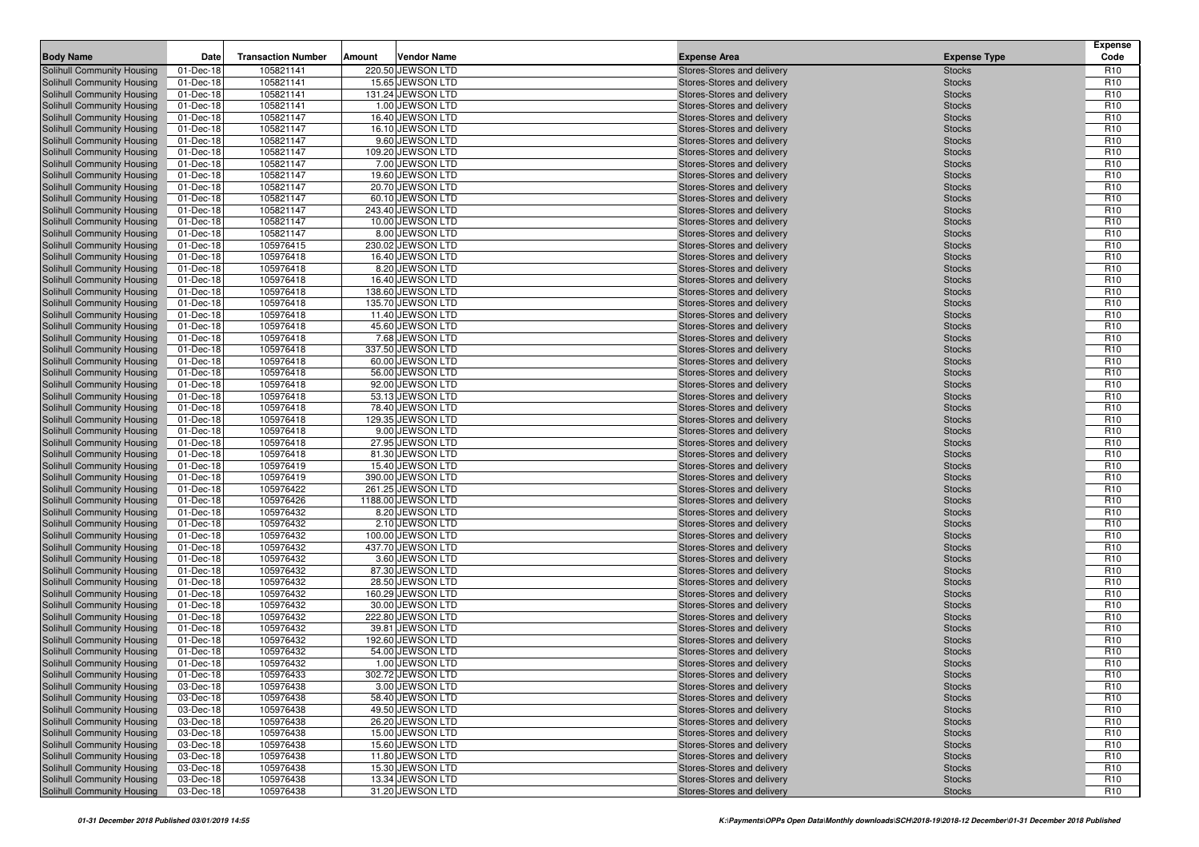| <b>Body Name</b>                                         | Date                   | <b>Transaction Number</b> | Amount | <b>Vendor Name</b>                   | <b>Expense Area</b>                                      | <b>Expense Type</b>            | <b>Expense</b><br>Code             |
|----------------------------------------------------------|------------------------|---------------------------|--------|--------------------------------------|----------------------------------------------------------|--------------------------------|------------------------------------|
| Solihull Community Housing                               | 01-Dec-18              | 105821141                 |        | 220.50 JEWSON LTD                    | Stores-Stores and delivery                               | <b>Stocks</b>                  | R <sub>10</sub>                    |
| Solihull Community Housing                               | 01-Dec-18              | 105821141                 |        | 15.65 JEWSON LTD                     | Stores-Stores and delivery                               | <b>Stocks</b>                  | R <sub>10</sub>                    |
| Solihull Community Housing                               | 01-Dec-18              | 105821141                 |        | 131.24 JEWSON LTD                    | Stores-Stores and delivery                               | <b>Stocks</b>                  | R <sub>10</sub>                    |
| Solihull Community Housing                               | 01-Dec-18              | 105821141                 |        | 1.00 JEWSON LTD                      | Stores-Stores and delivery                               | <b>Stocks</b>                  | R <sub>10</sub>                    |
| Solihull Community Housing                               | 01-Dec-18              | 105821147                 |        | 16.40 JEWSON LTD                     | Stores-Stores and delivery                               | <b>Stocks</b>                  | R <sub>10</sub>                    |
| Solihull Community Housing                               | 01-Dec-18              | 105821147                 |        | 16.10 JEWSON LTD                     | Stores-Stores and delivery                               | <b>Stocks</b>                  | R <sub>10</sub>                    |
| Solihull Community Housing                               | 01-Dec-18              | 105821147                 |        | 9.60 JEWSON LTD                      | Stores-Stores and delivery                               | <b>Stocks</b>                  | R <sub>10</sub>                    |
| Solihull Community Housing                               | 01-Dec-18              | 105821147                 |        | 109.20 JEWSON LTD                    | Stores-Stores and delivery                               | <b>Stocks</b>                  | R <sub>10</sub>                    |
| Solihull Community Housing                               | 01-Dec-18              | 105821147                 |        | 7.00 JEWSON LTD                      | Stores-Stores and delivery                               | <b>Stocks</b>                  | R <sub>10</sub>                    |
| <b>Solihull Community Housing</b>                        | 01-Dec-18              | 105821147                 |        | 19.60 JEWSON LTD                     | Stores-Stores and delivery                               | <b>Stocks</b>                  | R <sub>10</sub>                    |
| Solihull Community Housing                               | 01-Dec-18              | 105821147                 |        | 20.70 JEWSON LTD                     | Stores-Stores and delivery                               | <b>Stocks</b>                  | R <sub>10</sub>                    |
| Solihull Community Housing                               | 01-Dec-18              | 105821147                 |        | 60.10 JEWSON LTD                     | Stores-Stores and delivery                               | <b>Stocks</b>                  | R <sub>10</sub>                    |
| Solihull Community Housing                               | 01-Dec-18              | 105821147                 |        | 243.40 JEWSON LTD                    | Stores-Stores and delivery                               | <b>Stocks</b>                  | R <sub>10</sub>                    |
| Solihull Community Housing                               | 01-Dec-18              | 105821147                 |        | 10.00 JEWSON LTD                     | Stores-Stores and delivery                               | <b>Stocks</b>                  | R <sub>10</sub>                    |
| Solihull Community Housing                               | 01-Dec-18              | 105821147                 |        | 8.00 JEWSON LTD                      | Stores-Stores and delivery                               | <b>Stocks</b>                  | R <sub>10</sub>                    |
| Solihull Community Housing                               | 01-Dec-18              | 105976415                 |        | 230.02 JEWSON LTD                    | Stores-Stores and delivery                               | <b>Stocks</b>                  | R <sub>10</sub>                    |
| Solihull Community Housing                               | 01-Dec-18              | 105976418                 |        | 16.40 JEWSON LTD                     | Stores-Stores and delivery                               | <b>Stocks</b>                  | R <sub>10</sub>                    |
| Solihull Community Housing                               | 01-Dec-18              | 105976418                 |        | 8.20 JEWSON LTD<br>16.40 JEWSON LTD  | Stores-Stores and delivery                               | <b>Stocks</b>                  | R <sub>10</sub><br>R <sub>10</sub> |
| Solihull Community Housing<br>Solihull Community Housing | 01-Dec-18<br>01-Dec-18 | 105976418<br>105976418    |        | 138.60 JEWSON LTD                    | Stores-Stores and delivery<br>Stores-Stores and delivery | <b>Stocks</b><br><b>Stocks</b> | R <sub>10</sub>                    |
| Solihull Community Housing                               | 01-Dec-18              | 105976418                 |        | 135.70 JEWSON LTD                    | Stores-Stores and delivery                               | <b>Stocks</b>                  | R <sub>10</sub>                    |
| Solihull Community Housing                               | 01-Dec-18              | 105976418                 |        | 11.40 JEWSON LTD                     | Stores-Stores and delivery                               | <b>Stocks</b>                  | R <sub>10</sub>                    |
| Solihull Community Housing                               | 01-Dec-18              | 105976418                 |        | 45.60 JEWSON LTD                     | Stores-Stores and delivery                               | <b>Stocks</b>                  | R <sub>10</sub>                    |
| Solihull Community Housing                               | 01-Dec-18              | 105976418                 |        | 7.68 JEWSON LTD                      | Stores-Stores and delivery                               | <b>Stocks</b>                  | R <sub>10</sub>                    |
| Solihull Community Housing                               | 01-Dec-18              | 105976418                 |        | 337.50 JEWSON LTD                    | Stores-Stores and delivery                               | <b>Stocks</b>                  | R <sub>10</sub>                    |
| Solihull Community Housing                               | 01-Dec-18              | 105976418                 |        | 60.00 JEWSON LTD                     | Stores-Stores and delivery                               | <b>Stocks</b>                  | R <sub>10</sub>                    |
| Solihull Community Housing                               | 01-Dec-18              | 105976418                 |        | 56.00 JEWSON LTD                     | Stores-Stores and delivery                               | <b>Stocks</b>                  | R <sub>10</sub>                    |
| Solihull Community Housing                               | 01-Dec-18              | 105976418                 |        | 92.00 JEWSON LTD                     | Stores-Stores and delivery                               | <b>Stocks</b>                  | R <sub>10</sub>                    |
| Solihull Community Housing                               | 01-Dec-18              | 105976418                 |        | 53.13 JEWSON LTD                     | Stores-Stores and delivery                               | <b>Stocks</b>                  | R <sub>10</sub>                    |
| Solihull Community Housing                               | 01-Dec-18              | 105976418                 |        | 78.40 JEWSON LTD                     | Stores-Stores and delivery                               | <b>Stocks</b>                  | R <sub>10</sub>                    |
| Solihull Community Housing                               | 01-Dec-18              | 105976418                 |        | 129.35 JEWSON LTD                    | Stores-Stores and delivery                               | <b>Stocks</b>                  | R <sub>10</sub>                    |
| Solihull Community Housing                               | 01-Dec-18              | 105976418                 |        | 9.00 JEWSON LTD                      | Stores-Stores and delivery                               | <b>Stocks</b>                  | R <sub>10</sub>                    |
| Solihull Community Housing                               | 01-Dec-18              | 105976418                 |        | 27.95 JEWSON LTD                     | Stores-Stores and delivery                               | <b>Stocks</b>                  | R <sub>10</sub>                    |
| Solihull Community Housing                               | 01-Dec-18              | 105976418                 |        | 81.30 JEWSON LTD                     | Stores-Stores and delivery                               | <b>Stocks</b>                  | R <sub>10</sub>                    |
| <b>Solihull Community Housing</b>                        | 01-Dec-18              | 105976419                 |        | 15.40 JEWSON LTD                     | Stores-Stores and delivery                               | <b>Stocks</b>                  | R <sub>10</sub>                    |
| Solihull Community Housing                               | 01-Dec-18              | 105976419                 |        | 390.00 JEWSON LTD                    | Stores-Stores and delivery                               | <b>Stocks</b>                  | R <sub>10</sub>                    |
| Solihull Community Housing                               | 01-Dec-18              | 105976422                 |        | 261.25 JEWSON LTD                    | Stores-Stores and delivery                               | <b>Stocks</b>                  | R <sub>10</sub>                    |
| Solihull Community Housing                               | 01-Dec-18              | 105976426                 |        | 1188.00 JEWSON LTD                   | Stores-Stores and delivery                               | <b>Stocks</b>                  | R <sub>10</sub>                    |
| <b>Solihull Community Housing</b>                        | 01-Dec-18              | 105976432                 |        | 8.20 JEWSON LTD                      | Stores-Stores and delivery                               | <b>Stocks</b>                  | R <sub>10</sub>                    |
| Solihull Community Housing                               | 01-Dec-18              | 105976432                 |        | 2.10 JEWSON LTD                      | Stores-Stores and delivery                               | <b>Stocks</b>                  | R <sub>10</sub>                    |
| Solihull Community Housing                               | 01-Dec-18              | 105976432                 |        | 100.00 JEWSON LTD                    | Stores-Stores and delivery                               | <b>Stocks</b>                  | R <sub>10</sub>                    |
| Solihull Community Housing<br>Solihull Community Housing | 01-Dec-18<br>01-Dec-18 | 105976432<br>105976432    |        | 437.70 JEWSON LTD<br>3.60 JEWSON LTD | Stores-Stores and delivery<br>Stores-Stores and delivery | <b>Stocks</b><br><b>Stocks</b> | R <sub>10</sub><br>R <sub>10</sub> |
| Solihull Community Housing                               | 01-Dec-18              | 105976432                 |        | 87.30 JEWSON LTD                     | Stores-Stores and delivery                               | <b>Stocks</b>                  | R <sub>10</sub>                    |
| Solihull Community Housing                               | 01-Dec-18              | 105976432                 |        | 28.50 JEWSON LTD                     | Stores-Stores and delivery                               | <b>Stocks</b>                  | R <sub>10</sub>                    |
| Solihull Community Housing                               | 01-Dec-18              | 105976432                 |        | 160.29 JEWSON LTD                    | Stores-Stores and delivery                               | <b>Stocks</b>                  | R <sub>10</sub>                    |
| Solihull Community Housing                               | 01-Dec-18              | 105976432                 |        | 30.00 JEWSON LTD                     | Stores-Stores and delivery                               | <b>Stocks</b>                  | R <sub>10</sub>                    |
| Solihull Community Housing                               | 01-Dec-18              | 105976432                 |        | 222.80 JEWSON LTD                    | Stores-Stores and delivery                               | <b>Stocks</b>                  | R <sub>10</sub>                    |
| Solihull Community Housing                               | 01-Dec-18              | 105976432                 |        | 39.81 JEWSON LTD                     | Stores-Stores and delivery                               | <b>Stocks</b>                  | R <sub>10</sub>                    |
| Solihull Community Housing                               | 01-Dec-18              | 105976432                 |        | 192.60 JEWSON LTD                    | Stores-Stores and delivery                               | <b>Stocks</b>                  | R <sub>10</sub>                    |
| Solihull Community Housing                               | 01-Dec-18              | 105976432                 |        | 54.00 JEWSON LTD                     | Stores-Stores and delivery                               | <b>Stocks</b>                  | R <sub>10</sub>                    |
| Solihull Community Housing                               | 01-Dec-18              | 105976432                 |        | 1.00 JEWSON LTD                      | Stores-Stores and delivery                               | <b>Stocks</b>                  | R <sub>10</sub>                    |
| Solihull Community Housing                               | 01-Dec-18              | 105976433                 |        | 302.72 JEWSON LTD                    | Stores-Stores and delivery                               | <b>Stocks</b>                  | R <sub>10</sub>                    |
| Solihull Community Housing                               | 03-Dec-18              | 105976438                 |        | 3.00 JEWSON LTD                      | Stores-Stores and delivery                               | <b>Stocks</b>                  | R <sub>10</sub>                    |
| Solihull Community Housing                               | 03-Dec-18              | 105976438                 |        | 58.40 JEWSON LTD                     | Stores-Stores and delivery                               | <b>Stocks</b>                  | R <sub>10</sub>                    |
| Solihull Community Housing                               | 03-Dec-18              | 105976438                 |        | 49.50 JEWSON LTD                     | Stores-Stores and delivery                               | <b>Stocks</b>                  | R <sub>10</sub>                    |
| Solihull Community Housing                               | 03-Dec-18              | 105976438                 |        | 26.20 JEWSON LTD                     | Stores-Stores and delivery                               | <b>Stocks</b>                  | R <sub>10</sub>                    |
| Solihull Community Housing                               | 03-Dec-18              | 105976438                 |        | 15.00 JEWSON LTD                     | Stores-Stores and delivery                               | <b>Stocks</b>                  | R <sub>10</sub>                    |
| Solihull Community Housing                               | 03-Dec-18              | 105976438                 |        | 15.60 JEWSON LTD                     | Stores-Stores and delivery                               | <b>Stocks</b>                  | R <sub>10</sub>                    |
| <b>Solihull Community Housing</b>                        | 03-Dec-18              | 105976438                 |        | 11.80 JEWSON LTD                     | Stores-Stores and delivery                               | <b>Stocks</b>                  | R <sub>10</sub>                    |
| Solihull Community Housing                               | 03-Dec-18              | 105976438                 |        | 15.30 JEWSON LTD                     | Stores-Stores and delivery                               | <b>Stocks</b>                  | R <sub>10</sub>                    |
| Solihull Community Housing                               | 03-Dec-18              | 105976438                 |        | 13.34 JEWSON LTD                     | Stores-Stores and delivery                               | <b>Stocks</b>                  | R <sub>10</sub>                    |
| Solihull Community Housing                               | 03-Dec-18              | 105976438                 |        | 31.20 JEWSON LTD                     | Stores-Stores and delivery                               | <b>Stocks</b>                  | R <sub>10</sub>                    |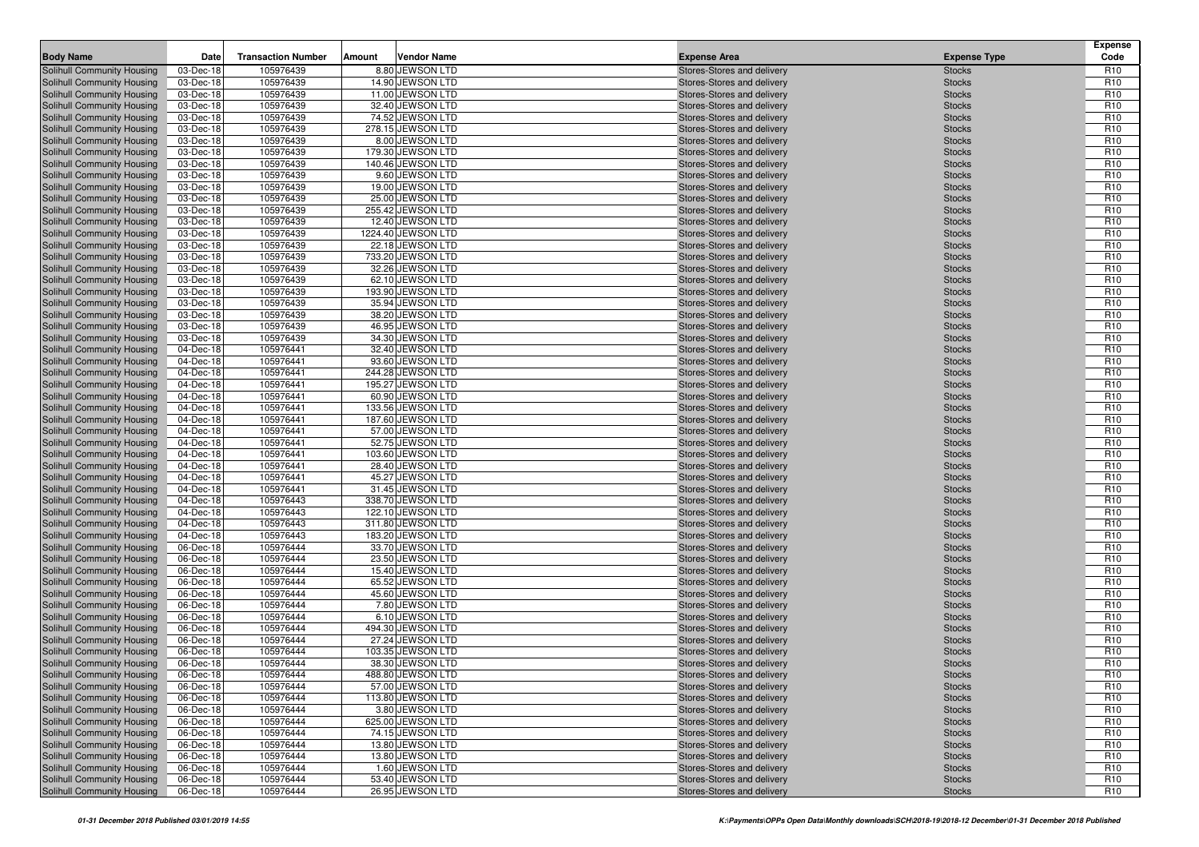| <b>Body Name</b>                                         | Date                   | <b>Transaction Number</b> | Amount | <b>Vendor Name</b>                     | <b>Expense Area</b>                                      | <b>Expense Type</b>            | <b>Expense</b><br>Code             |
|----------------------------------------------------------|------------------------|---------------------------|--------|----------------------------------------|----------------------------------------------------------|--------------------------------|------------------------------------|
| Solihull Community Housing                               | 03-Dec-18              | 105976439                 |        | 8.80 JEWSON LTD                        | Stores-Stores and delivery                               | <b>Stocks</b>                  | R <sub>10</sub>                    |
| Solihull Community Housing                               | 03-Dec-18              | 105976439                 |        | 14.90 JEWSON LTD                       | Stores-Stores and delivery                               | <b>Stocks</b>                  | R <sub>10</sub>                    |
| Solihull Community Housing                               | 03-Dec-18              | 105976439                 |        | 11.00 JEWSON LTD                       | Stores-Stores and delivery                               | <b>Stocks</b>                  | R <sub>10</sub>                    |
| Solihull Community Housing                               | 03-Dec-18              | 105976439                 |        | 32.40 JEWSON LTD                       | Stores-Stores and delivery                               | <b>Stocks</b>                  | R <sub>10</sub>                    |
| Solihull Community Housing                               | 03-Dec-18              | 105976439                 |        | 74.52 JEWSON LTD                       | Stores-Stores and delivery                               | <b>Stocks</b>                  | R <sub>10</sub>                    |
| Solihull Community Housing                               | 03-Dec-18              | 105976439                 |        | 278.15 JEWSON LTD                      | Stores-Stores and delivery                               | <b>Stocks</b>                  | R <sub>10</sub>                    |
| Solihull Community Housing                               | 03-Dec-18              | 105976439                 |        | 8.00 JEWSON LTD                        | Stores-Stores and delivery                               | <b>Stocks</b>                  | R <sub>10</sub>                    |
| Solihull Community Housing                               | 03-Dec-18              | 105976439                 |        | 179.30 JEWSON LTD                      | Stores-Stores and delivery                               | <b>Stocks</b>                  | R <sub>10</sub>                    |
| Solihull Community Housing                               | 03-Dec-18              | 105976439                 |        | 140.46 JEWSON LTD                      | Stores-Stores and delivery                               | <b>Stocks</b>                  | R <sub>10</sub>                    |
| Solihull Community Housing                               | 03-Dec-18              | 105976439                 |        | 9.60 JEWSON LTD                        | Stores-Stores and delivery                               | <b>Stocks</b>                  | R <sub>10</sub>                    |
| Solihull Community Housing                               | 03-Dec-18              | 105976439                 |        | 19.00 JEWSON LTD                       | Stores-Stores and delivery                               | <b>Stocks</b>                  | R <sub>10</sub>                    |
| Solihull Community Housing                               | 03-Dec-18              | 105976439                 |        | 25.00 JEWSON LTD                       | Stores-Stores and delivery                               | <b>Stocks</b>                  | R <sub>10</sub>                    |
| Solihull Community Housing                               | 03-Dec-18              | 105976439                 |        | 255.42 JEWSON LTD                      | Stores-Stores and delivery                               | <b>Stocks</b>                  | R <sub>10</sub>                    |
| Solihull Community Housing                               | 03-Dec-18              | 105976439                 |        | 12.40 JEWSON LTD                       | Stores-Stores and delivery                               | <b>Stocks</b>                  | R <sub>10</sub>                    |
| Solihull Community Housing                               | 03-Dec-18              | 105976439                 |        | 1224.40 JEWSON LTD<br>22.18 JEWSON LTD | Stores-Stores and delivery                               | <b>Stocks</b>                  | R <sub>10</sub>                    |
| Solihull Community Housing<br>Solihull Community Housing | 03-Dec-18<br>03-Dec-18 | 105976439<br>105976439    |        | 733.20 JEWSON LTD                      | Stores-Stores and delivery<br>Stores-Stores and delivery | <b>Stocks</b><br><b>Stocks</b> | R <sub>10</sub><br>R <sub>10</sub> |
| Solihull Community Housing                               | 03-Dec-18              | 105976439                 |        | 32.26 JEWSON LTD                       | Stores-Stores and delivery                               | <b>Stocks</b>                  | R <sub>10</sub>                    |
| Solihull Community Housing                               | 03-Dec-18              | 105976439                 |        | 62.10 JEWSON LTD                       | Stores-Stores and delivery                               | <b>Stocks</b>                  | R <sub>10</sub>                    |
| Solihull Community Housing                               | 03-Dec-18              | 105976439                 |        | 193.90 JEWSON LTD                      | Stores-Stores and delivery                               | <b>Stocks</b>                  | R <sub>10</sub>                    |
| Solihull Community Housing                               | 03-Dec-18              | 105976439                 |        | 35.94 JEWSON LTD                       | Stores-Stores and delivery                               | <b>Stocks</b>                  | R <sub>10</sub>                    |
| Solihull Community Housing                               | 03-Dec-18              | 105976439                 |        | 38.20 JEWSON LTD                       | Stores-Stores and delivery                               | <b>Stocks</b>                  | R <sub>10</sub>                    |
| Solihull Community Housing                               | 03-Dec-18              | 105976439                 |        | 46.95 JEWSON LTD                       | Stores-Stores and delivery                               | <b>Stocks</b>                  | R <sub>10</sub>                    |
| Solihull Community Housing                               | 03-Dec-18              | 105976439                 |        | 34.30 JEWSON LTD                       | Stores-Stores and delivery                               | <b>Stocks</b>                  | R <sub>10</sub>                    |
| Solihull Community Housing                               | 04-Dec-18              | 105976441                 |        | 32.40 JEWSON LTD                       | Stores-Stores and delivery                               | <b>Stocks</b>                  | R <sub>10</sub>                    |
| Solihull Community Housing                               | 04-Dec-18              | 105976441                 |        | 93.60 JEWSON LTD                       | Stores-Stores and delivery                               | <b>Stocks</b>                  | R <sub>10</sub>                    |
| Solihull Community Housing                               | 04-Dec-18              | 105976441                 |        | 244.28 JEWSON LTD                      | Stores-Stores and delivery                               | <b>Stocks</b>                  | R <sub>10</sub>                    |
| Solihull Community Housing                               | 04-Dec-18              | 105976441                 |        | 195.27 JEWSON LTD                      | Stores-Stores and delivery                               | <b>Stocks</b>                  | R <sub>10</sub>                    |
| Solihull Community Housing                               | 04-Dec-18              | 105976441                 |        | 60.90 JEWSON LTD                       | Stores-Stores and delivery                               | <b>Stocks</b>                  | R <sub>10</sub>                    |
| Solihull Community Housing                               | 04-Dec-18              | 105976441                 |        | 133.56 JEWSON LTD                      | Stores-Stores and delivery                               | <b>Stocks</b>                  | R <sub>10</sub>                    |
| Solihull Community Housing                               | 04-Dec-18              | 105976441                 |        | 187.60 JEWSON LTD                      | Stores-Stores and delivery                               | <b>Stocks</b>                  | R <sub>10</sub>                    |
| Solihull Community Housing                               | 04-Dec-18              | 105976441                 |        | 57.00 JEWSON LTD                       | Stores-Stores and delivery                               | <b>Stocks</b>                  | R <sub>10</sub>                    |
| Solihull Community Housing                               | 04-Dec-18              | 105976441                 |        | 52.75 JEWSON LTD                       | Stores-Stores and delivery                               | <b>Stocks</b>                  | R <sub>10</sub>                    |
| Solihull Community Housing                               | 04-Dec-18              | 105976441                 |        | 103.60 JEWSON LTD                      | Stores-Stores and delivery                               | <b>Stocks</b>                  | R <sub>10</sub>                    |
| Solihull Community Housing                               | 04-Dec-18              | 105976441                 |        | 28.40 JEWSON LTD                       | Stores-Stores and delivery                               | <b>Stocks</b>                  | R <sub>10</sub>                    |
| Solihull Community Housing                               | 04-Dec-18              | 105976441                 |        | 45.27 JEWSON LTD                       | Stores-Stores and delivery                               | <b>Stocks</b>                  | R <sub>10</sub>                    |
| Solihull Community Housing                               | 04-Dec-18              | 105976441                 |        | 31.45 JEWSON LTD                       | Stores-Stores and delivery                               | <b>Stocks</b>                  | R <sub>10</sub>                    |
| Solihull Community Housing<br>Solihull Community Housing | 04-Dec-18<br>04-Dec-18 | 105976443<br>105976443    |        | 338.70 JEWSON LTD<br>122.10 JEWSON LTD | Stores-Stores and delivery                               | <b>Stocks</b><br><b>Stocks</b> | R <sub>10</sub><br>R <sub>10</sub> |
| Solihull Community Housing                               | 04-Dec-18              | 105976443                 |        | 311.80 JEWSON LTD                      | Stores-Stores and delivery<br>Stores-Stores and delivery | <b>Stocks</b>                  | R <sub>10</sub>                    |
| Solihull Community Housing                               | 04-Dec-18              | 105976443                 |        | 183.20 JEWSON LTD                      | Stores-Stores and delivery                               | <b>Stocks</b>                  | R <sub>10</sub>                    |
| Solihull Community Housing                               | 06-Dec-18              | 105976444                 |        | 33.70 JEWSON LTD                       | Stores-Stores and delivery                               | <b>Stocks</b>                  | R <sub>10</sub>                    |
| Solihull Community Housing                               | 06-Dec-18              | 105976444                 |        | 23.50 JEWSON LTD                       | Stores-Stores and delivery                               | <b>Stocks</b>                  | R <sub>10</sub>                    |
| Solihull Community Housing                               | 06-Dec-18              | 105976444                 |        | 15.40 JEWSON LTD                       | Stores-Stores and delivery                               | <b>Stocks</b>                  | R <sub>10</sub>                    |
| Solihull Community Housing                               | 06-Dec-18              | 105976444                 |        | 65.52 JEWSON LTD                       | Stores-Stores and delivery                               | <b>Stocks</b>                  | R <sub>10</sub>                    |
| Solihull Community Housing                               | 06-Dec-18              | 105976444                 |        | 45.60 JEWSON LTD                       | Stores-Stores and delivery                               | <b>Stocks</b>                  | R <sub>10</sub>                    |
| Solihull Community Housing                               | 06-Dec-18              | 105976444                 |        | 7.80 JEWSON LTD                        | Stores-Stores and delivery                               | <b>Stocks</b>                  | R <sub>10</sub>                    |
| Solihull Community Housing                               | 06-Dec-18              | 105976444                 |        | 6.10 JEWSON LTD                        | Stores-Stores and delivery                               | <b>Stocks</b>                  | R <sub>10</sub>                    |
| Solihull Community Housing                               | 06-Dec-18              | 105976444                 |        | 494.30 JEWSON LTD                      | Stores-Stores and delivery                               | <b>Stocks</b>                  | R <sub>10</sub>                    |
| Solihull Community Housing                               | 06-Dec-18              | 105976444                 |        | 27.24 JEWSON LTD                       | Stores-Stores and delivery                               | <b>Stocks</b>                  | R <sub>10</sub>                    |
| Solihull Community Housing                               | 06-Dec-18              | 105976444                 |        | 103.35 JEWSON LTD                      | Stores-Stores and delivery                               | <b>Stocks</b>                  | R <sub>10</sub>                    |
| <b>Solihull Community Housing</b>                        | 06-Dec-18              | 105976444                 |        | 38.30 JEWSON LTD                       | Stores-Stores and delivery                               | <b>Stocks</b>                  | R <sub>10</sub>                    |
| Solihull Community Housing                               | 06-Dec-18              | 105976444                 |        | 488.80 JEWSON LTD                      | Stores-Stores and delivery                               | <b>Stocks</b>                  | R <sub>10</sub>                    |
| Solihull Community Housing                               | 06-Dec-18              | 105976444                 |        | 57.00 JEWSON LTD                       | Stores-Stores and delivery                               | <b>Stocks</b>                  | R <sub>10</sub>                    |
| Solihull Community Housing                               | 06-Dec-18              | 105976444                 |        | 113.80 JEWSON LTD                      | Stores-Stores and delivery                               | <b>Stocks</b>                  | R <sub>10</sub>                    |
| Solihull Community Housing                               | 06-Dec-18              | 105976444                 |        | 3.80 JEWSON LTD                        | Stores-Stores and delivery                               | <b>Stocks</b>                  | R <sub>10</sub>                    |
| Solihull Community Housing                               | 06-Dec-18              | 105976444                 |        | 625.00 JEWSON LTD                      | Stores-Stores and delivery                               | <b>Stocks</b>                  | R <sub>10</sub>                    |
| Solihull Community Housing                               | 06-Dec-18              | 105976444                 |        | 74.15 JEWSON LTD                       | Stores-Stores and delivery                               | <b>Stocks</b>                  | R <sub>10</sub>                    |
| Solihull Community Housing                               | 06-Dec-18              | 105976444                 |        | 13.80 JEWSON LTD                       | Stores-Stores and delivery                               | <b>Stocks</b>                  | R <sub>10</sub>                    |
| Solihull Community Housing                               | 06-Dec-18              | 105976444                 |        | 13.80 JEWSON LTD                       | Stores-Stores and delivery                               | <b>Stocks</b>                  | R <sub>10</sub>                    |
| Solihull Community Housing                               | 06-Dec-18              | 105976444                 |        | 1.60 JEWSON LTD                        | Stores-Stores and delivery                               | <b>Stocks</b>                  | R <sub>10</sub>                    |
| Solihull Community Housing                               | 06-Dec-18              | 105976444                 |        | 53.40 JEWSON LTD                       | Stores-Stores and delivery                               | <b>Stocks</b>                  | R <sub>10</sub>                    |
| Solihull Community Housing                               | 06-Dec-18              | 105976444                 |        | 26.95 JEWSON LTD                       | Stores-Stores and delivery                               | <b>Stocks</b>                  | R <sub>10</sub>                    |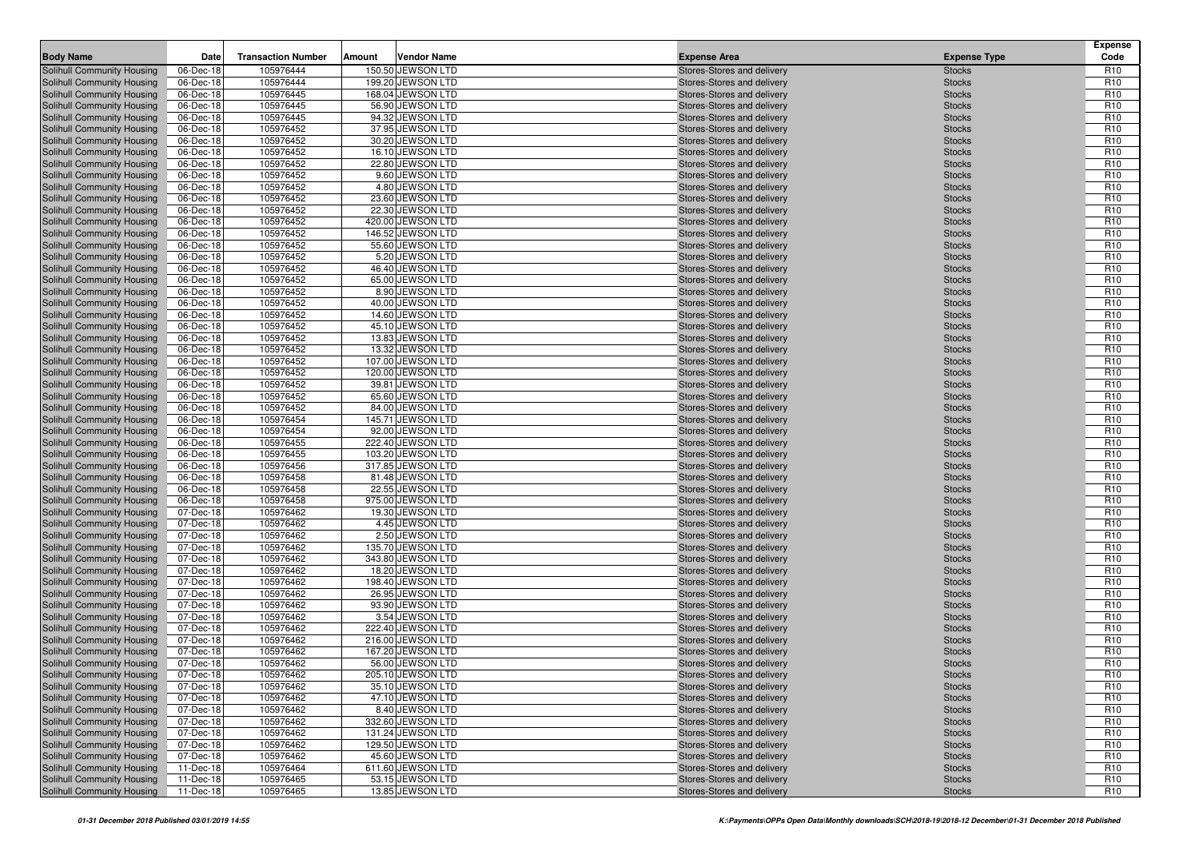| <b>Body Name</b>                                         | Date                   | <b>Transaction Number</b> | Amount | <b>Vendor Name</b>                     | <b>Expense Area</b>                                      | <b>Expense Type</b>            | <b>Expense</b><br>Code             |
|----------------------------------------------------------|------------------------|---------------------------|--------|----------------------------------------|----------------------------------------------------------|--------------------------------|------------------------------------|
| Solihull Community Housing                               | 06-Dec-18              | 105976444                 |        | 150.50 JEWSON LTD                      | Stores-Stores and delivery                               | <b>Stocks</b>                  | R <sub>10</sub>                    |
| Solihull Community Housing                               | 06-Dec-18              | 105976444                 |        | 199.20 JEWSON LTD                      | Stores-Stores and delivery                               | <b>Stocks</b>                  | R <sub>10</sub>                    |
| Solihull Community Housing                               | 06-Dec-18              | 105976445                 |        | 168.04 JEWSON LTD                      | Stores-Stores and delivery                               | <b>Stocks</b>                  | R <sub>10</sub>                    |
| Solihull Community Housing                               | 06-Dec-18              | 105976445                 |        | 56.90 JEWSON LTD                       | Stores-Stores and delivery                               | <b>Stocks</b>                  | R <sub>10</sub>                    |
| Solihull Community Housing                               | 06-Dec-18              | 105976445                 |        | 94.32 JEWSON LTD                       | Stores-Stores and delivery                               | <b>Stocks</b>                  | R <sub>10</sub>                    |
| Solihull Community Housing                               | 06-Dec-18              | 105976452                 |        | 37.95 JEWSON LTD                       | Stores-Stores and delivery                               | <b>Stocks</b>                  | R <sub>10</sub>                    |
| Solihull Community Housing                               | 06-Dec-18              | 105976452                 |        | 30.20 JEWSON LTD                       | Stores-Stores and delivery                               | <b>Stocks</b>                  | R <sub>10</sub>                    |
| Solihull Community Housing                               | 06-Dec-18              | 105976452                 |        | 16.10 JEWSON LTD                       | Stores-Stores and delivery                               | <b>Stocks</b>                  | R <sub>10</sub>                    |
| Solihull Community Housing                               | 06-Dec-18              | 105976452                 |        | 22.80 JEWSON LTD                       | Stores-Stores and delivery                               | <b>Stocks</b>                  | R <sub>10</sub>                    |
| Solihull Community Housing                               | 06-Dec-18              | 105976452                 |        | 9.60 JEWSON LTD                        | Stores-Stores and delivery                               | <b>Stocks</b>                  | R <sub>10</sub>                    |
| Solihull Community Housing                               | 06-Dec-18              | 105976452                 |        | 4.80 JEWSON LTD                        | Stores-Stores and delivery                               | <b>Stocks</b>                  | R <sub>10</sub>                    |
| Solihull Community Housing                               | 06-Dec-18              | 105976452                 |        | 23.60 JEWSON LTD                       | Stores-Stores and delivery                               | <b>Stocks</b>                  | R <sub>10</sub>                    |
| Solihull Community Housing                               | 06-Dec-18              | 105976452                 |        | 22.30 JEWSON LTD                       | Stores-Stores and delivery                               | <b>Stocks</b>                  | R <sub>10</sub>                    |
| Solihull Community Housing                               | 06-Dec-18              | 105976452                 |        | 420.00 JEWSON LTD                      | Stores-Stores and delivery                               | <b>Stocks</b>                  | R <sub>10</sub>                    |
| Solihull Community Housing                               | 06-Dec-18              | 105976452                 |        | 146.52 JEWSON LTD                      | Stores-Stores and delivery                               | <b>Stocks</b>                  | R <sub>10</sub>                    |
| Solihull Community Housing                               | 06-Dec-18              | 105976452                 |        | 55.60 JEWSON LTD                       | Stores-Stores and delivery                               | <b>Stocks</b>                  | R <sub>10</sub>                    |
| Solihull Community Housing                               | 06-Dec-18              | 105976452                 |        | 5.20 JEWSON LTD                        | Stores-Stores and delivery                               | <b>Stocks</b>                  | R <sub>10</sub>                    |
| Solihull Community Housing                               | 06-Dec-18              | 105976452                 |        | 46.40 JEWSON LTD                       | Stores-Stores and delivery                               | <b>Stocks</b>                  | R <sub>10</sub>                    |
| Solihull Community Housing                               | 06-Dec-18              | 105976452                 |        | 65.00 JEWSON LTD                       | Stores-Stores and delivery                               | <b>Stocks</b>                  | R <sub>10</sub>                    |
| Solihull Community Housing                               | 06-Dec-18              | 105976452                 |        | 8.90 JEWSON LTD                        | Stores-Stores and delivery                               | <b>Stocks</b>                  | R <sub>10</sub>                    |
| Solihull Community Housing                               | 06-Dec-18              | 105976452                 |        | 40.00 JEWSON LTD                       | Stores-Stores and delivery                               | <b>Stocks</b>                  | R <sub>10</sub>                    |
| Solihull Community Housing                               | 06-Dec-18              | 105976452                 |        | 14.60 JEWSON LTD                       | Stores-Stores and delivery                               | <b>Stocks</b>                  | R <sub>10</sub>                    |
| Solihull Community Housing                               | 06-Dec-18              | 105976452                 |        | 45.10 JEWSON LTD                       | Stores-Stores and delivery                               | <b>Stocks</b>                  | R <sub>10</sub>                    |
| Solihull Community Housing                               | 06-Dec-18              | 105976452                 |        | 13.83 JEWSON LTD                       | Stores-Stores and delivery                               | <b>Stocks</b>                  | R <sub>10</sub>                    |
| Solihull Community Housing                               | 06-Dec-18              | 105976452                 |        | 13.32 JEWSON LTD                       | Stores-Stores and delivery                               | <b>Stocks</b>                  | R <sub>10</sub>                    |
| Solihull Community Housing                               | 06-Dec-18              | 105976452                 |        | 107.00 JEWSON LTD                      | Stores-Stores and delivery                               | <b>Stocks</b>                  | R <sub>10</sub>                    |
| Solihull Community Housing                               | 06-Dec-18              | 105976452                 |        | 120.00 JEWSON LTD                      | Stores-Stores and delivery                               | <b>Stocks</b>                  | R <sub>10</sub>                    |
| Solihull Community Housing                               | 06-Dec-18              | 105976452                 |        | 39.81 JEWSON LTD                       | Stores-Stores and delivery                               | <b>Stocks</b>                  | R <sub>10</sub>                    |
| Solihull Community Housing                               | 06-Dec-18              | 105976452                 |        | 65.60 JEWSON LTD                       | Stores-Stores and delivery                               | <b>Stocks</b>                  | R <sub>10</sub>                    |
| Solihull Community Housing                               | 06-Dec-18              | 105976452                 |        | 84.00 JEWSON LTD                       | Stores-Stores and delivery                               | <b>Stocks</b>                  | R <sub>10</sub>                    |
| Solihull Community Housing                               | 06-Dec-18              | 105976454                 |        | 145.71 JEWSON LTD                      | Stores-Stores and delivery                               | <b>Stocks</b>                  | R <sub>10</sub>                    |
| Solihull Community Housing                               | 06-Dec-18              | 105976454                 |        | 92.00 JEWSON LTD                       | Stores-Stores and delivery                               | <b>Stocks</b>                  | R <sub>10</sub>                    |
| Solihull Community Housing                               | 06-Dec-18<br>06-Dec-18 | 105976455<br>105976455    |        | 222.40 JEWSON LTD                      | Stores-Stores and delivery                               | <b>Stocks</b>                  | R <sub>10</sub><br>R <sub>10</sub> |
| Solihull Community Housing<br>Solihull Community Housing | 06-Dec-18              | 105976456                 |        | 103.20 JEWSON LTD<br>317.85 JEWSON LTD | Stores-Stores and delivery<br>Stores-Stores and delivery | <b>Stocks</b><br><b>Stocks</b> | R <sub>10</sub>                    |
| Solihull Community Housing                               | 06-Dec-18              | 105976458                 |        | 81.48 JEWSON LTD                       | Stores-Stores and delivery                               | <b>Stocks</b>                  | R <sub>10</sub>                    |
| Solihull Community Housing                               | 06-Dec-18              | 105976458                 |        | 22.55 JEWSON LTD                       | Stores-Stores and delivery                               | <b>Stocks</b>                  | R <sub>10</sub>                    |
| Solihull Community Housing                               | 06-Dec-18              | 105976458                 |        | 975.00 JEWSON LTD                      | Stores-Stores and delivery                               | <b>Stocks</b>                  | R <sub>10</sub>                    |
| Solihull Community Housing                               | 07-Dec-18              | 105976462                 |        | 19.30 JEWSON LTD                       | Stores-Stores and delivery                               | <b>Stocks</b>                  | R <sub>10</sub>                    |
| Solihull Community Housing                               | 07-Dec-18              | 105976462                 |        | 4.45 JEWSON LTD                        | Stores-Stores and delivery                               | <b>Stocks</b>                  | R <sub>10</sub>                    |
| Solihull Community Housing                               | 07-Dec-18              | 105976462                 |        | 2.50 JEWSON LTD                        | Stores-Stores and delivery                               | <b>Stocks</b>                  | R <sub>10</sub>                    |
| Solihull Community Housing                               | 07-Dec-18              | 105976462                 |        | 135.70 JEWSON LTD                      | Stores-Stores and delivery                               | <b>Stocks</b>                  | R <sub>10</sub>                    |
| Solihull Community Housing                               | 07-Dec-18              | 105976462                 |        | 343.80 JEWSON LTD                      | Stores-Stores and delivery                               | <b>Stocks</b>                  | R <sub>10</sub>                    |
| Solihull Community Housing                               | 07-Dec-18              | 105976462                 |        | 18.20 JEWSON LTD                       | Stores-Stores and delivery                               | <b>Stocks</b>                  | R <sub>10</sub>                    |
| Solihull Community Housing                               | 07-Dec-18              | 105976462                 |        | 198.40 JEWSON LTD                      | Stores-Stores and delivery                               | <b>Stocks</b>                  | R <sub>10</sub>                    |
| Solihull Community Housing                               | 07-Dec-18              | 105976462                 |        | 26.95 JEWSON LTD                       | Stores-Stores and delivery                               | <b>Stocks</b>                  | R <sub>10</sub>                    |
| Solihull Community Housing                               | 07-Dec-18              | 105976462                 |        | 93.90 JEWSON LTD                       | Stores-Stores and delivery                               | <b>Stocks</b>                  | R <sub>10</sub>                    |
| Solihull Community Housing                               | 07-Dec-18              | 105976462                 |        | 3.54 JEWSON LTD                        | Stores-Stores and delivery                               | <b>Stocks</b>                  | R <sub>10</sub>                    |
| Solihull Community Housing                               | 07-Dec-18              | 105976462                 |        | 222.40 JEWSON LTD                      | Stores-Stores and delivery                               | <b>Stocks</b>                  | R <sub>10</sub>                    |
| Solihull Community Housing                               | 07-Dec-18              | 105976462                 |        | 216.00 JEWSON LTD                      | Stores-Stores and delivery                               | <b>Stocks</b>                  | R <sub>10</sub>                    |
| Solihull Community Housing                               | 07-Dec-18              | 105976462                 |        | 167.20 JEWSON LTD                      | Stores-Stores and delivery                               | <b>Stocks</b>                  | R <sub>10</sub>                    |
| <b>Solihull Community Housing</b>                        | 07-Dec-18              | 105976462                 |        | 56.00 JEWSON LTD                       | Stores-Stores and delivery                               | <b>Stocks</b>                  | R <sub>10</sub>                    |
| Solihull Community Housing                               | 07-Dec-18              | 105976462                 |        | 205.10 JEWSON LTD                      | Stores-Stores and delivery                               | <b>Stocks</b>                  | R <sub>10</sub>                    |
| Solihull Community Housing                               | 07-Dec-18              | 105976462                 |        | 35.10 JEWSON LTD                       | Stores-Stores and delivery                               | <b>Stocks</b>                  | R <sub>10</sub>                    |
| Solihull Community Housing                               | 07-Dec-18              | 105976462                 |        | 47.10 JEWSON LTD                       | Stores-Stores and delivery                               | <b>Stocks</b>                  | R <sub>10</sub>                    |
| Solihull Community Housing                               | 07-Dec-18              | 105976462                 |        | 8.40 JEWSON LTD                        | Stores-Stores and delivery                               | <b>Stocks</b>                  | R <sub>10</sub>                    |
| Solihull Community Housing                               | 07-Dec-18              | 105976462                 |        | 332.60 JEWSON LTD                      | Stores-Stores and delivery                               | <b>Stocks</b>                  | R <sub>10</sub>                    |
| Solihull Community Housing                               | 07-Dec-18              | 105976462                 |        | 131.24 JEWSON LTD                      | Stores-Stores and delivery                               | <b>Stocks</b>                  | R <sub>10</sub>                    |
| Solihull Community Housing                               | 07-Dec-18              | 105976462                 |        | 129.50 JEWSON LTD                      | Stores-Stores and delivery                               | <b>Stocks</b>                  | R <sub>10</sub>                    |
| Solihull Community Housing                               | 07-Dec-18              | 105976462                 |        | 45.60 JEWSON LTD                       | Stores-Stores and delivery                               | <b>Stocks</b>                  | R <sub>10</sub>                    |
| Solihull Community Housing                               | 11-Dec-18              | 105976464                 |        | 611.60 JEWSON LTD                      | Stores-Stores and delivery                               | <b>Stocks</b>                  | R <sub>10</sub>                    |
| Solihull Community Housing                               | 11-Dec-18              | 105976465                 |        | 53.15 JEWSON LTD                       | Stores-Stores and delivery                               | <b>Stocks</b>                  | R <sub>10</sub>                    |
| Solihull Community Housing                               | 11-Dec-18              | 105976465                 |        | 13.85 JEWSON LTD                       | Stores-Stores and delivery                               | <b>Stocks</b>                  | R <sub>10</sub>                    |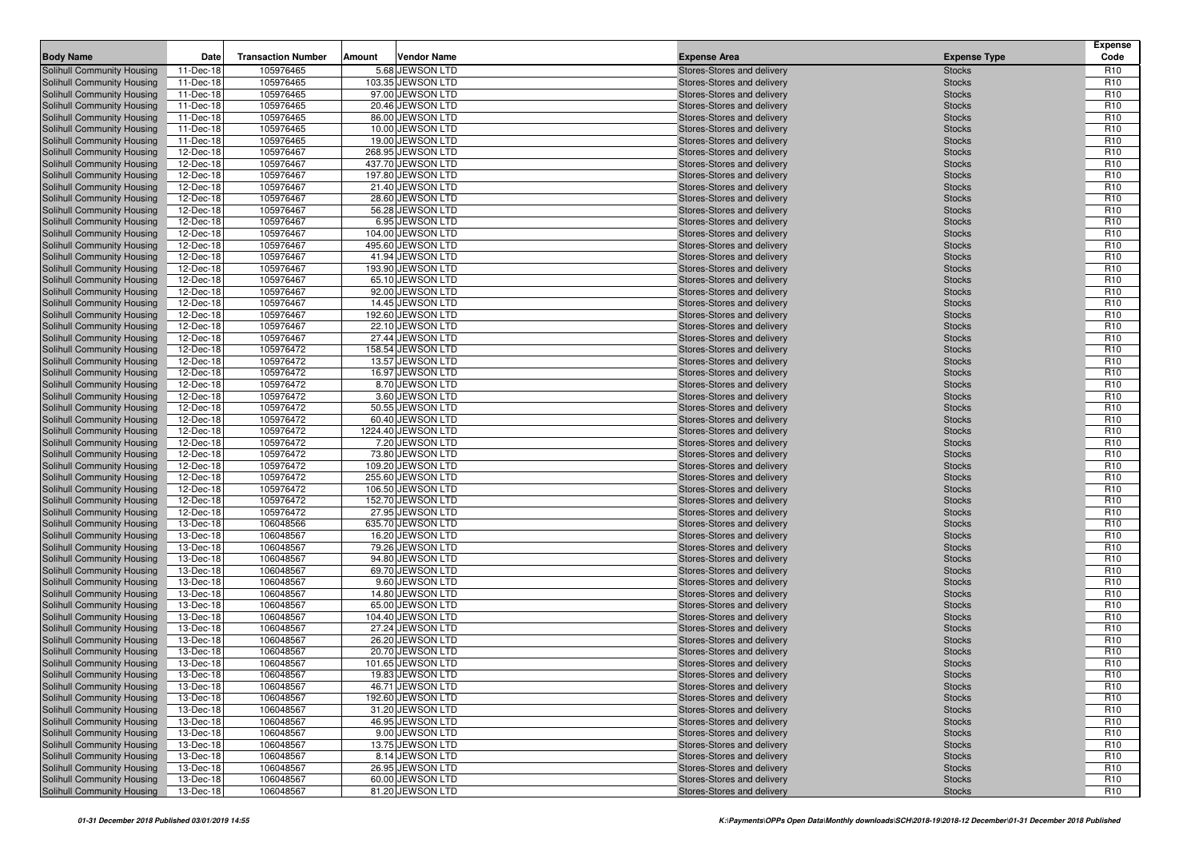| <b>Body Name</b>                                         | Date                   | <b>Transaction Number</b> | Amount | <b>Vendor Name</b>                    | <b>Expense Area</b>                                      | <b>Expense Type</b>            | <b>Expense</b><br>Code             |
|----------------------------------------------------------|------------------------|---------------------------|--------|---------------------------------------|----------------------------------------------------------|--------------------------------|------------------------------------|
| Solihull Community Housing                               | 11-Dec-18              | 105976465                 |        | 5.68 JEWSON LTD                       | Stores-Stores and delivery                               | <b>Stocks</b>                  | R <sub>10</sub>                    |
| Solihull Community Housing                               | 11-Dec-18              | 105976465                 |        | 103.35 JEWSON LTD                     | Stores-Stores and delivery                               | <b>Stocks</b>                  | R <sub>10</sub>                    |
| Solihull Community Housing                               | 11-Dec-18              | 105976465                 |        | 97.00 JEWSON LTD                      | Stores-Stores and delivery                               | <b>Stocks</b>                  | R <sub>10</sub>                    |
| Solihull Community Housing                               | 11-Dec-18              | 105976465                 |        | 20.46 JEWSON LTD                      | Stores-Stores and delivery                               | <b>Stocks</b>                  | R <sub>10</sub>                    |
| Solihull Community Housing                               | 11-Dec-18              | 105976465                 |        | 86.00 JEWSON LTD                      | Stores-Stores and delivery                               | <b>Stocks</b>                  | R <sub>10</sub>                    |
| Solihull Community Housing                               | 11-Dec-18              | 105976465                 |        | 10.00 JEWSON LTD                      | Stores-Stores and delivery                               | <b>Stocks</b>                  | R <sub>10</sub>                    |
| Solihull Community Housing                               | 11-Dec-18              | 105976465                 |        | 19.00 JEWSON LTD                      | Stores-Stores and delivery                               | <b>Stocks</b>                  | R <sub>10</sub>                    |
| Solihull Community Housing                               | 12-Dec-18              | 105976467                 |        | 268.95 JEWSON LTD                     | Stores-Stores and delivery                               | <b>Stocks</b>                  | R <sub>10</sub>                    |
| Solihull Community Housing                               | 12-Dec-18              | 105976467                 |        | 437.70 JEWSON LTD                     | Stores-Stores and delivery                               | <b>Stocks</b>                  | R <sub>10</sub>                    |
| Solihull Community Housing                               | 12-Dec-18              | 105976467                 |        | 197.80 JEWSON LTD                     | Stores-Stores and delivery                               | <b>Stocks</b>                  | R <sub>10</sub>                    |
| Solihull Community Housing                               | 12-Dec-18              | 105976467                 |        | 21.40 JEWSON LTD                      | Stores-Stores and delivery                               | <b>Stocks</b>                  | R <sub>10</sub>                    |
| Solihull Community Housing                               | 12-Dec-18              | 105976467                 |        | 28.60 JEWSON LTD                      | Stores-Stores and delivery                               | <b>Stocks</b>                  | R <sub>10</sub>                    |
| Solihull Community Housing                               | 12-Dec-18              | 105976467                 |        | 56.28 JEWSON LTD                      | Stores-Stores and delivery                               | <b>Stocks</b>                  | R <sub>10</sub>                    |
| Solihull Community Housing                               | 12-Dec-18              | 105976467                 |        | 6.95 JEWSON LTD                       | Stores-Stores and delivery                               | <b>Stocks</b>                  | R <sub>10</sub>                    |
| Solihull Community Housing                               | 12-Dec-18              | 105976467                 |        | 104.00 JEWSON LTD                     | Stores-Stores and delivery                               | <b>Stocks</b>                  | R <sub>10</sub>                    |
| Solihull Community Housing<br>Solihull Community Housing | 12-Dec-18<br>12-Dec-18 | 105976467<br>105976467    |        | 495.60 JEWSON LTD<br>41.94 JEWSON LTD | Stores-Stores and delivery<br>Stores-Stores and delivery | <b>Stocks</b><br><b>Stocks</b> | R <sub>10</sub><br>R <sub>10</sub> |
| Solihull Community Housing                               | 12-Dec-18              | 105976467                 |        | 193.90 JEWSON LTD                     | Stores-Stores and delivery                               | <b>Stocks</b>                  | R <sub>10</sub>                    |
| Solihull Community Housing                               | 12-Dec-18              | 105976467                 |        | 65.10 JEWSON LTD                      | Stores-Stores and delivery                               | <b>Stocks</b>                  | R <sub>10</sub>                    |
| Solihull Community Housing                               | 12-Dec-18              | 105976467                 |        | 92.00 JEWSON LTD                      | Stores-Stores and delivery                               | <b>Stocks</b>                  | R <sub>10</sub>                    |
| Solihull Community Housing                               | 12-Dec-18              | 105976467                 |        | 14.45 JEWSON LTD                      | Stores-Stores and delivery                               | <b>Stocks</b>                  | R <sub>10</sub>                    |
| Solihull Community Housing                               | 12-Dec-18              | 105976467                 |        | 192.60 JEWSON LTD                     | Stores-Stores and delivery                               | <b>Stocks</b>                  | R <sub>10</sub>                    |
| Solihull Community Housing                               | 12-Dec-18              | 105976467                 |        | 22.10 JEWSON LTD                      | Stores-Stores and delivery                               | <b>Stocks</b>                  | R <sub>10</sub>                    |
| Solihull Community Housing                               | 12-Dec-18              | 105976467                 |        | 27.44 JEWSON LTD                      | Stores-Stores and delivery                               | <b>Stocks</b>                  | R <sub>10</sub>                    |
| Solihull Community Housing                               | 12-Dec-18              | 105976472                 |        | 158.54 JEWSON LTD                     | Stores-Stores and delivery                               | <b>Stocks</b>                  | R <sub>10</sub>                    |
| Solihull Community Housing                               | 12-Dec-18              | 105976472                 |        | 13.57 JEWSON LTD                      | Stores-Stores and delivery                               | <b>Stocks</b>                  | R <sub>10</sub>                    |
| Solihull Community Housing                               | 12-Dec-18              | 105976472                 |        | 16.97 JEWSON LTD                      | Stores-Stores and delivery                               | <b>Stocks</b>                  | R <sub>10</sub>                    |
| Solihull Community Housing                               | 12-Dec-18              | 105976472                 |        | 8.70 JEWSON LTD                       | Stores-Stores and delivery                               | <b>Stocks</b>                  | R <sub>10</sub>                    |
| Solihull Community Housing                               | 12-Dec-18              | 105976472                 |        | 3.60 JEWSON LTD                       | Stores-Stores and delivery                               | <b>Stocks</b>                  | R <sub>10</sub>                    |
| Solihull Community Housing                               | 12-Dec-18              | 105976472                 |        | 50.55 JEWSON LTD                      | Stores-Stores and delivery                               | <b>Stocks</b>                  | R <sub>10</sub>                    |
| Solihull Community Housing                               | 12-Dec-18              | 105976472                 |        | 60.40 JEWSON LTD                      | Stores-Stores and delivery                               | <b>Stocks</b>                  | R <sub>10</sub>                    |
| Solihull Community Housing                               | 12-Dec-18              | 105976472                 |        | 1224.40 JEWSON LTD                    | Stores-Stores and delivery                               | <b>Stocks</b>                  | R <sub>10</sub>                    |
| Solihull Community Housing                               | 12-Dec-18              | 105976472                 |        | 7.20 JEWSON LTD                       | Stores-Stores and delivery                               | <b>Stocks</b>                  | R <sub>10</sub>                    |
| Solihull Community Housing                               | 12-Dec-18              | 105976472                 |        | 73.80 JEWSON LTD                      | Stores-Stores and delivery                               | <b>Stocks</b>                  | R <sub>10</sub>                    |
| Solihull Community Housing                               | 12-Dec-18              | 105976472                 |        | 109.20 JEWSON LTD                     | Stores-Stores and delivery                               | <b>Stocks</b>                  | R <sub>10</sub>                    |
| Solihull Community Housing                               | 12-Dec-18              | 105976472                 |        | 255.60 JEWSON LTD                     | Stores-Stores and delivery                               | <b>Stocks</b>                  | R <sub>10</sub>                    |
| Solihull Community Housing                               | 12-Dec-18              | 105976472                 |        | 106.50 JEWSON LTD                     | Stores-Stores and delivery                               | <b>Stocks</b>                  | R <sub>10</sub>                    |
| Solihull Community Housing                               | 12-Dec-18              | 105976472                 |        | 152.70 JEWSON LTD                     | Stores-Stores and delivery                               | <b>Stocks</b>                  | R <sub>10</sub>                    |
| Solihull Community Housing                               | 12-Dec-18              | 105976472                 |        | 27.95 JEWSON LTD                      | Stores-Stores and delivery                               | <b>Stocks</b>                  | R <sub>10</sub>                    |
| Solihull Community Housing                               | 13-Dec-18              | 106048566                 |        | 635.70 JEWSON LTD                     | Stores-Stores and delivery                               | <b>Stocks</b>                  | R <sub>10</sub>                    |
| Solihull Community Housing                               | 13-Dec-18              | 106048567<br>106048567    |        | 16.20 JEWSON LTD<br>79.26 JEWSON LTD  | Stores-Stores and delivery                               | <b>Stocks</b>                  | R <sub>10</sub><br>R <sub>10</sub> |
| Solihull Community Housing<br>Solihull Community Housing | 13-Dec-18<br>13-Dec-18 | 106048567                 |        | 94.80 JEWSON LTD                      | Stores-Stores and delivery<br>Stores-Stores and delivery | <b>Stocks</b><br><b>Stocks</b> | R <sub>10</sub>                    |
| Solihull Community Housing                               | 13-Dec-18              | 106048567                 |        | 69.70 JEWSON LTD                      | Stores-Stores and delivery                               | <b>Stocks</b>                  | R <sub>10</sub>                    |
| Solihull Community Housing                               | 13-Dec-18              | 106048567                 |        | 9.60 JEWSON LTD                       | Stores-Stores and delivery                               | <b>Stocks</b>                  | R <sub>10</sub>                    |
| Solihull Community Housing                               | 13-Dec-18              | 106048567                 |        | 14.80 JEWSON LTD                      | Stores-Stores and delivery                               | <b>Stocks</b>                  | R <sub>10</sub>                    |
| Solihull Community Housing                               | 13-Dec-18              | 106048567                 |        | 65.00 JEWSON LTD                      | Stores-Stores and delivery                               | <b>Stocks</b>                  | R <sub>10</sub>                    |
| Solihull Community Housing                               | 13-Dec-18              | 106048567                 |        | 104.40 JEWSON LTD                     | Stores-Stores and delivery                               | <b>Stocks</b>                  | R <sub>10</sub>                    |
| Solihull Community Housing                               | 13-Dec-18              | 106048567                 |        | 27.24 JEWSON LTD                      | Stores-Stores and delivery                               | <b>Stocks</b>                  | R <sub>10</sub>                    |
| Solihull Community Housing                               | 13-Dec-18              | 106048567                 |        | 26.20 JEWSON LTD                      | Stores-Stores and delivery                               | <b>Stocks</b>                  | R <sub>10</sub>                    |
| Solihull Community Housing                               | 13-Dec-18              | 106048567                 |        | 20.70 JEWSON LTD                      | Stores-Stores and delivery                               | <b>Stocks</b>                  | R <sub>10</sub>                    |
| <b>Solihull Community Housing</b>                        | 13-Dec-18              | 106048567                 |        | 101.65 JEWSON LTD                     | Stores-Stores and delivery                               | <b>Stocks</b>                  | R <sub>10</sub>                    |
| Solihull Community Housing                               | 13-Dec-18              | 106048567                 |        | 19.83 JEWSON LTD                      | Stores-Stores and delivery                               | <b>Stocks</b>                  | R <sub>10</sub>                    |
| Solihull Community Housing                               | 13-Dec-18              | 106048567                 |        | 46.71 JEWSON LTD                      | Stores-Stores and delivery                               | <b>Stocks</b>                  | R <sub>10</sub>                    |
| Solihull Community Housing                               | 13-Dec-18              | 106048567                 |        | 192.60 JEWSON LTD                     | Stores-Stores and delivery                               | <b>Stocks</b>                  | R <sub>10</sub>                    |
| Solihull Community Housing                               | 13-Dec-18              | 106048567                 |        | 31.20 JEWSON LTD                      | Stores-Stores and delivery                               | <b>Stocks</b>                  | R <sub>10</sub>                    |
| Solihull Community Housing                               | 13-Dec-18              | 106048567                 |        | 46.95 JEWSON LTD                      | Stores-Stores and delivery                               | <b>Stocks</b>                  | R <sub>10</sub>                    |
| Solihull Community Housing                               | 13-Dec-18              | 106048567                 |        | 9.00 JEWSON LTD                       | Stores-Stores and delivery                               | <b>Stocks</b>                  | R <sub>10</sub>                    |
| Solihull Community Housing                               | 13-Dec-18              | 106048567                 |        | 13.75 JEWSON LTD                      | Stores-Stores and delivery                               | <b>Stocks</b>                  | R <sub>10</sub>                    |
| Solihull Community Housing                               | 13-Dec-18              | 106048567                 |        | 8.14 JEWSON LTD                       | Stores-Stores and delivery                               | <b>Stocks</b>                  | R <sub>10</sub>                    |
| Solihull Community Housing                               | 13-Dec-18              | 106048567                 |        | 26.95 JEWSON LTD                      | Stores-Stores and delivery                               | <b>Stocks</b>                  | R <sub>10</sub>                    |
| Solihull Community Housing                               | 13-Dec-18              | 106048567                 |        | 60.00 JEWSON LTD                      | Stores-Stores and delivery                               | <b>Stocks</b>                  | R <sub>10</sub>                    |
| Solihull Community Housing                               | 13-Dec-18              | 106048567                 |        | 81.20 JEWSON LTD                      | Stores-Stores and delivery                               | <b>Stocks</b>                  | R <sub>10</sub>                    |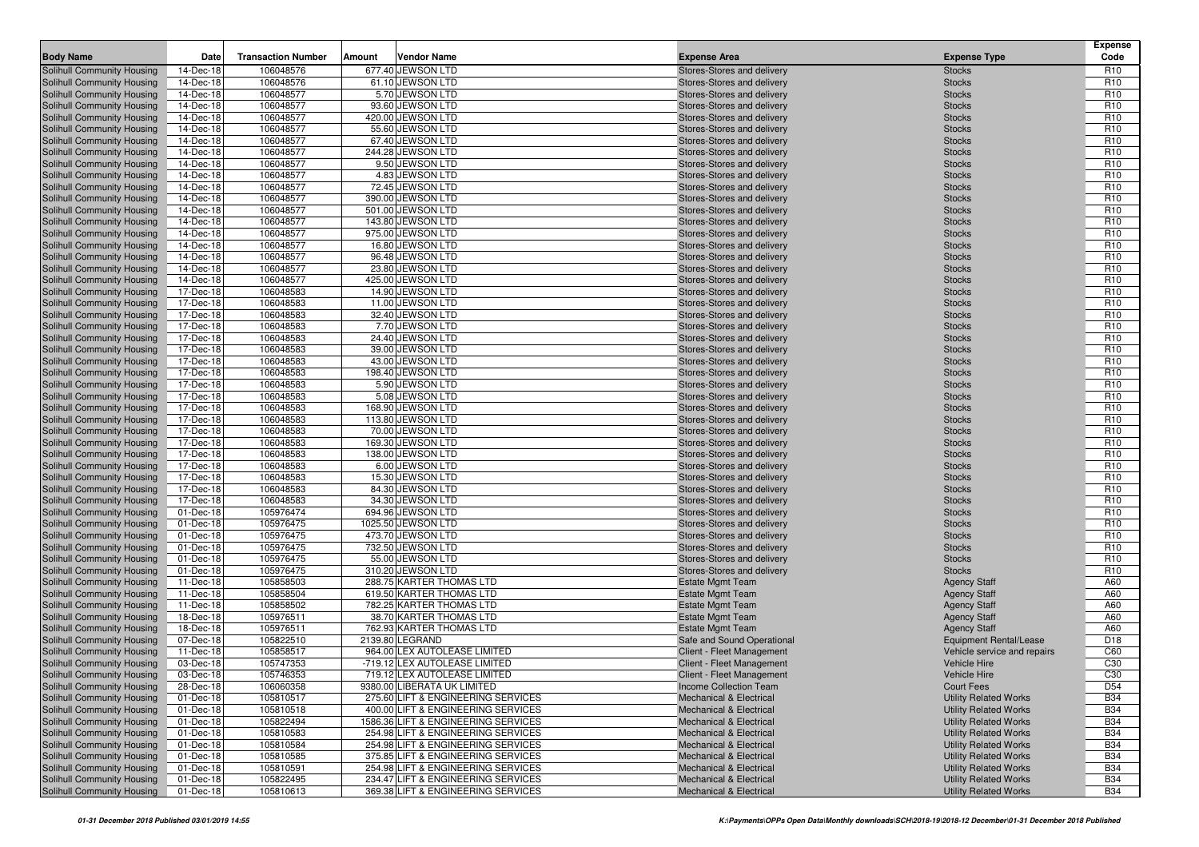| <b>Body Name</b>                                         | Date                   | <b>Transaction Number</b> | <b>Vendor Name</b><br>Amount                                             |                                                                          |                                                              | Expense<br>Code                    |
|----------------------------------------------------------|------------------------|---------------------------|--------------------------------------------------------------------------|--------------------------------------------------------------------------|--------------------------------------------------------------|------------------------------------|
| Solihull Community Housing                               | 14-Dec-18              | 106048576                 | 677.40 JEWSON LTD                                                        | <b>Expense Area</b>                                                      | <b>Expense Type</b>                                          | R <sub>10</sub>                    |
| Solihull Community Housing                               | 14-Dec-18              | 106048576                 | 61.10 JEWSON LTD                                                         | Stores-Stores and delivery<br>Stores-Stores and delivery                 | <b>Stocks</b><br><b>Stocks</b>                               | R <sub>10</sub>                    |
| Solihull Community Housing                               | 14-Dec-18              | 106048577                 | 5.70 JEWSON LTD                                                          | Stores-Stores and delivery                                               | <b>Stocks</b>                                                | R <sub>10</sub>                    |
| Solihull Community Housing                               | 14-Dec-18              | 106048577                 | 93.60 JEWSON LTD                                                         | Stores-Stores and delivery                                               | <b>Stocks</b>                                                | R <sub>10</sub>                    |
| Solihull Community Housing                               | 14-Dec-18              | 106048577                 | 420.00 JEWSON LTD                                                        | Stores-Stores and delivery                                               | <b>Stocks</b>                                                | R <sub>10</sub>                    |
| Solihull Community Housing                               | 14-Dec-18              | 106048577                 | 55.60 JEWSON LTD                                                         | Stores-Stores and delivery                                               | <b>Stocks</b>                                                | R <sub>10</sub>                    |
| Solihull Community Housing                               | 14-Dec-18              | 106048577                 | 67.40 JEWSON LTD                                                         | Stores-Stores and delivery                                               | <b>Stocks</b>                                                | R <sub>10</sub>                    |
| Solihull Community Housing                               | 14-Dec-18              | 106048577                 | 244.28 JEWSON LTD                                                        | Stores-Stores and delivery                                               | <b>Stocks</b>                                                | R <sub>10</sub>                    |
| Solihull Community Housing                               | 14-Dec-18              | 106048577                 | 9.50 JEWSON LTD                                                          | Stores-Stores and delivery                                               | <b>Stocks</b>                                                | R <sub>10</sub>                    |
| Solihull Community Housing                               | 14-Dec-18              | 106048577                 | 4.83 JEWSON LTD                                                          | Stores-Stores and delivery                                               | <b>Stocks</b>                                                | R <sub>10</sub>                    |
| Solihull Community Housing                               | 14-Dec-18              | 106048577                 | 72.45 JEWSON LTD                                                         | Stores-Stores and delivery                                               | <b>Stocks</b>                                                | R <sub>10</sub>                    |
| Solihull Community Housing                               | 14-Dec-18              | 106048577                 | 390.00 JEWSON LTD                                                        | Stores-Stores and delivery                                               | <b>Stocks</b>                                                | R <sub>10</sub>                    |
| Solihull Community Housing                               | 14-Dec-18              | 106048577                 | 501.00 JEWSON LTD                                                        | Stores-Stores and delivery                                               | <b>Stocks</b>                                                | R <sub>10</sub>                    |
| Solihull Community Housing                               | 14-Dec-18              | 106048577                 | 143.80 JEWSON LTD                                                        | Stores-Stores and delivery                                               | <b>Stocks</b>                                                | R <sub>10</sub>                    |
| Solihull Community Housing                               | 14-Dec-18              | 106048577                 | 975.00 JEWSON LTD                                                        | Stores-Stores and delivery                                               | <b>Stocks</b>                                                | R <sub>10</sub>                    |
| Solihull Community Housing                               | 14-Dec-18              | 106048577                 | 16.80 JEWSON LTD                                                         | Stores-Stores and delivery                                               | <b>Stocks</b>                                                | R <sub>10</sub>                    |
| <b>Solihull Community Housing</b>                        | 14-Dec-18              | 106048577                 | 96.48 JEWSON LTD                                                         | Stores-Stores and delivery                                               | <b>Stocks</b>                                                | R <sub>10</sub>                    |
| Solihull Community Housing                               | 14-Dec-18              | 106048577                 | 23.80 JEWSON LTD                                                         | Stores-Stores and delivery                                               | <b>Stocks</b>                                                | R <sub>10</sub>                    |
| Solihull Community Housing                               | 14-Dec-18              | 106048577                 | 425.00 JEWSON LTD                                                        | Stores-Stores and delivery                                               | <b>Stocks</b>                                                | R <sub>10</sub>                    |
| Solihull Community Housing                               | 17-Dec-18              | 106048583                 | 14.90 JEWSON LTD                                                         | Stores-Stores and delivery                                               | <b>Stocks</b>                                                | R <sub>10</sub>                    |
| <b>Solihull Community Housing</b>                        | 17-Dec-18              | 106048583                 | 11.00 JEWSON LTD                                                         | Stores-Stores and delivery                                               | <b>Stocks</b>                                                | R <sub>10</sub>                    |
| Solihull Community Housing<br>Solihull Community Housing | 17-Dec-18<br>17-Dec-18 | 106048583<br>106048583    | 32.40 JEWSON LTD<br>7.70 JEWSON LTD                                      | Stores-Stores and delivery                                               | <b>Stocks</b><br><b>Stocks</b>                               | R <sub>10</sub><br>R <sub>10</sub> |
| Solihull Community Housing                               | 17-Dec-18              | 106048583                 | 24.40 JEWSON LTD                                                         | Stores-Stores and delivery<br>Stores-Stores and delivery                 | <b>Stocks</b>                                                | R <sub>10</sub>                    |
| <b>Solihull Community Housing</b>                        | 17-Dec-18              | 106048583                 | 39.00 JEWSON LTD                                                         | Stores-Stores and delivery                                               | <b>Stocks</b>                                                | R <sub>10</sub>                    |
| <b>Solihull Community Housing</b>                        | 17-Dec-18              | 106048583                 | 43.00 JEWSON LTD                                                         | Stores-Stores and delivery                                               | <b>Stocks</b>                                                | R <sub>10</sub>                    |
| Solihull Community Housing                               | 17-Dec-18              | 106048583                 | 198.40 JEWSON LTD                                                        | Stores-Stores and delivery                                               | <b>Stocks</b>                                                | R <sub>10</sub>                    |
| Solihull Community Housing                               | 17-Dec-18              | 106048583                 | 5.90 JEWSON LTD                                                          | Stores-Stores and delivery                                               | <b>Stocks</b>                                                | R <sub>10</sub>                    |
| Solihull Community Housing                               | 17-Dec-18              | 106048583                 | 5.08 JEWSON LTD                                                          | Stores-Stores and delivery                                               | <b>Stocks</b>                                                | R <sub>10</sub>                    |
| Solihull Community Housing                               | 17-Dec-18              | 106048583                 | 168.90 JEWSON LTD                                                        | Stores-Stores and delivery                                               | <b>Stocks</b>                                                | R <sub>10</sub>                    |
| Solihull Community Housing                               | 17-Dec-18              | 106048583                 | 113.80 JEWSON LTD                                                        | Stores-Stores and delivery                                               | <b>Stocks</b>                                                | R <sub>10</sub>                    |
| Solihull Community Housing                               | 17-Dec-18              | 106048583                 | 70.00 JEWSON LTD                                                         | Stores-Stores and delivery                                               | <b>Stocks</b>                                                | R <sub>10</sub>                    |
| Solihull Community Housing                               | 17-Dec-18              | 106048583                 | 169.30 JEWSON LTD                                                        | Stores-Stores and delivery                                               | <b>Stocks</b>                                                | R <sub>10</sub>                    |
| Solihull Community Housing                               | 17-Dec-18              | 106048583                 | 138.00 JEWSON LTD                                                        | Stores-Stores and delivery                                               | <b>Stocks</b>                                                | R <sub>10</sub>                    |
| Solihull Community Housing                               | 17-Dec-18              | 106048583                 | 6.00 JEWSON LTD                                                          | Stores-Stores and delivery                                               | <b>Stocks</b>                                                | R <sub>10</sub>                    |
| Solihull Community Housing                               | 17-Dec-18              | 106048583                 | 15.30 JEWSON LTD                                                         | Stores-Stores and delivery                                               | <b>Stocks</b>                                                | R <sub>10</sub>                    |
| Solihull Community Housing                               | 17-Dec-18              | 106048583                 | 84.30 JEWSON LTD                                                         | Stores-Stores and delivery                                               | <b>Stocks</b>                                                | R <sub>10</sub>                    |
| Solihull Community Housing                               | 17-Dec-18              | 106048583                 | 34.30 JEWSON LTD                                                         | Stores-Stores and delivery                                               | <b>Stocks</b>                                                | R <sub>10</sub>                    |
| Solihull Community Housing                               | 01-Dec-18              | 105976474                 | 694.96 JEWSON LTD                                                        | Stores-Stores and delivery                                               | <b>Stocks</b>                                                | R <sub>10</sub>                    |
| Solihull Community Housing                               | 01-Dec-18              | 105976475                 | 1025.50 JEWSON LTD                                                       | Stores-Stores and delivery                                               | <b>Stocks</b>                                                | R <sub>10</sub>                    |
| Solihull Community Housing                               | 01-Dec-18              | 105976475                 | 473.70 JEWSON LTD<br>732.50 JEWSON LTD                                   | Stores-Stores and delivery                                               | <b>Stocks</b>                                                | R <sub>10</sub><br>R <sub>10</sub> |
| Solihull Community Housing<br>Solihull Community Housing | 01-Dec-18<br>01-Dec-18 | 105976475<br>105976475    | 55.00 JEWSON LTD                                                         | Stores-Stores and delivery<br>Stores-Stores and delivery                 | <b>Stocks</b><br><b>Stocks</b>                               | R <sub>10</sub>                    |
| Solihull Community Housing                               | 01-Dec-18              | 105976475                 | 310.20 JEWSON LTD                                                        | Stores-Stores and delivery                                               | <b>Stocks</b>                                                | R <sub>10</sub>                    |
| Solihull Community Housing                               | 11-Dec-18              | 105858503                 | 288.75 KARTER THOMAS LTD                                                 | <b>Estate Mgmt Team</b>                                                  | <b>Agency Staff</b>                                          | A60                                |
| Solihull Community Housing                               | 11-Dec-18              | 105858504                 | 619.50 KARTER THOMAS LTD                                                 | <b>Estate Mgmt Team</b>                                                  | <b>Agency Staff</b>                                          | A60                                |
| Solihull Community Housing                               | 11-Dec-18              | 105858502                 | 782.25 KARTER THOMAS LTD                                                 | <b>Estate Mgmt Team</b>                                                  | <b>Agency Staff</b>                                          | A60                                |
| Solihull Community Housing                               | 18-Dec-18              | 105976511                 | 38.70 KARTER THOMAS LTD                                                  | <b>Estate Mgmt Team</b>                                                  | <b>Agency Staff</b>                                          | A60                                |
| Solihull Community Housing                               | 18-Dec-18              | 105976511                 | 762.93 KARTER THOMAS LTD                                                 | <b>Estate Mgmt Team</b>                                                  | <b>Agency Staff</b>                                          | A60                                |
| <b>Solihull Community Housing</b>                        | 07-Dec-18              | 105822510                 | 2139.80 LEGRAND                                                          | Safe and Sound Operational                                               | Equipment Rental/Lease                                       | D <sub>18</sub>                    |
| Solihull Community Housing                               | 11-Dec-18              | 105858517                 | 964.00 LEX AUTOLEASE LIMITED                                             | Client - Fleet Management                                                | Vehicle service and repairs                                  | C60                                |
| Solihull Community Housing                               | 03-Dec-18              | 105747353                 | -719.12 LEX AUTOLEASE LIMITED                                            | Client - Fleet Management                                                | Vehicle Hire                                                 | C <sub>30</sub>                    |
| Solihull Community Housing                               | 03-Dec-18              | 105746353                 | 719.12 LEX AUTOLEASE LIMITED                                             | Client - Fleet Management                                                | Vehicle Hire                                                 | C30                                |
| <b>Solihull Community Housing</b>                        | 28-Dec-18              | 106060358                 | 9380.00 LIBERATA UK LIMITED                                              | Income Collection Team                                                   | Court Fees                                                   | D <sub>54</sub>                    |
| Solihull Community Housing                               | 01-Dec-18              | 105810517                 | 275.60 LIFT & ENGINEERING SERVICES                                       | <b>Mechanical &amp; Electrical</b>                                       | <b>Utility Related Works</b>                                 | <b>B34</b>                         |
| Solihull Community Housing                               | 01-Dec-18              | 105810518                 | 400.00 LIFT & ENGINEERING SERVICES                                       | <b>Mechanical &amp; Electrical</b>                                       | <b>Utility Related Works</b>                                 | <b>B34</b>                         |
| Solihull Community Housing                               | 01-Dec-18              | 105822494                 | 1586.36 LIFT & ENGINEERING SERVICES                                      | <b>Mechanical &amp; Electrical</b>                                       | <b>Utility Related Works</b>                                 | <b>B34</b>                         |
| Solihull Community Housing                               | 01-Dec-18              | 105810583                 | 254.98 LIFT & ENGINEERING SERVICES                                       | <b>Mechanical &amp; Electrical</b>                                       | <b>Utility Related Works</b>                                 | <b>B34</b>                         |
| Solihull Community Housing                               | 01-Dec-18              | 105810584                 | 254.98 LIFT & ENGINEERING SERVICES                                       | <b>Mechanical &amp; Electrical</b>                                       | <b>Utility Related Works</b>                                 | <b>B34</b>                         |
| Solihull Community Housing                               | 01-Dec-18              | 105810585                 | 375.85 LIFT & ENGINEERING SERVICES                                       | <b>Mechanical &amp; Electrical</b>                                       | <b>Utility Related Works</b>                                 | <b>B34</b>                         |
| Solihull Community Housing                               | 01-Dec-18              | 105810591                 | 254.98 LIFT & ENGINEERING SERVICES                                       | <b>Mechanical &amp; Electrical</b>                                       | <b>Utility Related Works</b>                                 | <b>B34</b>                         |
| Solihull Community Housing<br>Solihull Community Housing | 01-Dec-18<br>01-Dec-18 | 105822495<br>105810613    | 234.47 LIFT & ENGINEERING SERVICES<br>369.38 LIFT & ENGINEERING SERVICES | <b>Mechanical &amp; Electrical</b><br><b>Mechanical &amp; Electrical</b> | <b>Utility Related Works</b><br><b>Utility Related Works</b> | <b>B34</b><br><b>B34</b>           |
|                                                          |                        |                           |                                                                          |                                                                          |                                                              |                                    |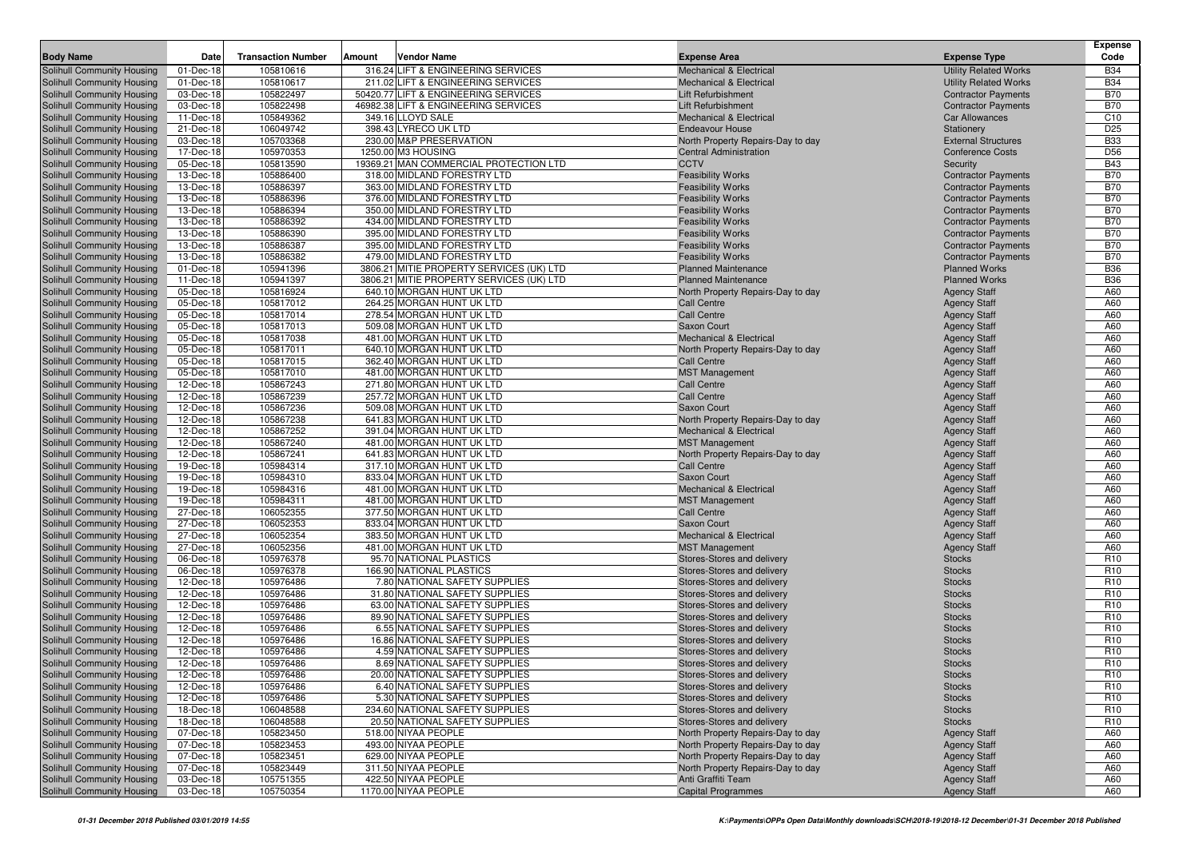|                                                          |                        |                           |                                                                         |                                                          |                                                    | <b>Expense</b>                     |
|----------------------------------------------------------|------------------------|---------------------------|-------------------------------------------------------------------------|----------------------------------------------------------|----------------------------------------------------|------------------------------------|
| <b>Body Name</b>                                         | Date                   | <b>Transaction Number</b> | Amount<br>Vendor Name                                                   | <b>Expense Area</b>                                      | <b>Expense Type</b>                                | Code                               |
| Solihull Community Housing                               | 01-Dec-18              | 105810616                 | 316.24 LIFT & ENGINEERING SERVICES                                      | <b>Mechanical &amp; Electrical</b>                       | <b>Utility Related Works</b>                       | <b>B34</b>                         |
| Solihull Community Housing                               | 01-Dec-18              | 105810617                 | 211.02 LIFT & ENGINEERING SERVICES                                      | <b>Mechanical &amp; Electrical</b>                       | <b>Utility Related Works</b>                       | <b>B34</b>                         |
| Solihull Community Housing                               | 03-Dec-18              | 105822497                 | 50420.77 LIFT & ENGINEERING SERVICES                                    | Lift Refurbishment                                       | <b>Contractor Payments</b>                         | <b>B70</b>                         |
| Solihull Community Housing                               | 03-Dec-18              | 105822498                 | 46982.38 LIFT & ENGINEERING SERVICES                                    | Lift Refurbishment                                       | <b>Contractor Payments</b>                         | <b>B70</b>                         |
| Solihull Community Housing                               | 11-Dec-18              | 105849362                 | 349.16 LLOYD SALE                                                       | <b>Mechanical &amp; Electrical</b>                       | Car Allowances                                     | C <sub>10</sub>                    |
| Solihull Community Housing                               | 21-Dec-18              | 106049742                 | 398.43 LYRECO UK LTD                                                    | <b>Endeavour House</b>                                   | Stationery                                         | D <sub>25</sub>                    |
| Solihull Community Housing                               | 03-Dec-18              | 105703368                 | 230.00 M&P PRESERVATION                                                 | North Property Repairs-Day to day                        | <b>External Structures</b>                         | <b>B33</b>                         |
| Solihull Community Housing                               | 17-Dec-18              | 105970353                 | 1250.00 M3 HOUSING                                                      | <b>Central Administration</b>                            | <b>Conference Costs</b>                            | D56                                |
| Solihull Community Housing                               | 05-Dec-18              | 105813590                 | 19369.21 MAN COMMERCIAL PROTECTION LTD                                  | <b>CCTV</b>                                              | Security                                           | <b>B43</b>                         |
| Solihull Community Housing                               | 13-Dec-18              | 105886400                 | 318.00 MIDLAND FORESTRY LTD                                             | <b>Feasibility Works</b>                                 | <b>Contractor Payments</b>                         | <b>B70</b>                         |
| Solihull Community Housing                               | 13-Dec-18              | 105886397                 | 363.00 MIDLAND FORESTRY LTD                                             | <b>Feasibility Works</b>                                 | <b>Contractor Payments</b>                         | <b>B70</b>                         |
| Solihull Community Housing                               | 13-Dec-18              | 105886396                 | 376.00 MIDLAND FORESTRY LTD                                             | <b>Feasibility Works</b>                                 | <b>Contractor Payments</b>                         | <b>B70</b>                         |
| Solihull Community Housing                               | 13-Dec-18              | 105886394                 | 350.00 MIDLAND FORESTRY LTD                                             | <b>Feasibility Works</b>                                 | <b>Contractor Payments</b>                         | <b>B70</b>                         |
| Solihull Community Housing                               | 13-Dec-18              | 105886392                 | 434.00 MIDLAND FORESTRY LTD                                             | <b>Feasibility Works</b>                                 | <b>Contractor Payments</b>                         | <b>B70</b>                         |
| Solihull Community Housing                               | 13-Dec-18<br>13-Dec-18 | 105886390                 | 395.00 MIDLAND FORESTRY LTD                                             | <b>Feasibility Works</b>                                 | <b>Contractor Payments</b>                         | <b>B70</b>                         |
| Solihull Community Housing                               |                        | 105886387<br>105886382    | 395.00 MIDLAND FORESTRY LTD                                             | <b>Feasibility Works</b>                                 | <b>Contractor Payments</b>                         | <b>B70</b><br><b>B70</b>           |
| Solihull Community Housing<br>Solihull Community Housing | 13-Dec-18<br>01-Dec-18 | 105941396                 | 479.00 MIDLAND FORESTRY LTD<br>3806.21 MITIE PROPERTY SERVICES (UK) LTD | <b>Feasibility Works</b><br><b>Planned Maintenance</b>   | <b>Contractor Payments</b><br><b>Planned Works</b> | <b>B36</b>                         |
| Solihull Community Housing                               | 11-Dec-18              | 105941397                 | 3806.21 MITIE PROPERTY SERVICES (UK) LTD                                | <b>Planned Maintenance</b>                               | <b>Planned Works</b>                               | <b>B36</b>                         |
| Solihull Community Housing                               | 05-Dec-18              | 105816924                 | 640.10 MORGAN HUNT UK LTD                                               | North Property Repairs-Day to day                        | <b>Agency Staff</b>                                | A60                                |
| Solihull Community Housing                               | 05-Dec-18              | 105817012                 | 264.25 MORGAN HUNT UK LTD                                               | <b>Call Centre</b>                                       | <b>Agency Staff</b>                                | A60                                |
| Solihull Community Housing                               | 05-Dec-18              | 105817014                 | 278.54 MORGAN HUNT UK LTD                                               | <b>Call Centre</b>                                       | <b>Agency Staff</b>                                | A60                                |
| Solihull Community Housing                               | 05-Dec-18              | 105817013                 | 509.08 MORGAN HUNT UK LTD                                               | <b>Saxon Court</b>                                       | <b>Agency Staff</b>                                | A60                                |
| Solihull Community Housing                               | 05-Dec-18              | 105817038                 | 481.00 MORGAN HUNT UK LTD                                               | <b>Mechanical &amp; Electrical</b>                       | <b>Agency Staff</b>                                | A60                                |
| Solihull Community Housing                               | 05-Dec-18              | 105817011                 | 640.10 MORGAN HUNT UK LTD                                               | North Property Repairs-Day to day                        | <b>Agency Staff</b>                                | A60                                |
| Solihull Community Housing                               | 05-Dec-18              | 105817015                 | 362.40 MORGAN HUNT UK LTD                                               | <b>Call Centre</b>                                       | <b>Agency Staff</b>                                | A60                                |
| Solihull Community Housing                               | 05-Dec-18              | 105817010                 | 481.00 MORGAN HUNT UK LTD                                               | <b>MST Management</b>                                    | <b>Agency Staff</b>                                | A60                                |
| Solihull Community Housing                               | 12-Dec-18              | 105867243                 | 271.80 MORGAN HUNT UK LTD                                               | <b>Call Centre</b>                                       | <b>Agency Staff</b>                                | A60                                |
| Solihull Community Housing                               | 12-Dec-18              | 105867239                 | 257.72 MORGAN HUNT UK LTD                                               | <b>Call Centre</b>                                       | <b>Agency Staff</b>                                | A60                                |
| Solihull Community Housing                               | 12-Dec-18              | 105867236                 | 509.08 MORGAN HUNT UK LTD                                               | <b>Saxon Court</b>                                       | <b>Agency Staff</b>                                | A60                                |
| Solihull Community Housing                               | 12-Dec-18              | 105867238                 | 641.83 MORGAN HUNT UK LTD                                               | North Property Repairs-Day to day                        | <b>Agency Staff</b>                                | A60                                |
| Solihull Community Housing                               | 12-Dec-18              | 105867252                 | 391.04 MORGAN HUNT UK LTD                                               | <b>Mechanical &amp; Electrical</b>                       | <b>Agency Staff</b>                                | A60                                |
| Solihull Community Housing                               | 12-Dec-18              | 105867240                 | 481.00 MORGAN HUNT UK LTD                                               | <b>MST Management</b>                                    | <b>Agency Staff</b>                                | A60                                |
| Solihull Community Housing                               | 12-Dec-18              | 105867241                 | 641.83 MORGAN HUNT UK LTD                                               | North Property Repairs-Day to day                        | <b>Agency Staff</b>                                | A60                                |
| Solihull Community Housing                               | 19-Dec-18              | 105984314                 | 317.10 MORGAN HUNT UK LTD                                               | <b>Call Centre</b>                                       | <b>Agency Staff</b>                                | A60                                |
| Solihull Community Housing                               | 19-Dec-18              | 105984310                 | 833.04 MORGAN HUNT UK LTD                                               | Saxon Court                                              | <b>Agency Staff</b>                                | A60                                |
| Solihull Community Housing                               | 19-Dec-18              | 105984316                 | 481.00 MORGAN HUNT UK LTD                                               | Mechanical & Electrical                                  | <b>Agency Staff</b>                                | A60                                |
| Solihull Community Housing                               | 19-Dec-18              | 105984311                 | 481.00 MORGAN HUNT UK LTD                                               | <b>MST Management</b>                                    | <b>Agency Staff</b>                                | A60                                |
| Solihull Community Housing                               | 27-Dec-18              | 106052355                 | 377.50 MORGAN HUNT UK LTD                                               | <b>Call Centre</b>                                       | <b>Agency Staff</b>                                | A60                                |
| Solihull Community Housing                               | 27-Dec-18              | 106052353                 | 833.04 MORGAN HUNT UK LTD                                               | Saxon Court                                              | <b>Agency Staff</b>                                | A60                                |
| Solihull Community Housing                               | 27-Dec-18              | 106052354                 | 383.50 MORGAN HUNT UK LTD                                               | <b>Mechanical &amp; Electrical</b>                       | <b>Agency Staff</b>                                | A60                                |
| Solihull Community Housing                               | 27-Dec-18              | 106052356                 | 481.00 MORGAN HUNT UK LTD                                               | <b>MST Management</b>                                    | <b>Agency Staff</b>                                | A60                                |
| Solihull Community Housing                               | 06-Dec-18              | 105976378                 | 95.70 NATIONAL PLASTICS                                                 | Stores-Stores and delivery                               | <b>Stocks</b>                                      | R <sub>10</sub>                    |
| Solihull Community Housing                               | 06-Dec-18              | 105976378                 | 166.90 NATIONAL PLASTICS                                                | Stores-Stores and delivery                               | <b>Stocks</b>                                      | R <sub>10</sub>                    |
| Solihull Community Housing                               | 12-Dec-18              | 105976486<br>105976486    | 7.80 NATIONAL SAFETY SUPPLIES<br>31.80 NATIONAL SAFETY SUPPLIES         | Stores-Stores and delivery                               | <b>Stocks</b>                                      | R <sub>10</sub><br>R <sub>10</sub> |
| Solihull Community Housing<br>Solihull Community Housing | 12-Dec-18<br>12-Dec-18 | 105976486                 | 63.00 NATIONAL SAFETY SUPPLIES                                          | Stores-Stores and delivery<br>Stores-Stores and delivery | <b>Stocks</b><br><b>Stocks</b>                     | R <sub>10</sub>                    |
| Solihull Community Housing                               | 12-Dec-18              | 105976486                 | 89.90 NATIONAL SAFETY SUPPLIES                                          | Stores-Stores and delivery                               | <b>Stocks</b>                                      | R <sub>10</sub>                    |
| Solihull Community Housing                               | 12-Dec-18              | 105976486                 | 6.55 NATIONAL SAFETY SUPPLIES                                           | Stores-Stores and delivery                               | <b>Stocks</b>                                      | R <sub>10</sub>                    |
| Solihull Community Housing                               | 12-Dec-18              | 105976486                 | 16.86 NATIONAL SAFETY SUPPLIES                                          | Stores-Stores and delivery                               | <b>Stocks</b>                                      | R <sub>10</sub>                    |
| Solihull Community Housing                               | 12-Dec-18              | 105976486                 | 4.59 NATIONAL SAFETY SUPPLIES                                           | Stores-Stores and delivery                               | <b>Stocks</b>                                      | R <sub>10</sub>                    |
| Solihull Community Housing                               | 12-Dec-18              | 105976486                 | 8.69 NATIONAL SAFETY SUPPLIES                                           | Stores-Stores and delivery                               | <b>Stocks</b>                                      | R <sub>10</sub>                    |
| Solihull Community Housing                               | 12-Dec-18              | 105976486                 | 20.00 NATIONAL SAFETY SUPPLIES                                          | Stores-Stores and delivery                               | <b>Stocks</b>                                      | R <sub>10</sub>                    |
| Solihull Community Housing                               | 12-Dec-18              | 105976486                 | 6.40 NATIONAL SAFETY SUPPLIES                                           | Stores-Stores and delivery                               | <b>Stocks</b>                                      | R <sub>10</sub>                    |
| Solihull Community Housing                               | 12-Dec-18              | 105976486                 | 5.30 NATIONAL SAFETY SUPPLIES                                           | Stores-Stores and delivery                               | <b>Stocks</b>                                      | R <sub>10</sub>                    |
| Solihull Community Housing                               | 18-Dec-18              | 106048588                 | 234.60 NATIONAL SAFETY SUPPLIES                                         | Stores-Stores and delivery                               | <b>Stocks</b>                                      | R <sub>10</sub>                    |
| Solihull Community Housing                               | 18-Dec-18              | 106048588                 | 20.50 NATIONAL SAFETY SUPPLIES                                          | Stores-Stores and delivery                               | <b>Stocks</b>                                      | R <sub>10</sub>                    |
| Solihull Community Housing                               | 07-Dec-18              | 105823450                 | 518.00 NIYAA PEOPLE                                                     | North Property Repairs-Day to day                        | <b>Agency Staff</b>                                | A60                                |
| Solihull Community Housing                               | 07-Dec-18              | 105823453                 | 493.00 NIYAA PEOPLE                                                     | North Property Repairs-Day to day                        | <b>Agency Staff</b>                                | A60                                |
| Solihull Community Housing                               | 07-Dec-18              | 105823451                 | 629.00 NIYAA PEOPLE                                                     | North Property Repairs-Day to day                        | <b>Agency Staff</b>                                | A60                                |
| Solihull Community Housing                               | 07-Dec-18              | 105823449                 | 311.50 NIYAA PEOPLE                                                     | North Property Repairs-Day to day                        | <b>Agency Staff</b>                                | A60                                |
| Solihull Community Housing                               | 03-Dec-18              | 105751355                 | 422.50 NIYAA PEOPLE                                                     | Anti Graffiti Team                                       | <b>Agency Staff</b>                                | A60                                |
| Solihull Community Housing                               | 03-Dec-18              | 105750354                 | 1170.00 NIYAA PEOPLE                                                    | <b>Capital Programmes</b>                                | <b>Agency Staff</b>                                | A60                                |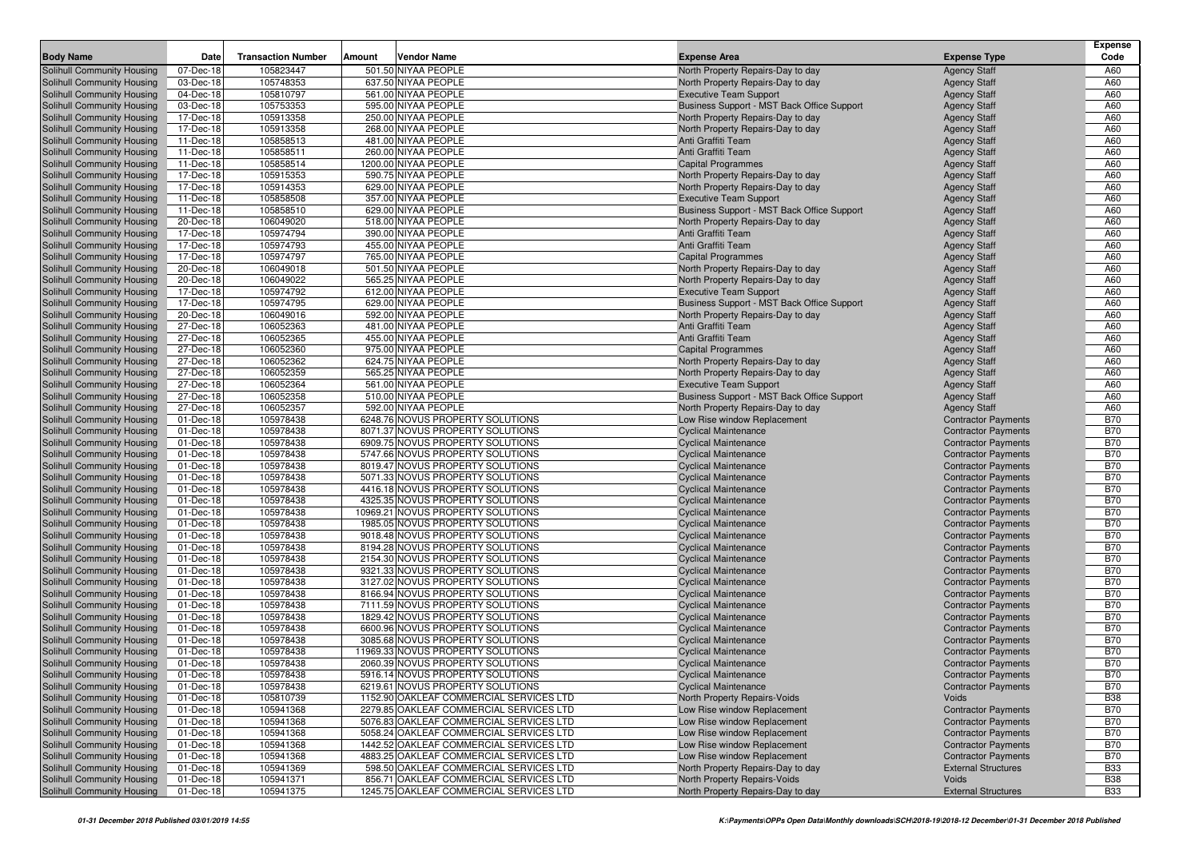|                                                          |                        |                           |                                                                                    |                                                                             |                                                          | <b>Expense</b>           |
|----------------------------------------------------------|------------------------|---------------------------|------------------------------------------------------------------------------------|-----------------------------------------------------------------------------|----------------------------------------------------------|--------------------------|
| <b>Body Name</b>                                         | Date                   | <b>Transaction Number</b> | Vendor Name<br>Amount                                                              | <b>Expense Area</b>                                                         | <b>Expense Type</b>                                      | Code                     |
| Solihull Community Housing                               | 07-Dec-18              | 105823447                 | 501.50 NIYAA PEOPLE                                                                | North Property Repairs-Day to day                                           | <b>Agency Staff</b>                                      | A60                      |
| Solihull Community Housing                               | 03-Dec-18              | 105748353                 | 637.50 NIYAA PEOPLE                                                                | North Property Repairs-Day to day                                           | <b>Agency Staff</b>                                      | A60                      |
| Solihull Community Housing                               | 04-Dec-18              | 105810797                 | 561.00 NIYAA PEOPLE                                                                | <b>Executive Team Support</b>                                               | <b>Agency Staff</b>                                      | A60                      |
| Solihull Community Housing                               | 03-Dec-18              | 105753353                 | 595.00 NIYAA PEOPLE                                                                | Business Support - MST Back Office Support                                  | <b>Agency Staff</b>                                      | A60                      |
| Solihull Community Housing                               | 17-Dec-18              | 105913358                 | 250.00 NIYAA PEOPLE                                                                | North Property Repairs-Day to day                                           | <b>Agency Staff</b>                                      | A60                      |
| Solihull Community Housing                               | 17-Dec-18              | 105913358                 | 268.00 NIYAA PEOPLE                                                                | North Property Repairs-Day to day                                           | <b>Agency Staff</b>                                      | A60                      |
| Solihull Community Housing                               | 11-Dec-18              | 105858513                 | 481.00 NIYAA PEOPLE                                                                | Anti Graffiti Team                                                          | <b>Agency Staff</b>                                      | A60                      |
| Solihull Community Housing                               | 11-Dec-18              | 105858511                 | 260.00 NIYAA PEOPLE                                                                | Anti Graffiti Team                                                          | <b>Agency Staff</b>                                      | A60                      |
| Solihull Community Housing                               | 11-Dec-18              | 105858514                 | 1200.00 NIYAA PEOPLE                                                               | <b>Capital Programmes</b>                                                   | <b>Agency Staff</b>                                      | A60                      |
| Solihull Community Housing                               | 17-Dec-18              | 105915353                 | 590.75 NIYAA PEOPLE                                                                | North Property Repairs-Day to day                                           | <b>Agency Staff</b>                                      | A60                      |
| Solihull Community Housing                               | 17-Dec-18              | 105914353                 | 629.00 NIYAA PEOPLE<br>357.00 NIYAA PEOPLE                                         | North Property Repairs-Day to day                                           | <b>Agency Staff</b>                                      | A60                      |
| Solihull Community Housing<br>Solihull Community Housing | 11-Dec-18<br>11-Dec-18 | 105858508<br>105858510    | 629.00 NIYAA PEOPLE                                                                | <b>Executive Team Support</b><br>Business Support - MST Back Office Support | <b>Agency Staff</b><br><b>Agency Staff</b>               | A60<br>A60               |
| Solihull Community Housing                               | 20-Dec-18              | 106049020                 | 518.00 NIYAA PEOPLE                                                                | North Property Repairs-Day to day                                           | <b>Agency Staff</b>                                      | A60                      |
| Solihull Community Housing                               | 17-Dec-18              | 105974794                 | 390.00 NIYAA PEOPLE                                                                | Anti Graffiti Team                                                          | <b>Agency Staff</b>                                      | A60                      |
| Solihull Community Housing                               | 17-Dec-18              | 105974793                 | 455.00 NIYAA PEOPLE                                                                | Anti Graffiti Team                                                          | <b>Agency Staff</b>                                      | A60                      |
| Solihull Community Housing                               | 17-Dec-18              | 105974797                 | 765.00 NIYAA PEOPLE                                                                | <b>Capital Programmes</b>                                                   | <b>Agency Staff</b>                                      | A60                      |
| Solihull Community Housing                               | 20-Dec-18              | 106049018                 | 501.50 NIYAA PEOPLE                                                                | North Property Repairs-Day to day                                           | <b>Agency Staff</b>                                      | A60                      |
| Solihull Community Housing                               | 20-Dec-18              | 106049022                 | 565.25 NIYAA PEOPLE                                                                | North Property Repairs-Day to day                                           | <b>Agency Staff</b>                                      | A60                      |
| Solihull Community Housing                               | 17-Dec-18              | 105974792                 | 612.00 NIYAA PEOPLE                                                                | <b>Executive Team Support</b>                                               | <b>Agency Staff</b>                                      | A60                      |
| Solihull Community Housing                               | 17-Dec-18              | 105974795                 | 629.00 NIYAA PEOPLE                                                                | Business Support - MST Back Office Support                                  | <b>Agency Staff</b>                                      | A60                      |
| Solihull Community Housing                               | 20-Dec-18              | 106049016                 | 592.00 NIYAA PEOPLE                                                                | North Property Repairs-Day to day                                           | <b>Agency Staff</b>                                      | A60                      |
| Solihull Community Housing                               | 27-Dec-18              | 106052363                 | 481.00 NIYAA PEOPLE                                                                | Anti Graffiti Team                                                          | <b>Agency Staff</b>                                      | A60                      |
| Solihull Community Housing                               | 27-Dec-18              | 106052365                 | 455.00 NIYAA PEOPLE                                                                | Anti Graffiti Team                                                          | <b>Agency Staff</b>                                      | A60                      |
| Solihull Community Housing                               | 27-Dec-18              | 106052360                 | 975.00 NIYAA PEOPLE                                                                | <b>Capital Programmes</b>                                                   | <b>Agency Staff</b>                                      | A60                      |
| Solihull Community Housing                               | 27-Dec-18              | 106052362                 | 624.75 NIYAA PEOPLE                                                                | North Property Repairs-Day to day                                           | <b>Agency Staff</b>                                      | A60                      |
| Solihull Community Housing                               | 27-Dec-18              | 106052359                 | 565.25 NIYAA PEOPLE                                                                | North Property Repairs-Day to day                                           | <b>Agency Staff</b>                                      | A60                      |
| Solihull Community Housing                               | 27-Dec-18              | 106052364                 | 561.00 NIYAA PEOPLE                                                                | <b>Executive Team Support</b>                                               | <b>Agency Staff</b>                                      | A60                      |
| Solihull Community Housing                               | 27-Dec-18              | 106052358                 | 510.00 NIYAA PEOPLE                                                                | Business Support - MST Back Office Support                                  | <b>Agency Staff</b>                                      | A60                      |
| Solihull Community Housing                               | 27-Dec-18              | 106052357                 | 592.00 NIYAA PEOPLE                                                                | North Property Repairs-Day to day                                           | <b>Agency Staff</b>                                      | A60                      |
| Solihull Community Housing                               | 01-Dec-18              | 105978438                 | 6248.76 NOVUS PROPERTY SOLUTIONS                                                   | Low Rise window Replacement                                                 | <b>Contractor Payments</b>                               | <b>B70</b>               |
| Solihull Community Housing                               | 01-Dec-18              | 105978438                 | 8071.37 NOVUS PROPERTY SOLUTIONS                                                   | <b>Cyclical Maintenance</b>                                                 | <b>Contractor Payments</b>                               | <b>B70</b>               |
| Solihull Community Housing                               | 01-Dec-18              | 105978438                 | 6909.75 NOVUS PROPERTY SOLUTIONS                                                   | <b>Cyclical Maintenance</b>                                                 | <b>Contractor Payments</b>                               | <b>B70</b>               |
| Solihull Community Housing                               | 01-Dec-18              | 105978438                 | 5747.66 NOVUS PROPERTY SOLUTIONS                                                   | <b>Cyclical Maintenance</b>                                                 | <b>Contractor Payments</b>                               | <b>B70</b>               |
| Solihull Community Housing                               | 01-Dec-18              | 105978438                 | 8019.47 NOVUS PROPERTY SOLUTIONS                                                   | <b>Cyclical Maintenance</b>                                                 | <b>Contractor Payments</b>                               | <b>B70</b>               |
| Solihull Community Housing                               | 01-Dec-18              | 105978438<br>105978438    | 5071.33 NOVUS PROPERTY SOLUTIONS<br>4416.18 NOVUS PROPERTY SOLUTIONS               | <b>Cyclical Maintenance</b>                                                 | <b>Contractor Payments</b>                               | <b>B70</b><br><b>B70</b> |
| Solihull Community Housing<br>Solihull Community Housing | 01-Dec-18<br>01-Dec-18 | 105978438                 | 4325.35 NOVUS PROPERTY SOLUTIONS                                                   | <b>Cyclical Maintenance</b><br><b>Cyclical Maintenance</b>                  | <b>Contractor Payments</b><br><b>Contractor Payments</b> | <b>B70</b>               |
| Solihull Community Housing                               | 01-Dec-18              | 105978438                 | 10969.21 NOVUS PROPERTY SOLUTIONS                                                  | <b>Cyclical Maintenance</b>                                                 | <b>Contractor Payments</b>                               | <b>B70</b>               |
| Solihull Community Housing                               | 01-Dec-18              | 105978438                 | 1985.05 NOVUS PROPERTY SOLUTIONS                                                   | <b>Cyclical Maintenance</b>                                                 | <b>Contractor Payments</b>                               | <b>B70</b>               |
| Solihull Community Housing                               | 01-Dec-18              | 105978438                 | 9018.48 NOVUS PROPERTY SOLUTIONS                                                   | <b>Cyclical Maintenance</b>                                                 | <b>Contractor Payments</b>                               | <b>B70</b>               |
| Solihull Community Housing                               | 01-Dec-18              | 105978438                 | 8194.28 NOVUS PROPERTY SOLUTIONS                                                   | <b>Cyclical Maintenance</b>                                                 | <b>Contractor Payments</b>                               | <b>B70</b>               |
| Solihull Community Housing                               | 01-Dec-18              | 105978438                 | 2154.30 NOVUS PROPERTY SOLUTIONS                                                   | <b>Cyclical Maintenance</b>                                                 | <b>Contractor Payments</b>                               | <b>B70</b>               |
| Solihull Community Housing                               | 01-Dec-18              | 105978438                 | 9321.33 NOVUS PROPERTY SOLUTIONS                                                   | <b>Cyclical Maintenance</b>                                                 | <b>Contractor Payments</b>                               | <b>B70</b>               |
| Solihull Community Housing                               | 01-Dec-18              | 105978438                 | 3127.02 NOVUS PROPERTY SOLUTIONS                                                   | <b>Cyclical Maintenance</b>                                                 | <b>Contractor Payments</b>                               | <b>B70</b>               |
| Solihull Community Housing                               | 01-Dec-18              | 105978438                 | 8166.94 NOVUS PROPERTY SOLUTIONS                                                   | <b>Cyclical Maintenance</b>                                                 | <b>Contractor Payments</b>                               | <b>B70</b>               |
| Solihull Community Housing                               | 01-Dec-18              | 105978438                 | 7111.59 NOVUS PROPERTY SOLUTIONS                                                   | <b>Cyclical Maintenance</b>                                                 | <b>Contractor Payments</b>                               | <b>B70</b>               |
| Solihull Community Housing                               | 01-Dec-18              | 105978438                 | 1829.42 NOVUS PROPERTY SOLUTIONS                                                   | <b>Cyclical Maintenance</b>                                                 | <b>Contractor Payments</b>                               | <b>B70</b>               |
| Solihull Community Housing                               | 01-Dec-18              | 105978438                 | 6600.96 NOVUS PROPERTY SOLUTIONS                                                   | <b>Cyclical Maintenance</b>                                                 | <b>Contractor Payments</b>                               | <b>B70</b>               |
| Solihull Community Housing                               | 01-Dec-18              | 105978438                 | 3085.68 NOVUS PROPERTY SOLUTIONS                                                   | <b>Cyclical Maintenance</b>                                                 | <b>Contractor Payments</b>                               | <b>B70</b>               |
| Solihull Community Housing                               | 01-Dec-18              | 105978438                 | 11969.33 NOVUS PROPERTY SOLUTIONS                                                  | <b>Cyclical Maintenance</b>                                                 | <b>Contractor Payments</b>                               | <b>B70</b>               |
| Solihull Community Housing                               | 01-Dec-18              | 105978438                 | 2060.39 NOVUS PROPERTY SOLUTIONS                                                   | <b>Cyclical Maintenance</b>                                                 | <b>Contractor Payments</b>                               | <b>B70</b>               |
| <b>Solihull Community Housing</b>                        | 01-Dec-18              | 105978438                 | 5916.14 NOVUS PROPERTY SOLUTIONS                                                   | <b>Cyclical Maintenance</b>                                                 | <b>Contractor Payments</b>                               | <b>B70</b>               |
| Solihull Community Housing                               | 01-Dec-18              | 105978438                 | 6219.61 NOVUS PROPERTY SOLUTIONS                                                   | <b>Cyclical Maintenance</b>                                                 | <b>Contractor Payments</b>                               | <b>B70</b>               |
| Solihull Community Housing                               | 01-Dec-18              | 105810739                 | 1152.90 OAKLEAF COMMERCIAL SERVICES LTD                                            | North Property Repairs-Voids                                                | Voids                                                    | <b>B38</b>               |
| Solihull Community Housing                               | 01-Dec-18              | 105941368                 | 2279.85 OAKLEAF COMMERCIAL SERVICES LTD                                            | Low Rise window Replacement                                                 | <b>Contractor Payments</b>                               | <b>B70</b>               |
| Solihull Community Housing                               | 01-Dec-18              | 105941368                 | 5076.83 OAKLEAF COMMERCIAL SERVICES LTD                                            | Low Rise window Replacement                                                 | <b>Contractor Payments</b>                               | <b>B70</b>               |
| Solihull Community Housing                               | 01-Dec-18              | 105941368                 | 5058.24 OAKLEAF COMMERCIAL SERVICES LTD                                            | Low Rise window Replacement                                                 | <b>Contractor Payments</b>                               | <b>B70</b>               |
| Solihull Community Housing                               | 01-Dec-18              | 105941368                 | 1442.52 OAKLEAF COMMERCIAL SERVICES LTD<br>4883.25 OAKLEAF COMMERCIAL SERVICES LTD | Low Rise window Replacement                                                 | <b>Contractor Payments</b>                               | <b>B70</b>               |
| Solihull Community Housing                               | 01-Dec-18              | 105941368                 |                                                                                    | Low Rise window Replacement<br>North Property Repairs-Day to day            | <b>Contractor Payments</b>                               | <b>B70</b>               |
| Solihull Community Housing<br>Solihull Community Housing | 01-Dec-18<br>01-Dec-18 | 105941369<br>105941371    | 598.50 OAKLEAF COMMERCIAL SERVICES LTD<br>856.71 OAKLEAF COMMERCIAL SERVICES LTD   | North Property Repairs-Voids                                                | <b>External Structures</b><br>Voids                      | <b>B33</b><br><b>B38</b> |
| Solihull Community Housing                               | 01-Dec-18              | 105941375                 | 1245.75 OAKLEAF COMMERCIAL SERVICES LTD                                            | North Property Repairs-Day to day                                           | <b>External Structures</b>                               | <b>B33</b>               |
|                                                          |                        |                           |                                                                                    |                                                                             |                                                          |                          |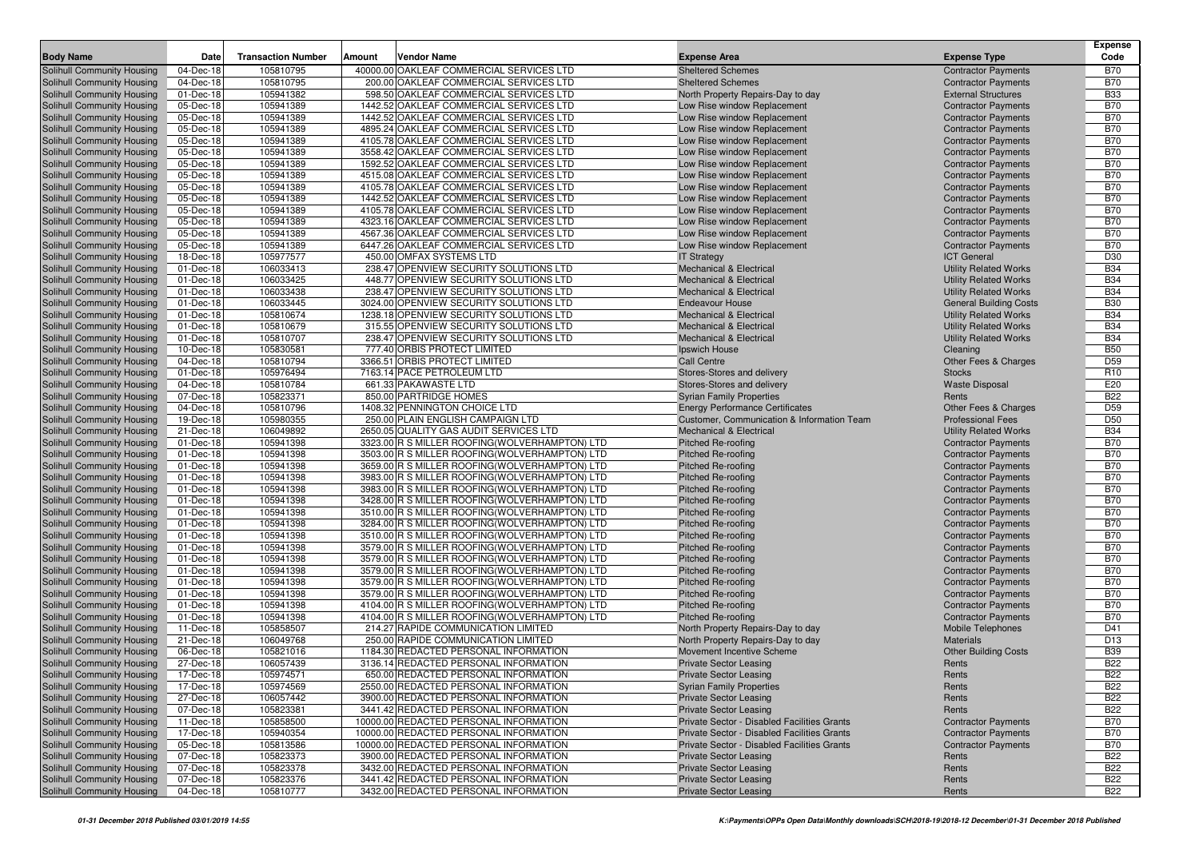|                                   |           |                           |                                                |                                             |                                 | <b>Expense</b>  |
|-----------------------------------|-----------|---------------------------|------------------------------------------------|---------------------------------------------|---------------------------------|-----------------|
| <b>Body Name</b>                  | Date      | <b>Transaction Number</b> | Vendor Name<br><b>Amount</b>                   | <b>Expense Area</b>                         | <b>Expense Type</b>             | Code            |
| Solihull Community Housing        | 04-Dec-18 | 105810795                 | 40000.00 OAKLEAF COMMERCIAL SERVICES LTD       | <b>Sheltered Schemes</b>                    | <b>Contractor Payments</b>      | <b>B70</b>      |
| Solihull Community Housing        | 04-Dec-18 | 105810795                 | 200.00 OAKLEAF COMMERCIAL SERVICES LTD         | <b>Sheltered Schemes</b>                    | <b>Contractor Payments</b>      | <b>B70</b>      |
| Solihull Community Housing        | 01-Dec-18 | 105941382                 | 598.50 OAKLEAF COMMERCIAL SERVICES LTD         | North Property Repairs-Day to day           | <b>External Structures</b>      | <b>B33</b>      |
| Solihull Community Housing        | 05-Dec-18 | 105941389                 | 1442.52 OAKLEAF COMMERCIAL SERVICES LTD        | Low Rise window Replacement                 | <b>Contractor Payments</b>      | <b>B70</b>      |
| Solihull Community Housing        | 05-Dec-18 | 105941389                 | 1442.52 OAKLEAF COMMERCIAL SERVICES LTD        | Low Rise window Replacement                 | <b>Contractor Payments</b>      | <b>B70</b>      |
| Solihull Community Housing        | 05-Dec-18 | 105941389                 | 4895.24 OAKLEAF COMMERCIAL SERVICES LTD        | Low Rise window Replacement                 | <b>Contractor Payments</b>      | <b>B70</b>      |
| Solihull Community Housing        | 05-Dec-18 | 105941389                 | 4105.78 OAKLEAF COMMERCIAL SERVICES LTD        | Low Rise window Replacement                 | <b>Contractor Payments</b>      | <b>B70</b>      |
| Solihull Community Housing        | 05-Dec-18 | 105941389                 | 3558.42 OAKLEAF COMMERCIAL SERVICES LTD        | Low Rise window Replacement                 | <b>Contractor Payments</b>      | <b>B70</b>      |
| Solihull Community Housing        | 05-Dec-18 | 105941389                 | 1592.52 OAKLEAF COMMERCIAL SERVICES LTD        | Low Rise window Replacement                 | <b>Contractor Payments</b>      | <b>B70</b>      |
| Solihull Community Housing        | 05-Dec-18 | 105941389                 | 4515.08 OAKLEAF COMMERCIAL SERVICES LTD        | Low Rise window Replacement                 | <b>Contractor Payments</b>      | <b>B70</b>      |
| <b>Solihull Community Housing</b> | 05-Dec-18 | 105941389                 | 4105.78 OAKLEAF COMMERCIAL SERVICES LTD        | Low Rise window Replacement                 | <b>Contractor Payments</b>      | <b>B70</b>      |
| <b>Solihull Community Housing</b> | 05-Dec-18 | 105941389                 | 1442.52 OAKLEAF COMMERCIAL SERVICES LTD        | Low Rise window Replacement                 | <b>Contractor Payments</b>      | <b>B70</b>      |
| Solihull Community Housing        | 05-Dec-18 | 105941389                 | 4105.78 OAKLEAF COMMERCIAL SERVICES LTD        | Low Rise window Replacement                 | <b>Contractor Payments</b>      | <b>B70</b>      |
| Solihull Community Housing        | 05-Dec-18 | 105941389                 | 4323.16 OAKLEAF COMMERCIAL SERVICES LTD        | Low Rise window Replacement                 | <b>Contractor Payments</b>      | <b>B70</b>      |
| Solihull Community Housing        | 05-Dec-18 | 105941389                 | 4567.36 OAKLEAF COMMERCIAL SERVICES LTD        | Low Rise window Replacement                 | <b>Contractor Payments</b>      | <b>B70</b>      |
| Solihull Community Housing        | 05-Dec-18 | 105941389                 | 6447.26 OAKLEAF COMMERCIAL SERVICES LTD        | Low Rise window Replacement                 | <b>Contractor Payments</b>      | <b>B70</b>      |
| Solihull Community Housing        | 18-Dec-18 | 105977577                 | 450.00 OMFAX SYSTEMS LTD                       | <b>IT Strategy</b>                          | <b>ICT General</b>              | D30             |
| Solihull Community Housing        | 01-Dec-18 | 106033413                 | 238.47 OPENVIEW SECURITY SOLUTIONS LTD         | <b>Mechanical &amp; Electrical</b>          | <b>Utility Related Works</b>    | <b>B34</b>      |
| Solihull Community Housing        | 01-Dec-18 | 106033425                 | 448.77 OPENVIEW SECURITY SOLUTIONS LTD         | <b>Mechanical &amp; Electrical</b>          | <b>Utility Related Works</b>    | <b>B34</b>      |
| Solihull Community Housing        | 01-Dec-18 | 106033438                 | 238.47 OPENVIEW SECURITY SOLUTIONS LTD         | <b>Mechanical &amp; Electrical</b>          | <b>Utility Related Works</b>    | <b>B34</b>      |
| Solihull Community Housing        | 01-Dec-18 | 106033445                 | 3024.00 OPENVIEW SECURITY SOLUTIONS LTD        | <b>Endeavour House</b>                      | <b>General Building Costs</b>   | <b>B30</b>      |
| Solihull Community Housing        | 01-Dec-18 | 105810674                 | 1238.18 OPENVIEW SECURITY SOLUTIONS LTD        | <b>Mechanical &amp; Electrical</b>          | <b>Utility Related Works</b>    | <b>B34</b>      |
| Solihull Community Housing        | 01-Dec-18 | 105810679                 | 315.55 OPENVIEW SECURITY SOLUTIONS LTD         | <b>Mechanical &amp; Electrical</b>          | <b>Utility Related Works</b>    | <b>B34</b>      |
| Solihull Community Housing        | 01-Dec-18 | 105810707                 | 238.47 OPENVIEW SECURITY SOLUTIONS LTD         | <b>Mechanical &amp; Electrical</b>          | <b>Utility Related Works</b>    | <b>B34</b>      |
| Solihull Community Housing        | 10-Dec-18 | 105830581                 | 777.40 ORBIS PROTECT LIMITED                   | Ipswich House                               | Cleaning                        | <b>B50</b>      |
| Solihull Community Housing        | 04-Dec-18 | 105810794                 | 3366.51 ORBIS PROTECT LIMITED                  | <b>Call Centre</b>                          | Other Fees & Charges            | D <sub>59</sub> |
| Solihull Community Housing        | 01-Dec-18 | 105976494                 | 7163.14 PACE PETROLEUM LTD                     | Stores-Stores and delivery                  | <b>Stocks</b>                   | R <sub>10</sub> |
| Solihull Community Housing        | 04-Dec-18 | 105810784                 | 661.33 PAKAWASTE LTD                           | Stores-Stores and delivery                  | <b>Waste Disposal</b>           | E20             |
| Solihull Community Housing        | 07-Dec-18 | 105823371                 | 850.00 PARTRIDGE HOMES                         | <b>Syrian Family Properties</b>             | Rents                           | <b>B22</b>      |
| Solihull Community Housing        | 04-Dec-18 | 105810796                 | 1408.32 PENNINGTON CHOICE LTD                  | <b>Energy Performance Certificates</b>      | <b>Other Fees &amp; Charges</b> | D <sub>59</sub> |
| Solihull Community Housing        | 19-Dec-18 | 105980355                 | 250.00 PLAIN ENGLISH CAMPAIGN LTD              | Customer, Communication & Information Team  | <b>Professional Fees</b>        | D <sub>50</sub> |
| Solihull Community Housing        | 21-Dec-18 | 106049892                 | 2650.05 QUALITY GAS AUDIT SERVICES LTD         | <b>Mechanical &amp; Electrical</b>          | <b>Utility Related Works</b>    | <b>B34</b>      |
| Solihull Community Housing        | 01-Dec-18 | 105941398                 | 3323.00 R S MILLER ROOFING (WOLVERHAMPTON) LTD | Pitched Re-roofing                          | <b>Contractor Payments</b>      | <b>B70</b>      |
| Solihull Community Housing        | 01-Dec-18 | 105941398                 | 3503.00 R S MILLER ROOFING (WOLVERHAMPTON) LTD | Pitched Re-roofing                          | <b>Contractor Payments</b>      | <b>B70</b>      |
| Solihull Community Housing        | 01-Dec-18 | 105941398                 | 3659.00 R S MILLER ROOFING (WOLVERHAMPTON) LTD | <b>Pitched Re-roofing</b>                   | <b>Contractor Payments</b>      | <b>B70</b>      |
| <b>Solihull Community Housing</b> | 01-Dec-18 | 105941398                 | 3983.00 R S MILLER ROOFING (WOLVERHAMPTON) LTD | Pitched Re-roofing                          | <b>Contractor Payments</b>      | <b>B70</b>      |
| Solihull Community Housing        | 01-Dec-18 | 105941398                 | 3983.00 R S MILLER ROOFING(WOLVERHAMPTON) LTD  | Pitched Re-roofing                          | <b>Contractor Payments</b>      | <b>B70</b>      |
| Solihull Community Housing        | 01-Dec-18 | 105941398                 | 3428.00 R S MILLER ROOFING (WOLVERHAMPTON) LTD | <b>Pitched Re-roofing</b>                   | <b>Contractor Payments</b>      | <b>B70</b>      |
| Solihull Community Housing        | 01-Dec-18 | 105941398                 | 3510.00 R S MILLER ROOFING (WOLVERHAMPTON) LTD | Pitched Re-roofing                          | <b>Contractor Payments</b>      | <b>B70</b>      |
| Solihull Community Housing        | 01-Dec-18 | 105941398                 | 3284.00 R S MILLER ROOFING (WOLVERHAMPTON) LTD | <b>Pitched Re-roofing</b>                   | <b>Contractor Payments</b>      | <b>B70</b>      |
| Solihull Community Housing        | 01-Dec-18 | 105941398                 | 3510.00 R S MILLER ROOFING (WOLVERHAMPTON) LTD | Pitched Re-roofing                          | <b>Contractor Payments</b>      | <b>B70</b>      |
| Solihull Community Housing        | 01-Dec-18 | 105941398                 | 3579.00 R S MILLER ROOFING (WOLVERHAMPTON) LTD | <b>Pitched Re-roofing</b>                   | <b>Contractor Payments</b>      | <b>B70</b>      |
| Solihull Community Housing        | 01-Dec-18 | 105941398                 | 3579.00 R S MILLER ROOFING (WOLVERHAMPTON) LTD | <b>Pitched Re-roofing</b>                   | <b>Contractor Payments</b>      | <b>B70</b>      |
| Solihull Community Housing        | 01-Dec-18 | 105941398                 | 3579.00 R S MILLER ROOFING (WOLVERHAMPTON) LTD | Pitched Re-roofing                          | <b>Contractor Payments</b>      | <b>B70</b>      |
| Solihull Community Housing        | 01-Dec-18 | 105941398                 | 3579.00 R S MILLER ROOFING (WOLVERHAMPTON) LTD | <b>Pitched Re-roofing</b>                   | <b>Contractor Payments</b>      | <b>B70</b>      |
| Solihull Community Housing        | 01-Dec-18 | 105941398                 | 3579.00 R S MILLER ROOFING (WOLVERHAMPTON) LTD | Pitched Re-roofing                          | <b>Contractor Payments</b>      | <b>B70</b>      |
| Solihull Community Housing        | 01-Dec-18 | 105941398                 | 4104.00 R S MILLER ROOFING (WOLVERHAMPTON) LTD | Pitched Re-roofing                          | <b>Contractor Payments</b>      | <b>B70</b>      |
| Solihull Community Housing        | 01-Dec-18 | 105941398                 | 4104.00 R S MILLER ROOFING (WOLVERHAMPTON) LTD | Pitched Re-roofing                          | <b>Contractor Payments</b>      | <b>B70</b>      |
| Solihull Community Housing        | 11-Dec-18 | 105858507                 | 214.27 RAPIDE COMMUNICATION LIMITED            | North Property Repairs-Day to day           | Mobile Telephones               | D41             |
| Solihull Community Housing        | 21-Dec-18 | 106049768                 | 250.00 RAPIDE COMMUNICATION LIMITED            | North Property Repairs-Day to day           | <b>Materials</b>                | D <sub>13</sub> |
| Solihull Community Housing        | 06-Dec-18 | 105821016                 | 1184.30 REDACTED PERSONAL INFORMATION          | Movement Incentive Scheme                   | <b>Other Building Costs</b>     | <b>B39</b>      |
| Solihull Community Housing        | 27-Dec-18 | 106057439                 | 3136.14 REDACTED PERSONAL INFORMATION          | <b>Private Sector Leasing</b>               | Rents                           | <b>B22</b>      |
| Solihull Community Housing        | 17-Dec-18 | 105974571                 | 650.00 REDACTED PERSONAL INFORMATION           | <b>Private Sector Leasing</b>               | Rents                           | <b>B22</b>      |
| Solihull Community Housing        | 17-Dec-18 | 105974569                 | 2550.00 REDACTED PERSONAL INFORMATION          | <b>Syrian Family Properties</b>             | Rents                           | <b>B22</b>      |
| Solihull Community Housing        | 27-Dec-18 | 106057442                 | 3900.00 REDACTED PERSONAL INFORMATION          | <b>Private Sector Leasing</b>               | Rents                           | <b>B22</b>      |
| Solihull Community Housing        | 07-Dec-18 | 105823381                 | 3441.42 REDACTED PERSONAL INFORMATION          | <b>Private Sector Leasing</b>               | Rents                           | <b>B22</b>      |
| Solihull Community Housing        | 11-Dec-18 | 105858500                 | 10000.00 REDACTED PERSONAL INFORMATION         | Private Sector - Disabled Facilities Grants | <b>Contractor Payments</b>      | <b>B70</b>      |
| Solihull Community Housing        | 17-Dec-18 | 105940354                 | 10000.00 REDACTED PERSONAL INFORMATION         | Private Sector - Disabled Facilities Grants | <b>Contractor Payments</b>      | <b>B70</b>      |
| Solihull Community Housing        | 05-Dec-18 | 105813586                 | 10000.00 REDACTED PERSONAL INFORMATION         | Private Sector - Disabled Facilities Grants | <b>Contractor Payments</b>      | <b>B70</b>      |
| Solihull Community Housing        | 07-Dec-18 | 105823373                 | 3900.00 REDACTED PERSONAL INFORMATION          | <b>Private Sector Leasing</b>               | Rents                           | <b>B22</b>      |
| Solihull Community Housing        | 07-Dec-18 | 105823378                 | 3432.00 REDACTED PERSONAL INFORMATION          | <b>Private Sector Leasing</b>               | Rents                           | <b>B22</b>      |
| Solihull Community Housing        | 07-Dec-18 | 105823376                 | 3441.42 REDACTED PERSONAL INFORMATION          | <b>Private Sector Leasing</b>               | Rents                           | <b>B22</b>      |
| Solihull Community Housing        | 04-Dec-18 | 105810777                 | 3432.00 REDACTED PERSONAL INFORMATION          | <b>Private Sector Leasing</b>               | Rents                           | <b>B22</b>      |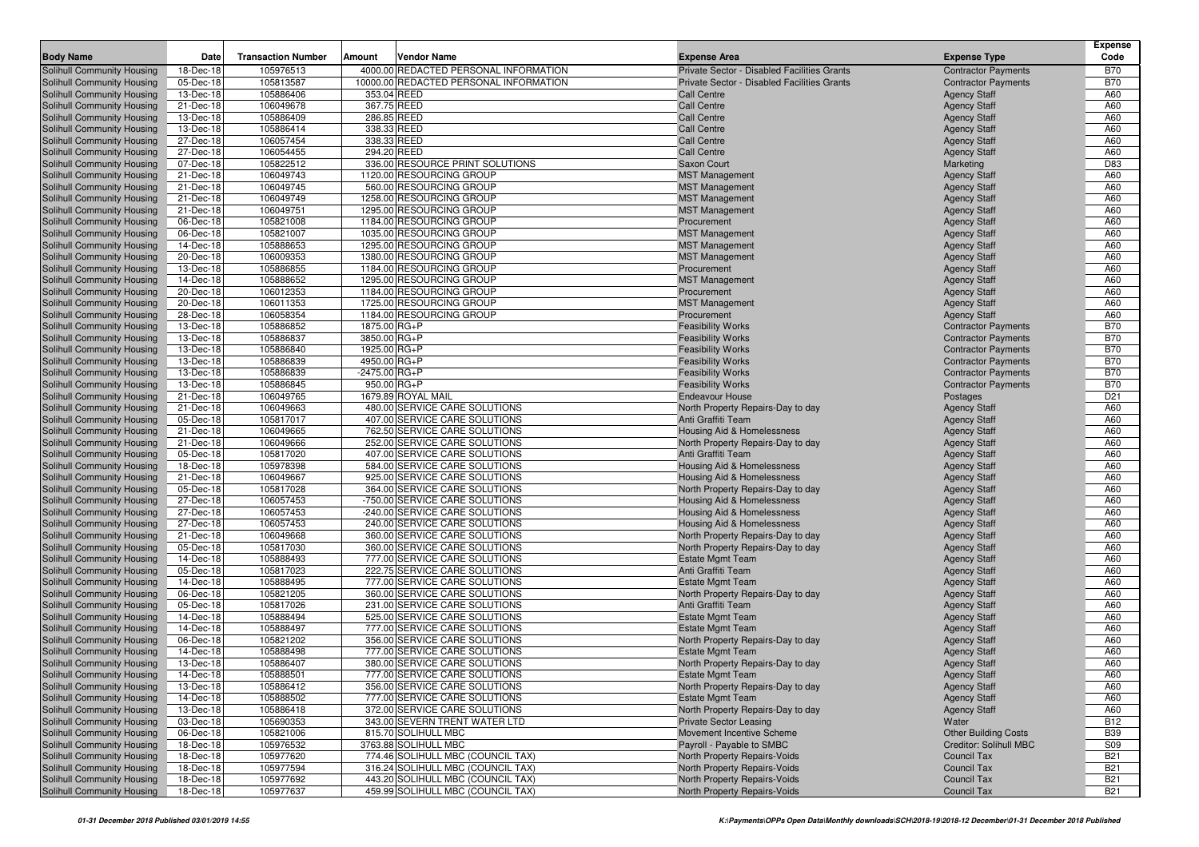|                                                          |                        |                           |        |                                                                 |                                                                        |                                            | <b>Expense</b>  |
|----------------------------------------------------------|------------------------|---------------------------|--------|-----------------------------------------------------------------|------------------------------------------------------------------------|--------------------------------------------|-----------------|
| <b>Body Name</b>                                         | Date                   | <b>Transaction Number</b> | Amount | Vendor Name                                                     | <b>Expense Area</b>                                                    | <b>Expense Type</b>                        | Code            |
| Solihull Community Housing                               | 18-Dec-18              | 105976513                 |        | 4000.00 REDACTED PERSONAL INFORMATION                           | Private Sector - Disabled Facilities Grants                            | <b>Contractor Payments</b>                 | <b>B70</b>      |
| Solihull Community Housing                               | 05-Dec-18              | 105813587<br>105886406    |        | 10000.00 REDACTED PERSONAL INFORMATION<br>353.04 REED           | Private Sector - Disabled Facilities Grants<br><b>Call Centre</b>      | <b>Contractor Payments</b>                 | <b>B70</b>      |
| Solihull Community Housing                               | 13-Dec-18<br>21-Dec-18 | 106049678                 |        | 367.75 REED                                                     |                                                                        | <b>Agency Staff</b><br><b>Agency Staff</b> | A60<br>A60      |
| Solihull Community Housing<br>Solihull Community Housing | 13-Dec-18              | 105886409                 |        | 286.85 REED                                                     | <b>Call Centre</b><br><b>Call Centre</b>                               | <b>Agency Staff</b>                        | A60             |
| Solihull Community Housing                               | 13-Dec-18              | 105886414                 |        | 338.33 REED                                                     | <b>Call Centre</b>                                                     | <b>Agency Staff</b>                        | A60             |
| Solihull Community Housing                               | 27-Dec-18              | 106057454                 |        | 338.33 REED                                                     | <b>Call Centre</b>                                                     | <b>Agency Staff</b>                        | A60             |
| Solihull Community Housing                               | 27-Dec-18              | 106054455                 |        | 294.20 REED                                                     | <b>Call Centre</b>                                                     | <b>Agency Staff</b>                        | A60             |
| Solihull Community Housing                               | 07-Dec-18              | 105822512                 |        | 336.00 RESOURCE PRINT SOLUTIONS                                 | Saxon Court                                                            | Marketing                                  | D83             |
| Solihull Community Housing                               | 21-Dec-18              | 106049743                 |        | 1120.00 RESOURCING GROUP                                        | <b>MST Management</b>                                                  | <b>Agency Staff</b>                        | A60             |
| Solihull Community Housing                               | 21-Dec-18              | 106049745                 |        | 560.00 RESOURCING GROUP                                         | <b>MST Management</b>                                                  | <b>Agency Staff</b>                        | A60             |
| Solihull Community Housing                               | 21-Dec-18              | 106049749                 |        | 1258.00 RESOURCING GROUP                                        | <b>MST Management</b>                                                  | <b>Agency Staff</b>                        | A60             |
| Solihull Community Housing                               | 21-Dec-18              | 106049751                 |        | 1295.00 RESOURCING GROUP                                        | <b>MST Management</b>                                                  | <b>Agency Staff</b>                        | A60             |
| Solihull Community Housing                               | 06-Dec-18              | 105821008                 |        | 1184.00 RESOURCING GROUP                                        | Procurement                                                            | <b>Agency Staff</b>                        | A60             |
| Solihull Community Housing                               | 06-Dec-18              | 105821007                 |        | 1035.00 RESOURCING GROUP                                        | <b>MST Management</b>                                                  | <b>Agency Staff</b>                        | A60             |
| Solihull Community Housing                               | 14-Dec-18              | 105888653                 |        | 1295.00 RESOURCING GROUP                                        | <b>MST Management</b>                                                  | <b>Agency Staff</b>                        | A60             |
| Solihull Community Housing                               | 20-Dec-18              | 106009353                 |        | 1380.00 RESOURCING GROUP                                        | <b>MST Management</b>                                                  | <b>Agency Staff</b>                        | A60             |
| Solihull Community Housing                               | 13-Dec-18              | 105886855                 |        | 1184.00 RESOURCING GROUP                                        | Procurement                                                            | <b>Agency Staff</b>                        | A60             |
| Solihull Community Housing                               | 14-Dec-18              | 105888652                 |        | 1295.00 RESOURCING GROUP                                        | <b>MST Management</b>                                                  | <b>Agency Staff</b>                        | A60             |
| Solihull Community Housing                               | 20-Dec-18              | 106012353                 |        | 1184.00 RESOURCING GROUP                                        | Procurement                                                            | <b>Agency Staff</b>                        | A60             |
| Solihull Community Housing                               | 20-Dec-18              | 106011353                 |        | 1725.00 RESOURCING GROUP                                        | <b>MST Management</b>                                                  | <b>Agency Staff</b>                        | A60             |
| Solihull Community Housing                               | 28-Dec-18              | 106058354                 |        | 1184.00 RESOURCING GROUP                                        | Procurement                                                            | <b>Agency Staff</b>                        | A60             |
| Solihull Community Housing                               | 13-Dec-18              | 105886852                 |        | 1875.00 RG+P                                                    | <b>Feasibility Works</b>                                               | <b>Contractor Payments</b>                 | <b>B70</b>      |
| Solihull Community Housing                               | 13-Dec-18              | 105886837                 |        | 3850.00 RG+P                                                    | <b>Feasibility Works</b>                                               | <b>Contractor Payments</b>                 | <b>B70</b>      |
| <b>Solihull Community Housing</b>                        | 13-Dec-18              | 105886840                 |        | 1925.00 RG+P                                                    | <b>Feasibility Works</b>                                               | <b>Contractor Payments</b>                 | <b>B70</b>      |
| Solihull Community Housing                               | 13-Dec-18              | 105886839                 |        | 4950.00 RG+P                                                    | <b>Feasibility Works</b>                                               | <b>Contractor Payments</b>                 | <b>B70</b>      |
| Solihull Community Housing                               | 13-Dec-18              | 105886839                 |        | $-2475.00$ RG+P                                                 | <b>Feasibility Works</b>                                               | <b>Contractor Payments</b>                 | <b>B70</b>      |
| Solihull Community Housing                               | 13-Dec-18              | 105886845                 |        | 950.00 RG+P                                                     | <b>Feasibility Works</b>                                               | <b>Contractor Payments</b>                 | <b>B70</b>      |
| Solihull Community Housing                               | 21-Dec-18              | 106049765                 |        | 1679.89 ROYAL MAIL                                              | <b>Endeavour House</b>                                                 | Postages                                   | D <sub>21</sub> |
| Solihull Community Housing                               | 21-Dec-18              | 106049663                 |        | 480.00 SERVICE CARE SOLUTIONS                                   | North Property Repairs-Day to day                                      | <b>Agency Staff</b>                        | A60             |
| Solihull Community Housing                               | 05-Dec-18              | 105817017                 |        | 407.00 SERVICE CARE SOLUTIONS                                   | Anti Graffiti Team                                                     | <b>Agency Staff</b>                        | A60             |
| Solihull Community Housing                               | 21-Dec-18              | 106049665                 |        | 762.50 SERVICE CARE SOLUTIONS                                   | Housing Aid & Homelessness                                             | <b>Agency Staff</b>                        | A60             |
| Solihull Community Housing                               | 21-Dec-18              | 106049666                 |        | 252.00 SERVICE CARE SOLUTIONS                                   | North Property Repairs-Day to day                                      | <b>Agency Staff</b>                        | A60             |
| Solihull Community Housing                               | 05-Dec-18              | 105817020                 |        | 407.00 SERVICE CARE SOLUTIONS                                   | Anti Graffiti Team                                                     | <b>Agency Staff</b>                        | A60             |
| Solihull Community Housing                               | 18-Dec-18              | 105978398                 |        | 584.00 SERVICE CARE SOLUTIONS                                   | Housing Aid & Homelessness                                             | <b>Agency Staff</b>                        | A60             |
| Solihull Community Housing                               | 21-Dec-18              | 106049667                 |        | 925.00 SERVICE CARE SOLUTIONS                                   | Housing Aid & Homelessness                                             | <b>Agency Staff</b>                        | A60             |
| Solihull Community Housing                               | 05-Dec-18              | 105817028                 |        | 364.00 SERVICE CARE SOLUTIONS                                   | North Property Repairs-Day to day                                      | <b>Agency Staff</b>                        | A60             |
| Solihull Community Housing                               | 27-Dec-18              | 106057453<br>106057453    |        | -750.00 SERVICE CARE SOLUTIONS                                  | Housing Aid & Homelessness                                             | <b>Agency Staff</b>                        | A60<br>A60      |
| Solihull Community Housing                               | 27-Dec-18              | 106057453                 |        | -240.00 SERVICE CARE SOLUTIONS<br>240.00 SERVICE CARE SOLUTIONS | Housing Aid & Homelessness                                             | <b>Agency Staff</b>                        | A60             |
| Solihull Community Housing<br>Solihull Community Housing | 27-Dec-18<br>21-Dec-18 | 106049668                 |        | 360.00 SERVICE CARE SOLUTIONS                                   | Housing Aid & Homelessness                                             | <b>Agency Staff</b><br><b>Agency Staff</b> | A60             |
| Solihull Community Housing                               | 05-Dec-18              | 105817030                 |        | 360.00 SERVICE CARE SOLUTIONS                                   | North Property Repairs-Day to day<br>North Property Repairs-Day to day | <b>Agency Staff</b>                        | A60             |
| Solihull Community Housing                               | 14-Dec-18              | 105888493                 |        | 777.00 SERVICE CARE SOLUTIONS                                   | <b>Estate Mgmt Team</b>                                                | <b>Agency Staff</b>                        | A60             |
| Solihull Community Housing                               | 05-Dec-18              | 105817023                 |        | 222.75 SERVICE CARE SOLUTIONS                                   | Anti Graffiti Team                                                     | <b>Agency Staff</b>                        | A60             |
| Solihull Community Housing                               | 14-Dec-18              | 105888495                 |        | 777.00 SERVICE CARE SOLUTIONS                                   | <b>Estate Mgmt Team</b>                                                | <b>Agency Staff</b>                        | A60             |
| Solihull Community Housing                               | 06-Dec-18              | 105821205                 |        | 360.00 SERVICE CARE SOLUTIONS                                   | North Property Repairs-Day to day                                      | <b>Agency Staff</b>                        | A60             |
| Solihull Community Housing                               | 05-Dec-18              | 105817026                 |        | 231.00 SERVICE CARE SOLUTIONS                                   | Anti Graffiti Team                                                     | <b>Agency Staff</b>                        | A60             |
| Solihull Community Housing                               | 14-Dec-18              | 105888494                 |        | 525.00 SERVICE CARE SOLUTIONS                                   | <b>Estate Mgmt Team</b>                                                | <b>Agency Staff</b>                        | A60             |
| Solihull Community Housing                               | 14-Dec-18              | 105888497                 |        | 777.00 SERVICE CARE SOLUTIONS                                   | <b>Estate Mgmt Team</b>                                                | <b>Agency Staff</b>                        | A60             |
| Solihull Community Housing                               | 06-Dec-18              | 105821202                 |        | 356.00 SERVICE CARE SOLUTIONS                                   | North Property Repairs-Day to day                                      | <b>Agency Staff</b>                        | A60             |
| Solihull Community Housing                               | 14-Dec-18              | 105888498                 |        | 777.00 SERVICE CARE SOLUTIONS                                   | <b>Estate Mgmt Team</b>                                                | <b>Agency Staff</b>                        | A60             |
| Solihull Community Housing                               | 13-Dec-18              | 105886407                 |        | 380.00 SERVICE CARE SOLUTIONS                                   | North Property Repairs-Day to day                                      | <b>Agency Staff</b>                        | A60             |
| Solihull Community Housing                               | 14-Dec-18              | 105888501                 |        | 777.00 SERVICE CARE SOLUTIONS                                   | Estate Mgmt Team                                                       | <b>Agency Staff</b>                        | A60             |
| Solihull Community Housing                               | 13-Dec-18              | 105886412                 |        | 356.00 SERVICE CARE SOLUTIONS                                   | North Property Repairs-Day to day                                      | <b>Agency Staff</b>                        | A60             |
| Solihull Community Housing                               | 14-Dec-18              | 105888502                 |        | 777.00 SERVICE CARE SOLUTIONS                                   | <b>Estate Mgmt Team</b>                                                | <b>Agency Staff</b>                        | A60             |
| Solihull Community Housing                               | 13-Dec-18              | 105886418                 |        | 372.00 SERVICE CARE SOLUTIONS                                   | North Property Repairs-Day to day                                      | <b>Agency Staff</b>                        | A60             |
| Solihull Community Housing                               | 03-Dec-18              | 105690353                 |        | 343.00 SEVERN TRENT WATER LTD                                   | <b>Private Sector Leasing</b>                                          | Water                                      | <b>B12</b>      |
| Solihull Community Housing                               | 06-Dec-18              | 105821006                 |        | 815.70 SOLIHULL MBC                                             | Movement Incentive Scheme                                              | <b>Other Building Costs</b>                | <b>B39</b>      |
| Solihull Community Housing                               | 18-Dec-18              | 105976532                 |        | 3763.88 SOLIHULL MBC                                            | Payroll - Payable to SMBC                                              | Creditor: Solihull MBC                     | <b>S09</b>      |
| Solihull Community Housing                               | 18-Dec-18              | 105977620                 |        | 774.46 SOLIHULL MBC (COUNCIL TAX)                               | North Property Repairs-Voids                                           | <b>Council Tax</b>                         | <b>B21</b>      |
| Solihull Community Housing                               | 18-Dec-18              | 105977594                 |        | 316.24 SOLIHULL MBC (COUNCIL TAX)                               | North Property Repairs-Voids                                           | <b>Council Tax</b>                         | <b>B21</b>      |
| Solihull Community Housing                               | 18-Dec-18              | 105977692                 |        | 443.20 SOLIHULL MBC (COUNCIL TAX)                               | North Property Repairs-Voids                                           | <b>Council Tax</b>                         | <b>B21</b>      |
| Solihull Community Housing                               | 18-Dec-18              | 105977637                 |        | 459.99 SOLIHULL MBC (COUNCIL TAX)                               | North Property Repairs-Voids                                           | <b>Council Tax</b>                         | <b>B21</b>      |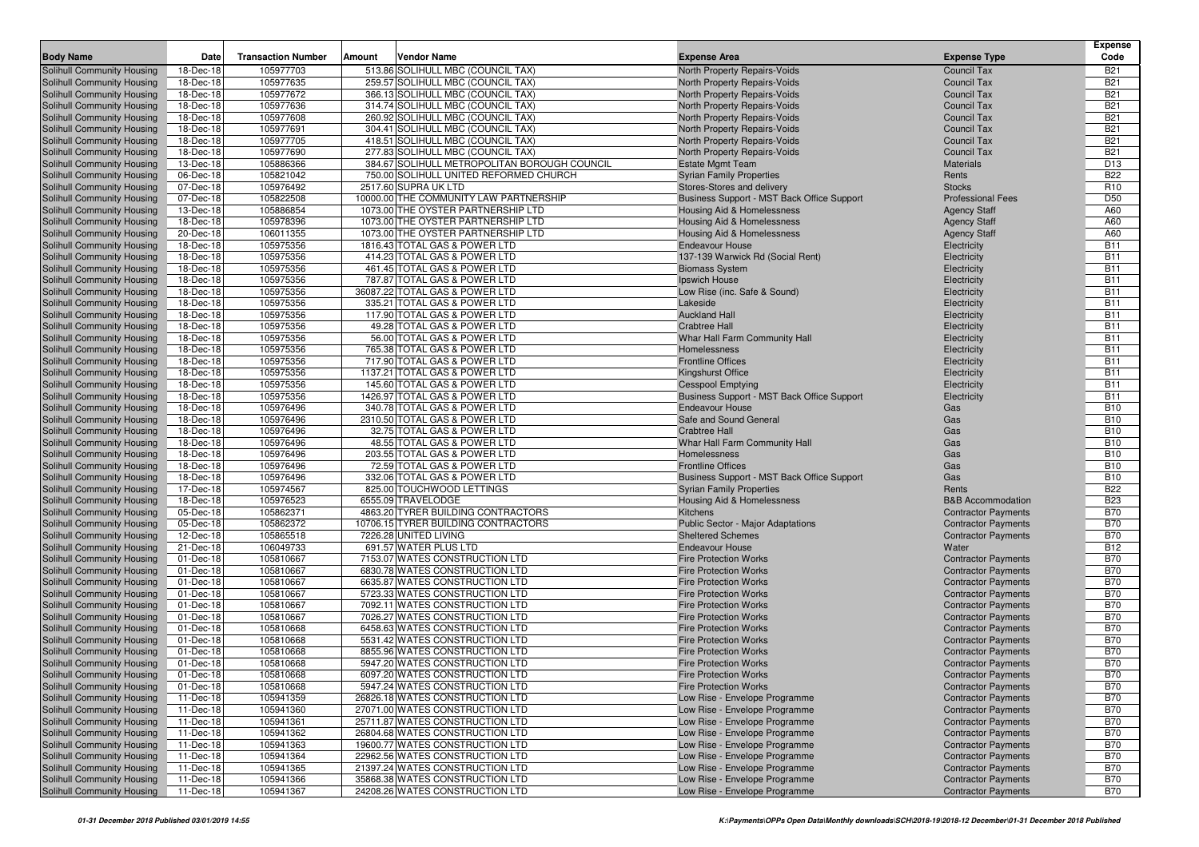| <b>Body Name</b>                                         | Date                   | <b>Transaction Number</b> | Amount | Vendor Name                                                        | <b>Expense Area</b>                                            | <b>Expense Type</b>          | <b>Expense</b><br>Code   |
|----------------------------------------------------------|------------------------|---------------------------|--------|--------------------------------------------------------------------|----------------------------------------------------------------|------------------------------|--------------------------|
| Solihull Community Housing                               | 18-Dec-18              | 105977703                 |        | 513.86 SOLIHULL MBC (COUNCIL TAX)                                  | North Property Repairs-Voids                                   | <b>Council Tax</b>           | <b>B21</b>               |
| Solihull Community Housing                               | 18-Dec-18              | 105977635                 |        | 259.57 SOLIHULL MBC (COUNCIL TAX)                                  | North Property Repairs-Voids                                   | <b>Council Tax</b>           | <b>B21</b>               |
| Solihull Community Housing                               | 18-Dec-18              | 105977672                 |        | 366.13 SOLIHULL MBC (COUNCIL TAX)                                  | North Property Repairs-Voids                                   | <b>Council Tax</b>           | <b>B21</b>               |
| Solihull Community Housing                               | 18-Dec-18              | 105977636                 |        | 314.74 SOLIHULL MBC (COUNCIL TAX)                                  | North Property Repairs-Voids                                   | <b>Council Tax</b>           | <b>B21</b>               |
| Solihull Community Housing                               | 18-Dec-18              | 105977608                 |        | 260.92 SOLIHULL MBC (COUNCIL TAX)                                  | North Property Repairs-Voids                                   | <b>Council Tax</b>           | <b>B21</b>               |
| Solihull Community Housing                               | 18-Dec-18              | 105977691                 |        | 304.41 SOLIHULL MBC (COUNCIL TAX)                                  | North Property Repairs-Voids                                   | <b>Council Tax</b>           | <b>B21</b>               |
| Solihull Community Housing                               | 18-Dec-18              | 105977705                 |        | 418.51 SOLIHULL MBC (COUNCIL TAX)                                  | North Property Repairs-Voids                                   | <b>Council Tax</b>           | <b>B21</b>               |
| Solihull Community Housing                               | 18-Dec-18              | 105977690                 |        | 277.83 SOLIHULL MBC (COUNCIL TAX)                                  | North Property Repairs-Voids                                   | <b>Council Tax</b>           | <b>B21</b>               |
| Solihull Community Housing                               | 13-Dec-18              | 105886366                 |        | 384.67 SOLIHULL METROPOLITAN BOROUGH COUNCIL                       | <b>Estate Mgmt Team</b>                                        | <b>Materials</b>             | D <sub>13</sub>          |
| Solihull Community Housing                               | 06-Dec-18              | 105821042                 |        | 750.00 SOLIHULL UNITED REFORMED CHURCH                             | <b>Syrian Family Properties</b>                                | Rents                        | <b>B22</b>               |
| Solihull Community Housing                               | 07-Dec-18              | 105976492                 |        | 2517.60 SUPRA UK LTD                                               | Stores-Stores and delivery                                     | <b>Stocks</b>                | R <sub>10</sub>          |
| Solihull Community Housing                               | 07-Dec-18              | 105822508                 |        | 10000.00 THE COMMUNITY LAW PARTNERSHIP                             | Business Support - MST Back Office Support                     | <b>Professional Fees</b>     | D <sub>50</sub>          |
| Solihull Community Housing                               | 13-Dec-18              | 105886854                 |        | 1073.00 THE OYSTER PARTNERSHIP LTD                                 | Housing Aid & Homelessness                                     | <b>Agency Staff</b>          | A60                      |
| Solihull Community Housing                               | 18-Dec-18              | 105978396                 |        | 1073.00 THE OYSTER PARTNERSHIP LTD                                 | Housing Aid & Homelessness                                     | <b>Agency Staff</b>          | A60                      |
| Solihull Community Housing                               | 20-Dec-18              | 106011355                 |        | 1073.00 THE OYSTER PARTNERSHIP LTD                                 | Housing Aid & Homelessness                                     | <b>Agency Staff</b>          | A60                      |
| Solihull Community Housing                               | 18-Dec-18              | 105975356                 |        | 1816.43 TOTAL GAS & POWER LTD                                      | <b>Endeavour House</b>                                         | Electricity                  | <b>B11</b>               |
| Solihull Community Housing                               | 18-Dec-18              | 105975356                 |        | 414.23 TOTAL GAS & POWER LTD                                       | 137-139 Warwick Rd (Social Rent)                               | Electricity                  | <b>B11</b>               |
| Solihull Community Housing                               | 18-Dec-18              | 105975356                 |        | 461.45 TOTAL GAS & POWER LTD                                       | <b>Biomass System</b>                                          | Electricity                  | <b>B11</b>               |
| Solihull Community Housing                               | 18-Dec-18              | 105975356                 |        | 787.87 TOTAL GAS & POWER LTD                                       | Ipswich House                                                  | Electricity                  | <b>B11</b>               |
| Solihull Community Housing                               | 18-Dec-18              | 105975356                 |        | 36087.22 TOTAL GAS & POWER LTD                                     | Low Rise (inc. Safe & Sound)                                   | Electricity                  | <b>B11</b>               |
| Solihull Community Housing                               | 18-Dec-18              | 105975356                 |        | 335.21 TOTAL GAS & POWER LTD                                       | Lakeside                                                       | Electricity                  | <b>B11</b>               |
| Solihull Community Housing                               | 18-Dec-18              | 105975356                 |        | 117.90 TOTAL GAS & POWER LTD                                       | <b>Auckland Hall</b>                                           | Electricity                  | <b>B11</b>               |
| Solihull Community Housing                               | 18-Dec-18<br>18-Dec-18 | 105975356                 |        | 49.28 TOTAL GAS & POWER LTD                                        | <b>Crabtree Hall</b>                                           | Electricity                  | <b>B11</b>               |
| Solihull Community Housing                               | 18-Dec-18              | 105975356                 |        | 56.00 TOTAL GAS & POWER LTD<br>765.38 TOTAL GAS & POWER LTD        | Whar Hall Farm Community Hall                                  | Electricity                  | <b>B11</b><br><b>B11</b> |
| Solihull Community Housing<br>Solihull Community Housing | 18-Dec-18              | 105975356<br>105975356    |        | 717.90 TOTAL GAS & POWER LTD                                       | Homelessness<br><b>Frontline Offices</b>                       | Electricity<br>Electricity   | <b>B11</b>               |
| Solihull Community Housing                               | 18-Dec-18              | 105975356                 |        | 1137.21 TOTAL GAS & POWER LTD                                      | Kingshurst Office                                              | Electricity                  | <b>B11</b>               |
| Solihull Community Housing                               | 18-Dec-18              | 105975356                 |        | 145.60 TOTAL GAS & POWER LTD                                       | <b>Cesspool Emptying</b>                                       | Electricity                  | <b>B11</b>               |
| <b>Solihull Community Housing</b>                        | 18-Dec-18              | 105975356                 |        | 1426.97 TOTAL GAS & POWER LTD                                      | Business Support - MST Back Office Support                     | Electricity                  | <b>B11</b>               |
| Solihull Community Housing                               | 18-Dec-18              | 105976496                 |        | 340.78 TOTAL GAS & POWER LTD                                       | <b>Endeavour House</b>                                         | Gas                          | <b>B10</b>               |
| Solihull Community Housing                               | 18-Dec-18              | 105976496                 |        | 2310.50 TOTAL GAS & POWER LTD                                      | Safe and Sound General                                         | Gas                          | <b>B10</b>               |
| Solihull Community Housing                               | 18-Dec-18              | 105976496                 |        | 32.75 TOTAL GAS & POWER LTD                                        | <b>Crabtree Hall</b>                                           | Gas                          | <b>B10</b>               |
| Solihull Community Housing                               | 18-Dec-18              | 105976496                 |        | 48.55 TOTAL GAS & POWER LTD                                        | Whar Hall Farm Community Hall                                  | Gas                          | <b>B10</b>               |
| Solihull Community Housing                               | 18-Dec-18              | 105976496                 |        | 203.55 TOTAL GAS & POWER LTD                                       | Homelessness                                                   | Gas                          | <b>B10</b>               |
| Solihull Community Housing                               | 18-Dec-18              | 105976496                 |        | 72.59 TOTAL GAS & POWER LTD                                        | <b>Frontline Offices</b>                                       | Gas                          | <b>B10</b>               |
| Solihull Community Housing                               | 18-Dec-18              | 105976496                 |        | 332.06 TOTAL GAS & POWER LTD                                       | Business Support - MST Back Office Support                     | Gas                          | <b>B10</b>               |
| Solihull Community Housing                               | 17-Dec-18              | 105974567                 |        | 825.00 TOUCHWOOD LETTINGS                                          | <b>Syrian Family Properties</b>                                | Rents                        | <b>B22</b>               |
| Solihull Community Housing                               | 18-Dec-18              | 105976523                 |        | 6555.09 TRAVELODGE                                                 | Housing Aid & Homelessness                                     | <b>B&amp;B Accommodation</b> | <b>B23</b>               |
| Solihull Community Housing                               | 05-Dec-18              | 105862371                 |        | 4863.20 TYRER BUILDING CONTRACTORS                                 | Kitchens                                                       | <b>Contractor Payments</b>   | <b>B70</b>               |
| Solihull Community Housing                               | 05-Dec-18              | 105862372                 |        | 10706.15 TYRER BUILDING CONTRACTORS                                | <b>Public Sector - Major Adaptations</b>                       | <b>Contractor Payments</b>   | <b>B70</b>               |
| Solihull Community Housing                               | 12-Dec-18              | 105865518                 |        | 7226.28 UNITED LIVING                                              | <b>Sheltered Schemes</b>                                       | <b>Contractor Payments</b>   | <b>B70</b>               |
| Solihull Community Housing                               | 21-Dec-18              | 106049733                 |        | 691.57 WATER PLUS LTD                                              | <b>Endeavour House</b>                                         | Water                        | <b>B12</b>               |
| Solihull Community Housing                               | 01-Dec-18              | 105810667                 |        | 7153.07 WATES CONSTRUCTION LTD                                     | <b>Fire Protection Works</b>                                   | <b>Contractor Payments</b>   | <b>B70</b>               |
| Solihull Community Housing                               | 01-Dec-18              | 105810667                 |        | 6830.78 WATES CONSTRUCTION LTD                                     | <b>Fire Protection Works</b>                                   | <b>Contractor Payments</b>   | <b>B70</b>               |
| Solihull Community Housing                               | 01-Dec-18              | 105810667                 |        | 6635.87 WATES CONSTRUCTION LTD                                     | <b>Fire Protection Works</b>                                   | <b>Contractor Payments</b>   | <b>B70</b>               |
| Solihull Community Housing                               | 01-Dec-18              | 105810667                 |        | 5723.33 WATES CONSTRUCTION LTD                                     | <b>Fire Protection Works</b>                                   | <b>Contractor Payments</b>   | <b>B70</b>               |
| Solihull Community Housing                               | 01-Dec-18              | 105810667                 |        | 7092.11 WATES CONSTRUCTION LTD                                     | <b>Fire Protection Works</b>                                   | <b>Contractor Payments</b>   | <b>B70</b>               |
| Solihull Community Housing                               | 01-Dec-18              | 105810667                 |        | 7026.27 WATES CONSTRUCTION LTD                                     | <b>Fire Protection Works</b>                                   | <b>Contractor Payments</b>   | <b>B70</b>               |
| Solihull Community Housing                               | 01-Dec-18              | 105810668                 |        | 6458.63 WATES CONSTRUCTION LTD                                     | <b>Fire Protection Works</b>                                   | <b>Contractor Payments</b>   | <b>B70</b>               |
| Solihull Community Housing                               | 01-Dec-18              | 105810668                 |        | 5531.42 WATES CONSTRUCTION LTD                                     | <b>Fire Protection Works</b>                                   | <b>Contractor Payments</b>   | <b>B70</b>               |
| Solihull Community Housing                               | 01-Dec-18              | 105810668                 |        | 8855.96 WATES CONSTRUCTION LTD                                     | <b>Fire Protection Works</b>                                   | <b>Contractor Payments</b>   | <b>B70</b>               |
| Solihull Community Housing                               | 01-Dec-18              | 105810668                 |        | 5947.20 WATES CONSTRUCTION LTD                                     | <b>Fire Protection Works</b>                                   | <b>Contractor Payments</b>   | <b>B70</b>               |
| Solihull Community Housing                               | 01-Dec-18              | 105810668                 |        | 6097.20 WATES CONSTRUCTION LTD                                     | <b>Fire Protection Works</b>                                   | <b>Contractor Payments</b>   | <b>B70</b>               |
| Solihull Community Housing                               | 01-Dec-18              | 105810668                 |        | 5947.24 WATES CONSTRUCTION LTD                                     | <b>Fire Protection Works</b>                                   | <b>Contractor Payments</b>   | <b>B70</b>               |
| Solihull Community Housing                               | 11-Dec-18              | 105941359                 |        | 26826.18 WATES CONSTRUCTION LTD                                    | Low Rise - Envelope Programme                                  | <b>Contractor Payments</b>   | <b>B70</b>               |
| Solihull Community Housing                               | 11-Dec-18              | 105941360                 |        | 27071.00 WATES CONSTRUCTION LTD                                    | Low Rise - Envelope Programme                                  | <b>Contractor Payments</b>   | <b>B70</b>               |
| Solihull Community Housing                               | 11-Dec-18              | 105941361                 |        | 25711.87 WATES CONSTRUCTION LTD                                    | Low Rise - Envelope Programme                                  | <b>Contractor Payments</b>   | <b>B70</b>               |
| Solihull Community Housing                               | 11-Dec-18              | 105941362                 |        | 26804.68 WATES CONSTRUCTION LTD                                    | Low Rise - Envelope Programme                                  | <b>Contractor Payments</b>   | <b>B70</b>               |
| Solihull Community Housing<br>Solihull Community Housing | 11-Dec-18              | 105941363                 |        | 19600.77 WATES CONSTRUCTION LTD<br>22962.56 WATES CONSTRUCTION LTD | Low Rise - Envelope Programme                                  | <b>Contractor Payments</b>   | <b>B70</b>               |
| Solihull Community Housing                               | 11-Dec-18              | 105941364                 |        | 21397.24 WATES CONSTRUCTION LTD                                    | Low Rise - Envelope Programme<br>Low Rise - Envelope Programme | <b>Contractor Payments</b>   | <b>B70</b>               |
| Solihull Community Housing                               | 11-Dec-18              | 105941365                 |        |                                                                    |                                                                | <b>Contractor Payments</b>   | <b>B70</b>               |
|                                                          | 11-Dec-18              | 105941366                 |        | 35868.38 WATES CONSTRUCTION LTD                                    | Low Rise - Envelope Programme                                  | <b>Contractor Payments</b>   | <b>B70</b>               |
| Solihull Community Housing                               | 11-Dec-18              | 105941367                 |        | 24208.26 WATES CONSTRUCTION LTD                                    | Low Rise - Envelope Programme                                  | <b>Contractor Payments</b>   | <b>B70</b>               |